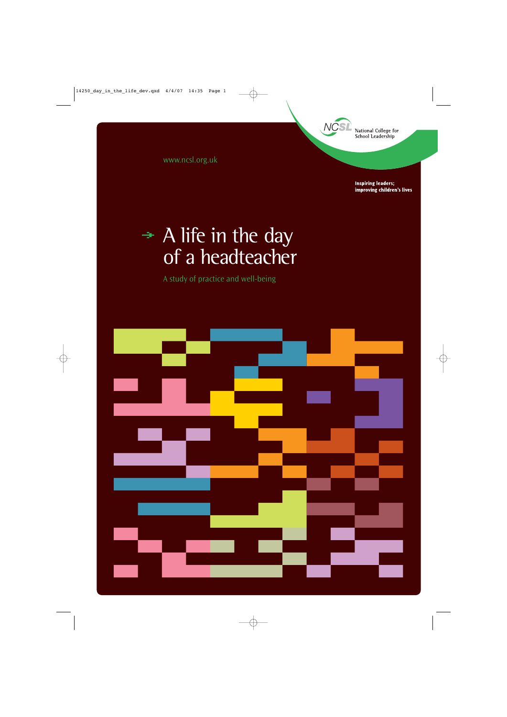

www.ncsl.org.uk

**Inspiring leaders;** improving children's lives

# $\rightarrow$  A life in the day of a headteacher

A study of practice and well-being

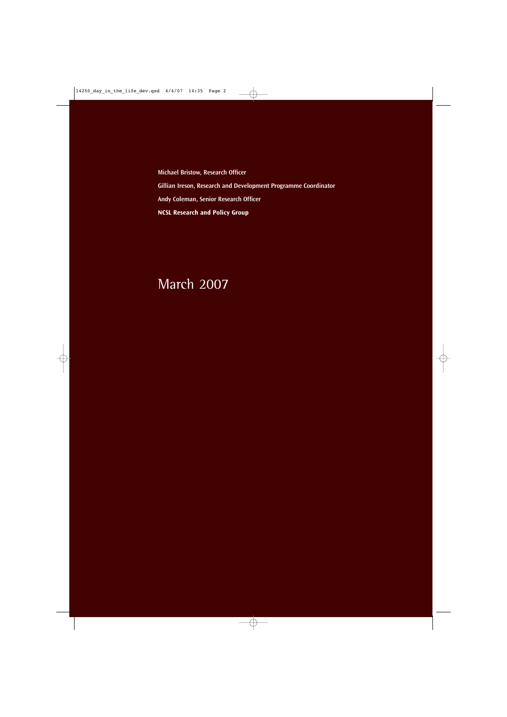**Michael Bristow, Research Officer Gillian Ireson, Research and Development Programme Coordinator Andy Coleman, Senior Research Officer NCSL Research and Policy Group**

# March 2007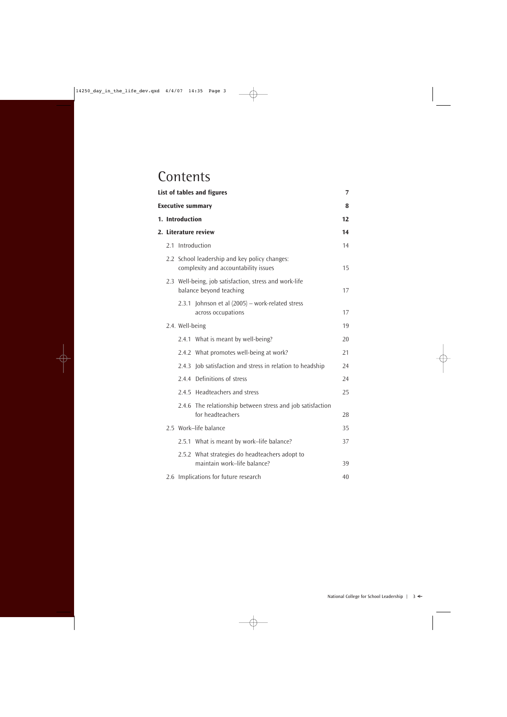# **Contents**

|  |                 | List of tables and figures                                                            | $\overline{7}$ |
|--|-----------------|---------------------------------------------------------------------------------------|----------------|
|  |                 | <b>Executive summary</b>                                                              | 8              |
|  | 1. Introduction |                                                                                       | 12             |
|  |                 | 2. Literature review                                                                  | 14             |
|  |                 | 2.1 Introduction                                                                      | 14             |
|  |                 | 2.2 School leadership and key policy changes:<br>complexity and accountability issues | 15             |
|  |                 | 2.3 Well-being, job satisfaction, stress and work-life<br>balance beyond teaching     | 17             |
|  |                 | 2.3.1 Johnson et al (2005) - work-related stress<br>across occupations                | 17             |
|  | 2.4. Well-being |                                                                                       | 19             |
|  |                 | 2.4.1 What is meant by well-being?                                                    | 20             |
|  |                 | 2.4.2 What promotes well-being at work?                                               | 21             |
|  | 2.4.3           | Job satisfaction and stress in relation to headship                                   | 24             |
|  |                 | 2.4.4 Definitions of stress                                                           | 24             |
|  |                 | 2.4.5 Headteachers and stress                                                         | 25             |
|  |                 | 2.4.6 The relationship between stress and job satisfaction<br>for headteachers        | 28             |
|  |                 | 2.5 Work-life balance                                                                 | 35             |
|  |                 | 2.5.1 What is meant by work-life balance?                                             | 37             |
|  |                 | 2.5.2 What strategies do headteachers adopt to<br>maintain work-life balance?         | 39             |
|  |                 | 2.6 Implications for future research                                                  | 40             |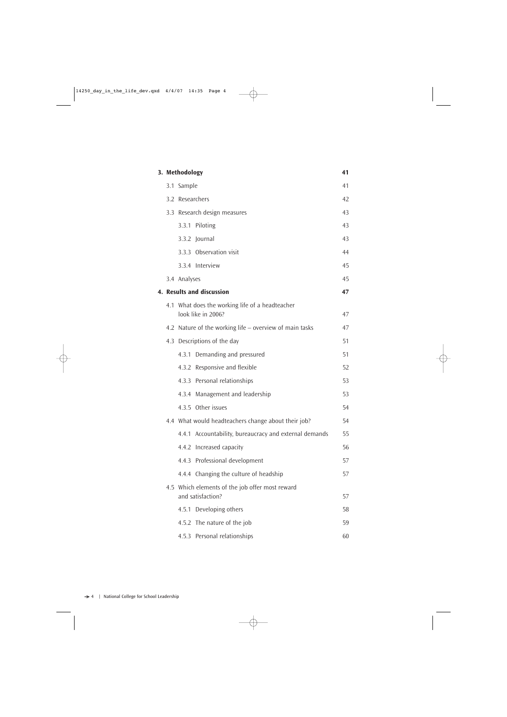|  | 3. Methodology |                                                                       | 41 |
|--|----------------|-----------------------------------------------------------------------|----|
|  | 3.1 Sample     |                                                                       | 41 |
|  |                | 3.2 Researchers                                                       | 42 |
|  |                | 3.3 Research design measures                                          | 43 |
|  |                | 3.3.1 Piloting                                                        | 43 |
|  |                | 3.3.2 Journal                                                         | 43 |
|  |                | 3.3.3 Observation visit                                               | 44 |
|  |                | 3.3.4 Interview                                                       | 45 |
|  | 3.4 Analyses   |                                                                       | 45 |
|  |                | <b>4. Results and discussion</b>                                      | 47 |
|  |                | 4.1 What does the working life of a headteacher<br>look like in 2006? | 47 |
|  |                | 4.2 Nature of the working life – overview of main tasks               | 47 |
|  |                | 4.3 Descriptions of the day                                           | 51 |
|  | 4.3.1          | Demanding and pressured                                               | 51 |
|  |                | 4.3.2 Responsive and flexible                                         | 52 |
|  |                | 4.3.3 Personal relationships                                          | 53 |
|  |                | 4.3.4 Management and leadership                                       | 53 |
|  |                | 4.3.5 Other issues                                                    | 54 |
|  |                | 4.4 What would headteachers change about their job?                   | 54 |
|  |                | 4.4.1 Accountability, bureaucracy and external demands                | 55 |
|  |                | 4.4.2 Increased capacity                                              | 56 |
|  |                | 4.4.3 Professional development                                        | 57 |
|  |                | 4.4.4 Changing the culture of headship                                | 57 |
|  |                | 4.5 Which elements of the job offer most reward<br>and satisfaction?  | 57 |
|  | 4.5.1          | Developing others                                                     | 58 |
|  |                | 4.5.2 The nature of the job                                           | 59 |
|  |                | 4.5.3 Personal relationships                                          | 60 |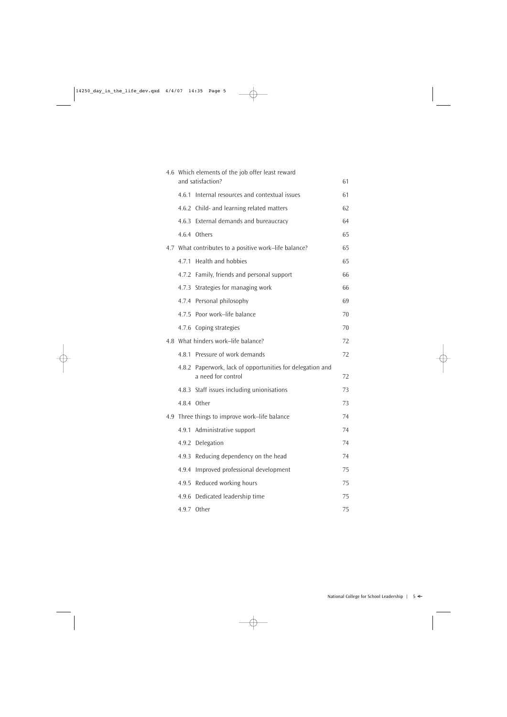| 4.6 Which elements of the job offer least reward<br>and satisfaction? |                                                                                 |          |  |
|-----------------------------------------------------------------------|---------------------------------------------------------------------------------|----------|--|
| 4.6.1                                                                 | Internal resources and contextual issues                                        | 61<br>61 |  |
|                                                                       | 4.6.2 Child- and learning related matters                                       | 62       |  |
|                                                                       |                                                                                 |          |  |
|                                                                       | 4.6.3 External demands and bureaucracy                                          | 64       |  |
|                                                                       | 4.6.4 Others                                                                    | 65       |  |
|                                                                       | 4.7 What contributes to a positive work–life balance?                           | 65       |  |
| 4.7.1                                                                 | <b>Health and hobbies</b>                                                       | 65       |  |
|                                                                       | 4.7.2 Family, friends and personal support                                      | 66       |  |
|                                                                       | 4.7.3 Strategies for managing work                                              | 66       |  |
|                                                                       | 4.7.4 Personal philosophy                                                       | 69       |  |
|                                                                       | 4.7.5 Poor work-life balance                                                    | 70       |  |
|                                                                       | 4.7.6 Coping strategies                                                         | 70       |  |
|                                                                       | 4.8 What hinders work-life balance?                                             | 72       |  |
|                                                                       | 4.8.1 Pressure of work demands                                                  | 72       |  |
|                                                                       | 4.8.2 Paperwork, lack of opportunities for delegation and<br>a need for control | 72       |  |
|                                                                       | 4.8.3 Staff issues including unionisations                                      | 73       |  |
|                                                                       | 4.8.4 Other                                                                     | 73       |  |
|                                                                       | 4.9 Three things to improve work–life balance                                   | 74       |  |
|                                                                       | 4.9.1 Administrative support                                                    | 74       |  |
|                                                                       | 4.9.2 Delegation                                                                | 74       |  |
| 4.9.3                                                                 | Reducing dependency on the head                                                 | 74       |  |
| 4.9.4                                                                 | Improved professional development                                               | 75       |  |
| 4.9.5                                                                 | Reduced working hours                                                           | 75       |  |
| 4.9.6                                                                 | Dedicated leadership time                                                       | 75       |  |
| 4.9.7                                                                 | Other                                                                           | 75       |  |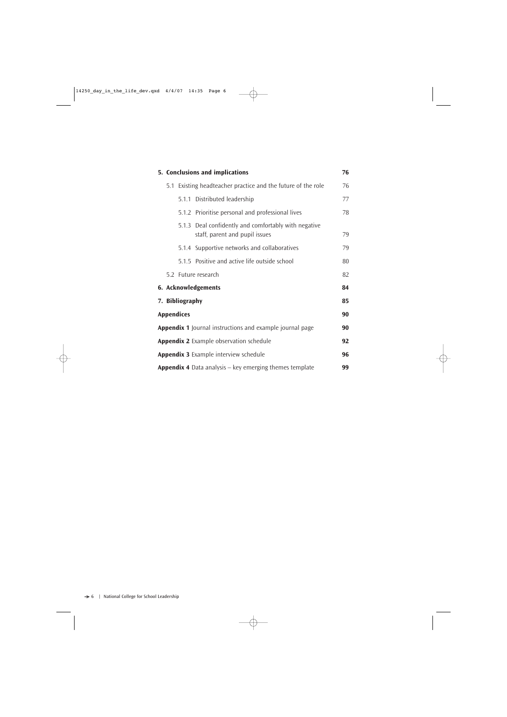| 5. Conclusions and implications              |                   |                                                                                  | 76 |
|----------------------------------------------|-------------------|----------------------------------------------------------------------------------|----|
|                                              |                   | 5.1 Existing headteacher practice and the future of the role                     | 76 |
|                                              |                   | 5.1.1 Distributed leadership                                                     | 77 |
|                                              |                   | 5.1.2 Prioritise personal and professional lives                                 | 78 |
|                                              | 5.1.3             | Deal confidently and comfortably with negative<br>staff, parent and pupil issues | 79 |
|                                              |                   | 5.1.4 Supportive networks and collaboratives                                     | 79 |
|                                              |                   | 5.1.5 Positive and active life outside school                                    | 80 |
|                                              |                   | 5.2 Future research                                                              | 82 |
|                                              |                   | 6. Acknowledgements                                                              | 84 |
| 7. Bibliography                              |                   |                                                                                  | 85 |
|                                              | <b>Appendices</b> |                                                                                  | 90 |
|                                              |                   | <b>Appendix 1</b> Journal instructions and example journal page                  | 90 |
|                                              |                   | <b>Appendix 2</b> Example observation schedule                                   | 92 |
| <b>Appendix 3</b> Example interview schedule |                   |                                                                                  | 96 |
|                                              |                   | Appendix 4 Data analysis - key emerging themes template                          | 99 |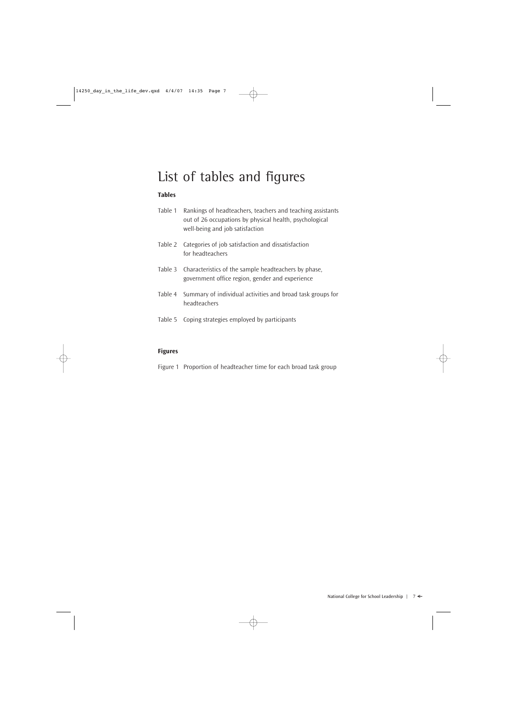# List of tables and figures

# **Tables**

| Table 1 | Rankings of headteachers, teachers and teaching assistants |
|---------|------------------------------------------------------------|
|         | out of 26 occupations by physical health, psychological    |
|         | well-being and job satisfaction                            |

- Table 2 Categories of job satisfaction and dissatisfaction for headteachers
- Table 3 Characteristics of the sample headteachers by phase, government office region, gender and experience
- Table 4 Summary of individual activities and broad task groups for headteachers
- Table 5 Coping strategies employed by participants

# **Figures**

Figure 1 Proportion of headteacher time for each broad task group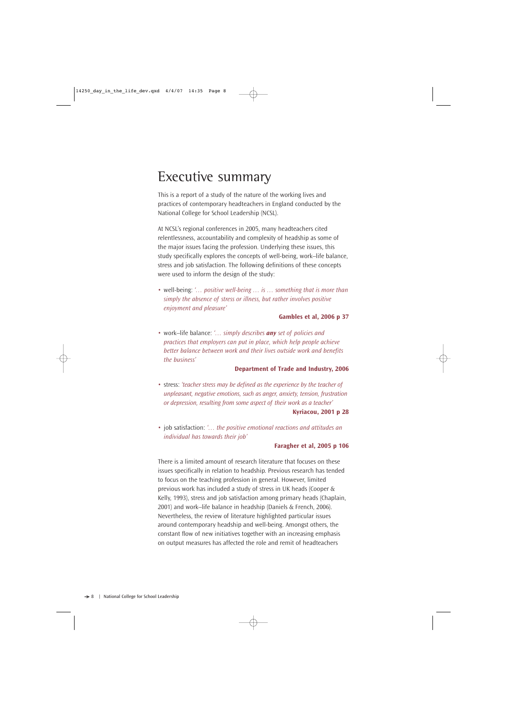# Executive summary

This is a report of a study of the nature of the working lives and practices of contemporary headteachers in England conducted by the National College for School Leadership (NCSL).

At NCSL's regional conferences in 2005, many headteachers cited relentlessness, accountability and complexity of headship as some of the major issues facing the profession. Underlying these issues, this study specifically explores the concepts of well-being, work–life balance, stress and job satisfaction. The following definitions of these concepts were used to inform the design of the study:

• well-being: *'… positive well-being … is … something that is more than simply the absence of stress or illness, but rather involves positive enjoyment and pleasure'*

#### **Gambles et al, 2006 p 37**

• work–life balance: *'… simply describes any set of policies and practices that employers can put in place, which help people achieve better balance between work and their lives outside work and benefits the business'*

#### **Department of Trade and Industry, 2006**

- stress: *'teacher stress may be defined as the experience by the teacher of unpleasant, negative emotions, such as anger, anxiety, tension, frustration or depression, resulting from some aspect of their work as a teacher'* **Kyriacou, 2001 p 28**
- job satisfaction: *'… the positive emotional reactions and attitudes an individual has towards their job'*

#### **Faragher et al, 2005 p 106**

There is a limited amount of research literature that focuses on these issues specifically in relation to headship. Previous research has tended to focus on the teaching profession in general. However, limited previous work has included a study of stress in UK heads (Cooper & Kelly, 1993), stress and job satisfaction among primary heads (Chaplain, 2001) and work–life balance in headship (Daniels & French, 2006). Nevertheless, the review of literature highlighted particular issues around contemporary headship and well-being. Amongst others, the constant flow of new initiatives together with an increasing emphasis on output measures has affected the role and remit of headteachers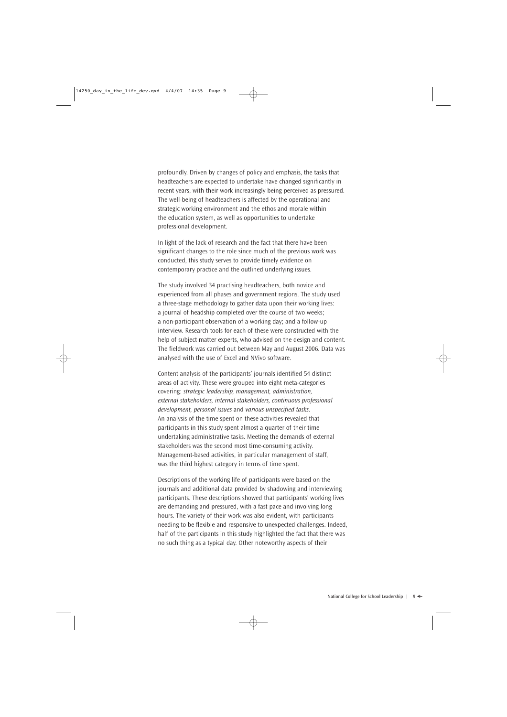profoundly. Driven by changes of policy and emphasis, the tasks that headteachers are expected to undertake have changed significantly in recent years, with their work increasingly being perceived as pressured. The well-being of headteachers is affected by the operational and strategic working environment and the ethos and morale within the education system, as well as opportunities to undertake professional development.

In light of the lack of research and the fact that there have been significant changes to the role since much of the previous work was conducted, this study serves to provide timely evidence on contemporary practice and the outlined underlying issues.

The study involved 34 practising headteachers, both novice and experienced from all phases and government regions. The study used a three-stage methodology to gather data upon their working lives: a journal of headship completed over the course of two weeks; a non-participant observation of a working day; and a follow-up interview. Research tools for each of these were constructed with the help of subject matter experts, who advised on the design and content. The fieldwork was carried out between May and August 2006. Data was analysed with the use of Excel and NVivo software.

Content analysis of the participants' journals identified 54 distinct areas of activity. These were grouped into eight meta-categories covering: *strategic leadership, management, administration, external stakeholders, internal stakeholders, continuous professional development, personal issues* and *various unspecified tasks.* An analysis of the time spent on these activities revealed that participants in this study spent almost a quarter of their time undertaking administrative tasks. Meeting the demands of external stakeholders was the second most time-consuming activity. Management-based activities, in particular management of staff, was the third highest category in terms of time spent.

Descriptions of the working life of participants were based on the journals and additional data provided by shadowing and interviewing participants. These descriptions showed that participants' working lives are demanding and pressured, with a fast pace and involving long hours. The variety of their work was also evident, with participants needing to be flexible and responsive to unexpected challenges. Indeed, half of the participants in this study highlighted the fact that there was no such thing as a typical day. Other noteworthy aspects of their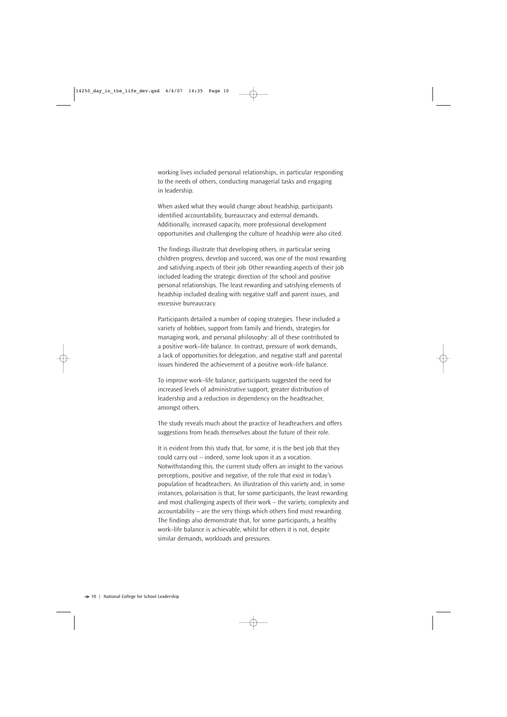working lives included personal relationships, in particular responding to the needs of others, conducting managerial tasks and engaging in leadership.

When asked what they would change about headship, participants identified accountability, bureaucracy and external demands. Additionally, increased capacity, more professional development opportunities and challenging the culture of headship were also cited.

The findings illustrate that developing others, in particular seeing children progress, develop and succeed, was one of the most rewarding and satisfying aspects of their job. Other rewarding aspects of their job included leading the strategic direction of the school and positive personal relationships. The least rewarding and satisfying elements of headship included dealing with negative staff and parent issues, and excessive bureaucracy.

Participants detailed a number of coping strategies. These included a variety of hobbies, support from family and friends, strategies for managing work, and personal philosophy: all of these contributed to a positive work–life balance. In contrast, pressure of work demands, a lack of opportunities for delegation, and negative staff and parental issues hindered the achievement of a positive work–life balance.

To improve work–life balance, participants suggested the need for increased levels of administrative support, greater distribution of leadership and a reduction in dependency on the headteacher, amongst others.

The study reveals much about the practice of headteachers and offers suggestions from heads themselves about the future of their role.

It is evident from this study that, for some, it is the best job that they could carry out – indeed, some look upon it as a vocation. Notwithstanding this, the current study offers an insight to the various perceptions, positive and negative, of the role that exist in today's population of headteachers. An illustration of this variety and, in some instances, polarisation is that, for some participants, the least rewarding and most challenging aspects of their work – the variety, complexity and accountability – are the very things which others find most rewarding. The findings also demonstrate that, for some participants, a healthy work–life balance is achievable, whilst for others it is not, despite similar demands, workloads and pressures.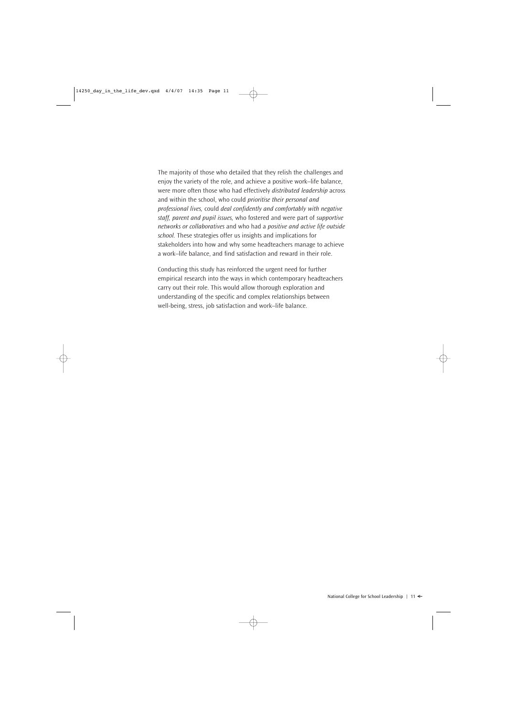The majority of those who detailed that they relish the challenges and enjoy the variety of the role, and achieve a positive work–life balance, were more often those who had effectively *distributed leadership* across and within the school, who could *prioritise their personal and professional lives,* could *deal confidently and comfortably with negative staff, parent and pupil issues,* who fostered and were part of *supportive networks or collaboratives* and who had a *positive and active life outside school.* These strategies offer us insights and implications for stakeholders into how and why some headteachers manage to achieve a work–life balance, and find satisfaction and reward in their role.

Conducting this study has reinforced the urgent need for further empirical research into the ways in which contemporary headteachers carry out their role. This would allow thorough exploration and understanding of the specific and complex relationships between well-being, stress, job satisfaction and work–life balance.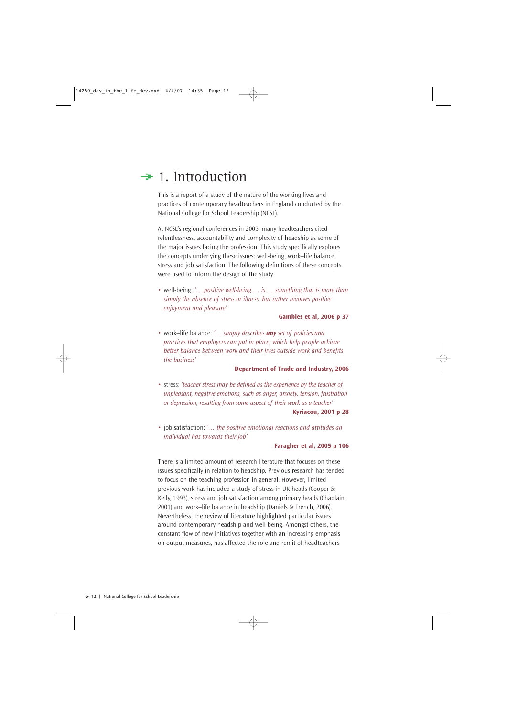# $\div$  1. Introduction

This is a report of a study of the nature of the working lives and practices of contemporary headteachers in England conducted by the National College for School Leadership (NCSL).

At NCSL's regional conferences in 2005, many headteachers cited relentlessness, accountability and complexity of headship as some of the major issues facing the profession. This study specifically explores the concepts underlying these issues: well-being, work–life balance, stress and job satisfaction. The following definitions of these concepts were used to inform the design of the study:

• well-being: *'… positive well-being … is … something that is more than simply the absence of stress or illness, but rather involves positive enjoyment and pleasure'*

#### **Gambles et al, 2006 p 37**

• work–life balance: *'… simply describes any set of policies and practices that employers can put in place, which help people achieve better balance between work and their lives outside work and benefits the business'*

#### **Department of Trade and Industry, 2006**

- stress: *'teacher stress may be defined as the experience by the teacher of unpleasant, negative emotions, such as anger, anxiety, tension, frustration or depression, resulting from some aspect of their work as a teacher'* **Kyriacou, 2001 p 28**
- job satisfaction: *'… the positive emotional reactions and attitudes an individual has towards their job'*

#### **Faragher et al, 2005 p 106**

There is a limited amount of research literature that focuses on these issues specifically in relation to headship. Previous research has tended to focus on the teaching profession in general. However, limited previous work has included a study of stress in UK heads (Cooper & Kelly, 1993), stress and job satisfaction among primary heads (Chaplain, 2001) and work–life balance in headship (Daniels & French, 2006). Nevertheless, the review of literature highlighted particular issues around contemporary headship and well-being. Amongst others, the constant flow of new initiatives together with an increasing emphasis on output measures, has affected the role and remit of headteachers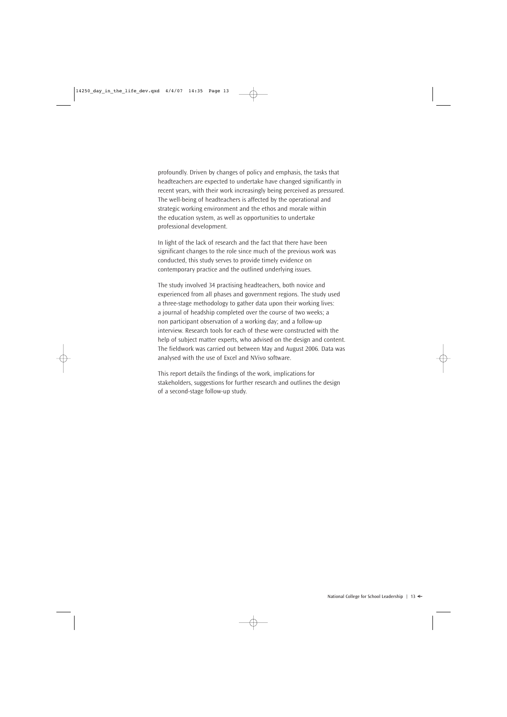profoundly. Driven by changes of policy and emphasis, the tasks that headteachers are expected to undertake have changed significantly in recent years, with their work increasingly being perceived as pressured. The well-being of headteachers is affected by the operational and strategic working environment and the ethos and morale within the education system, as well as opportunities to undertake professional development.

In light of the lack of research and the fact that there have been significant changes to the role since much of the previous work was conducted, this study serves to provide timely evidence on contemporary practice and the outlined underlying issues.

The study involved 34 practising headteachers, both novice and experienced from all phases and government regions. The study used a three-stage methodology to gather data upon their working lives: a journal of headship completed over the course of two weeks; a non participant observation of a working day; and a follow-up interview. Research tools for each of these were constructed with the help of subject matter experts, who advised on the design and content. The fieldwork was carried out between May and August 2006. Data was analysed with the use of Excel and NVivo software.

This report details the findings of the work, implications for stakeholders, suggestions for further research and outlines the design of a second-stage follow-up study.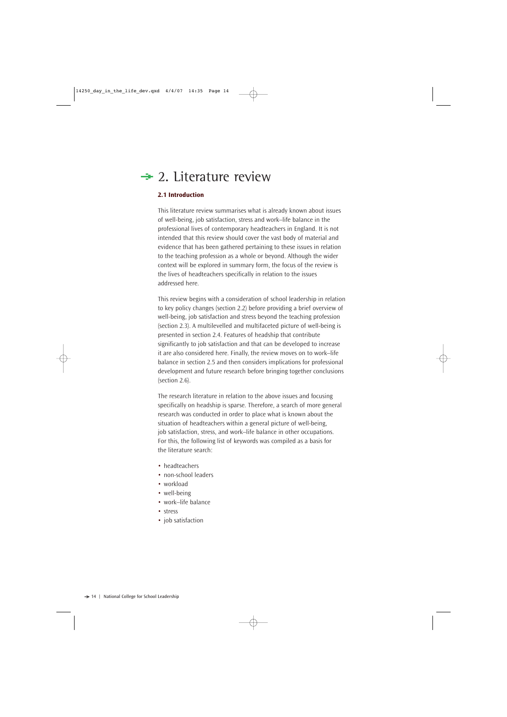# $\div$  2. Literature review

### **2.1 Introduction**

This literature review summarises what is already known about issues of well-being, job satisfaction, stress and work–life balance in the professional lives of contemporary headteachers in England. It is not intended that this review should cover the vast body of material and evidence that has been gathered pertaining to these issues in relation to the teaching profession as a whole or beyond. Although the wider context will be explored in summary form, the focus of the review is the lives of headteachers specifically in relation to the issues addressed here.

This review begins with a consideration of school leadership in relation to key policy changes (section 2.2) before providing a brief overview of well-being, job satisfaction and stress beyond the teaching profession (section 2.3). A multilevelled and multifaceted picture of well-being is presented in section 2.4. Features of headship that contribute significantly to job satisfaction and that can be developed to increase it are also considered here. Finally, the review moves on to work–life balance in section 2.5 and then considers implications for professional development and future research before bringing together conclusions (section 2.6).

The research literature in relation to the above issues and focusing specifically on headship is sparse. Therefore, a search of more general research was conducted in order to place what is known about the situation of headteachers within a general picture of well-being, job satisfaction, stress, and work–life balance in other occupations. For this, the following list of keywords was compiled as a basis for the literature search:

- headteachers
- non-school leaders
- workload
- well-being
- work–life balance
- stress
- job satisfaction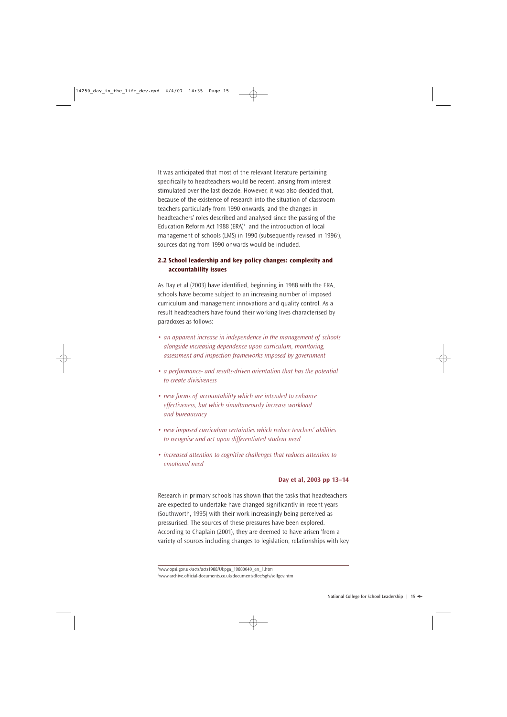It was anticipated that most of the relevant literature pertaining specifically to headteachers would be recent, arising from interest stimulated over the last decade. However, it was also decided that, because of the existence of research into the situation of classroom teachers particularly from 1990 onwards, and the changes in headteachers' roles described and analysed since the passing of the Education Reform Act 1988 (ERA) $1$  and the introduction of local management of schools (LMS) in 1990 (subsequently revised in 1996<del>'</del>), sources dating from 1990 onwards would be included.

# **2.2 School leadership and key policy changes: complexity and accountability issues**

As Day et al (2003) have identified, beginning in 1988 with the ERA, schools have become subject to an increasing number of imposed curriculum and management innovations and quality control. As a result headteachers have found their working lives characterised by paradoxes as follows:

- *an apparent increase in independence in the management of schools alongside increasing dependence upon curriculum, monitoring, assessment and inspection frameworks imposed by government*
- *a performance- and results-driven orientation that has the potential to create divisiveness*
- *new forms of accountability which are intended to enhance effectiveness, but which simultaneously increase workload and bureaucracy*
- *new imposed curriculum certainties which reduce teachers' abilities to recognise and act upon differentiated student need*
- *increased attention to cognitive challenges that reduces attention to emotional need*

#### **Day et al, 2003 pp 13–14**

Research in primary schools has shown that the tasks that headteachers are expected to undertake have changed significantly in recent years (Southworth, 1995) with their work increasingly being perceived as pressurised. The sources of these pressures have been explored. According to Chaplain (2001), they are deemed to have arisen 'from a variety of sources including changes to legislation, relationships with key

1 www.opsi.gov.uk/acts/acts1988/Ukpga\_19880040\_en\_1.htm 2 www.archive.official-documents.co.uk/document/dfee/sgfs/selfgov.htm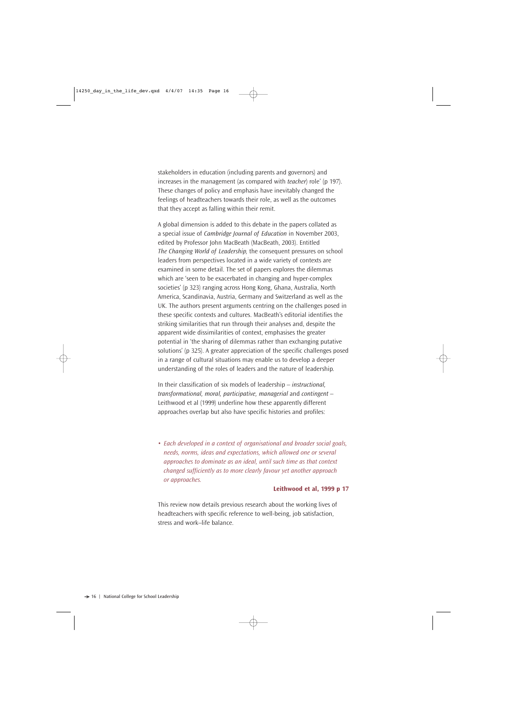stakeholders in education (including parents and governors) and increases in the management (as compared with *teacher*) role' (p 197). These changes of policy and emphasis have inevitably changed the feelings of headteachers towards their role, as well as the outcomes that they accept as falling within their remit.

A global dimension is added to this debate in the papers collated as a special issue of *Cambridge Journal of Education* in November 2003, edited by Professor John MacBeath (MacBeath, 2003). Entitled *The Changing World of Leadership,* the consequent pressures on school leaders from perspectives located in a wide variety of contexts are examined in some detail. The set of papers explores the dilemmas which are 'seen to be exacerbated in changing and hyper-complex societies' (p 323) ranging across Hong Kong, Ghana, Australia, North America, Scandinavia, Austria, Germany and Switzerland as well as the UK. The authors present arguments centring on the challenges posed in these specific contexts and cultures. MacBeath's editorial identifies the striking similarities that run through their analyses and, despite the apparent wide dissimilarities of context, emphasises the greater potential in 'the sharing of dilemmas rather than exchanging putative solutions' (p 325). A greater appreciation of the specific challenges posed in a range of cultural situations may enable us to develop a deeper understanding of the roles of leaders and the nature of leadership.

In their classification of six models of leadership – *instructional, transformational, moral, participative, managerial* and *contingent* – Leithwood et al (1999) underline how these apparently different approaches overlap but also have specific histories and profiles:

• *Each developed in a context of organisational and broader social goals, needs, norms, ideas and expectations, which allowed one or several approaches to dominate as an ideal, until such time as that context changed sufficiently as to more clearly favour yet another approach or approaches.*

### **Leithwood et al, 1999 p 17**

This review now details previous research about the working lives of headteachers with specific reference to well-being, job satisfaction, stress and work–life balance.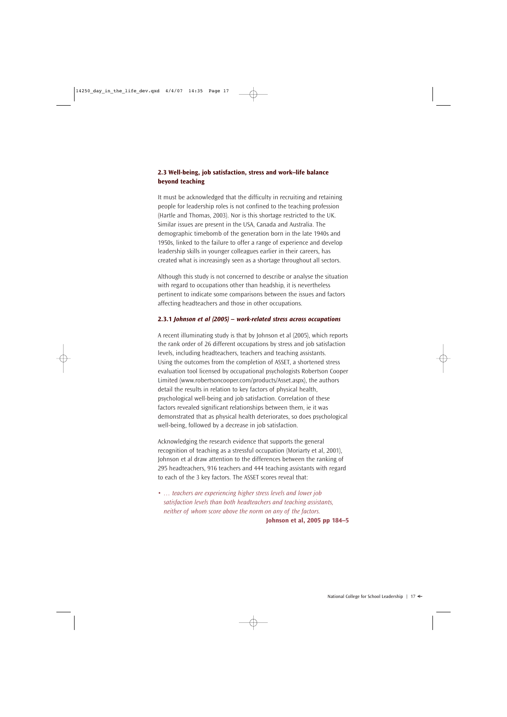# **2.3 Well-being, job satisfaction, stress and work–life balance beyond teaching**

It must be acknowledged that the difficulty in recruiting and retaining people for leadership roles is not confined to the teaching profession (Hartle and Thomas, 2003). Nor is this shortage restricted to the UK. Similar issues are present in the USA, Canada and Australia. The demographic timebomb of the generation born in the late 1940s and 1950s, linked to the failure to offer a range of experience and develop leadership skills in younger colleagues earlier in their careers, has created what is increasingly seen as a shortage throughout all sectors.

Although this study is not concerned to describe or analyse the situation with regard to occupations other than headship, it is nevertheless pertinent to indicate some comparisons between the issues and factors affecting headteachers and those in other occupations.

#### **2.3.1** *Johnson et al (2005) – work-related stress across occupations*

A recent illuminating study is that by Johnson et al (2005), which reports the rank order of 26 different occupations by stress and job satisfaction levels, including headteachers, teachers and teaching assistants. Using the outcomes from the completion of ASSET, a shortened stress evaluation tool licensed by occupational psychologists Robertson Cooper Limited (www.robertsoncooper.com/products/Asset.aspx), the authors detail the results in relation to key factors of physical health, psychological well-being and job satisfaction. Correlation of these factors revealed significant relationships between them, ie it was demonstrated that as physical health deteriorates, so does psychological well-being, followed by a decrease in job satisfaction.

Acknowledging the research evidence that supports the general recognition of teaching as a stressful occupation (Moriarty et al, 2001), Johnson et al draw attention to the differences between the ranking of 295 headteachers, 916 teachers and 444 teaching assistants with regard to each of the 3 key factors. The ASSET scores reveal that:

• *… teachers are experiencing higher stress levels and lower job satisfaction levels than both headteachers and teaching assistants, neither of whom score above the norm on any of the factors.* **Johnson et al, 2005 pp 184–5**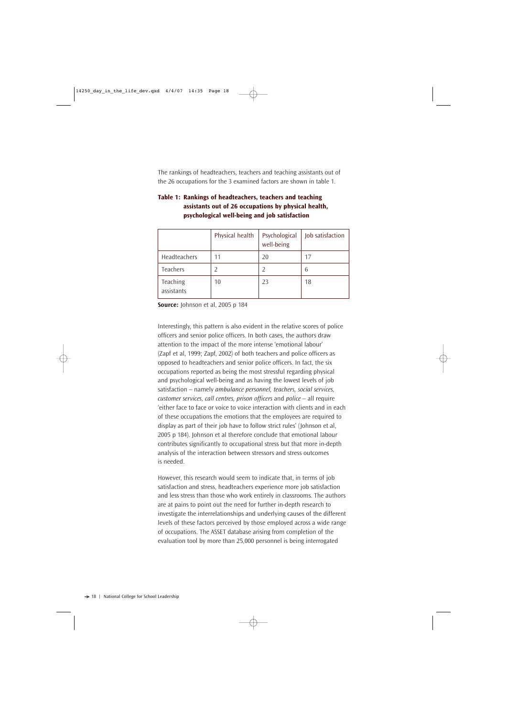The rankings of headteachers, teachers and teaching assistants out of the 26 occupations for the 3 examined factors are shown in table 1.

|                        | Physical health | Psychological<br>well-being | Job satisfaction |
|------------------------|-----------------|-----------------------------|------------------|
| Headteachers           | 11              | 20                          | 17               |
| Teachers               |                 |                             | 6                |
| Teaching<br>assistants | 10              | 23                          | 18               |

# **Table 1: Rankings of headteachers, teachers and teaching assistants out of 26 occupations by physical health, psychological well-being and job satisfaction**

**Source:** Johnson et al, 2005 p 184

Interestingly, this pattern is also evident in the relative scores of police officers and senior police officers. In both cases, the authors draw attention to the impact of the more intense 'emotional labour' (Zapf et al, 1999; Zapf, 2002) of both teachers and police officers as opposed to headteachers and senior police officers. In fact, the six occupations reported as being the most stressful regarding physical and psychological well-being and as having the lowest levels of job satisfaction – namely *ambulance personnel, teachers, social services, customer services, call centres, prison officers and police – all require* 'either face to face or voice to voice interaction with clients and in each of these occupations the emotions that the employees are required to display as part of their job have to follow strict rules' (Johnson et al, 2005 p 184). Johnson et al therefore conclude that emotional labour contributes significantly to occupational stress but that more in-depth analysis of the interaction between stressors and stress outcomes is needed.

However, this research would seem to indicate that, in terms of job satisfaction and stress, headteachers experience more job satisfaction and less stress than those who work entirely in classrooms. The authors are at pains to point out the need for further in-depth research to investigate the interrelationships and underlying causes of the different levels of these factors perceived by those employed across a wide range of occupations. The ASSET database arising from completion of the evaluation tool by more than 25,000 personnel is being interrogated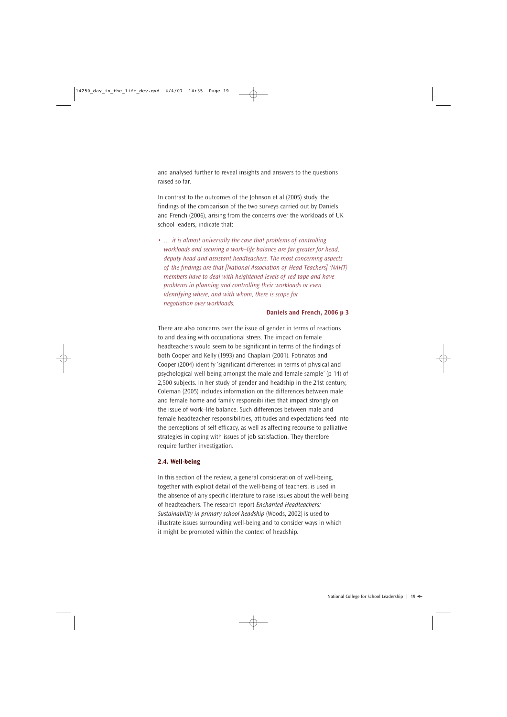and analysed further to reveal insights and answers to the questions raised so far.

In contrast to the outcomes of the Johnson et al (2005) study, the findings of the comparison of the two surveys carried out by Daniels and French (2006), arising from the concerns over the workloads of UK school leaders, indicate that:

• *… it is almost universally the case that problems of controlling workloads and securing a work–life balance are far greater for head, deputy head and assistant headteachers. The most concerning aspects of the findings are that [National Association of Head Teachers] (NAHT) members have to deal with heightened levels of red tape and have problems in planning and controlling their workloads or even identifying where, and with whom, there is scope for negotiation over workloads.*

#### **Daniels and French, 2006 p 3**

There are also concerns over the issue of gender in terms of reactions to and dealing with occupational stress. The impact on female headteachers would seem to be significant in terms of the findings of both Cooper and Kelly (1993) and Chaplain (2001). Fotinatos and Cooper (2004) identify 'significant differences in terms of physical and psychological well-being amongst the male and female sample' (p 14) of 2,500 subjects. In her study of gender and headship in the 21st century, Coleman (2005) includes information on the differences between male and female home and family responsibilities that impact strongly on the issue of work–life balance. Such differences between male and female headteacher responsibilities, attitudes and expectations feed into the perceptions of self-efficacy, as well as affecting recourse to palliative strategies in coping with issues of job satisfaction. They therefore require further investigation.

#### **2.4. Well-being**

In this section of the review, a general consideration of well-being, together with explicit detail of the well-being of teachers, is used in the absence of any specific literature to raise issues about the well-being of headteachers. The research report *Enchanted Headteachers: Sustainability in primary school headship* (Woods, 2002) is used to illustrate issues surrounding well-being and to consider ways in which it might be promoted within the context of headship.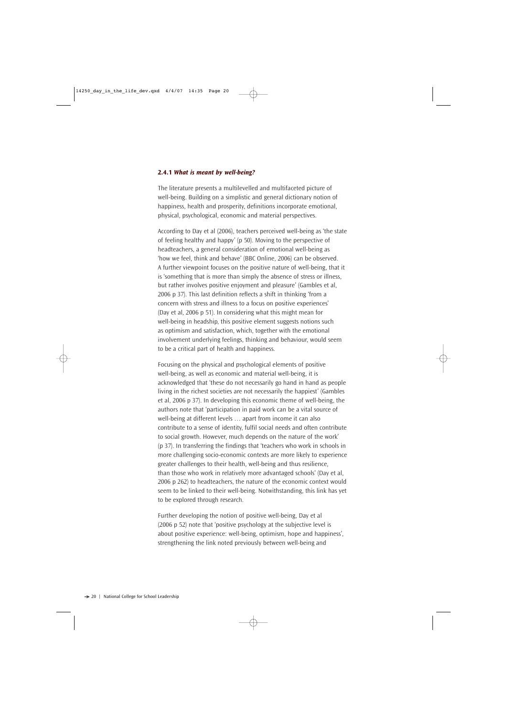#### **2.4.1** *What is meant by well-being?*

The literature presents a multilevelled and multifaceted picture of well-being. Building on a simplistic and general dictionary notion of happiness, health and prosperity, definitions incorporate emotional, physical, psychological, economic and material perspectives.

According to Day et al (2006), teachers perceived well-being as 'the state of feeling healthy and happy' (p 50). Moving to the perspective of headteachers, a general consideration of emotional well-being as 'how we feel, think and behave' (BBC Online, 2006) can be observed. A further viewpoint focuses on the positive nature of well-being, that it is 'something that is more than simply the absence of stress or illness, but rather involves positive enjoyment and pleasure' (Gambles et al, 2006 p 37). This last definition reflects a shift in thinking 'from a concern with stress and illness to a focus on positive experiences' (Day et al, 2006 p 51). In considering what this might mean for well-being in headship, this positive element suggests notions such as optimism and satisfaction, which, together with the emotional involvement underlying feelings, thinking and behaviour, would seem to be a critical part of health and happiness.

Focusing on the physical and psychological elements of positive well-being, as well as economic and material well-being, it is acknowledged that 'these do not necessarily go hand in hand as people living in the richest societies are not necessarily the happiest' (Gambles et al, 2006 p 37). In developing this economic theme of well-being, the authors note that 'participation in paid work can be a vital source of well-being at different levels … apart from income it can also contribute to a sense of identity, fulfil social needs and often contribute to social growth. However, much depends on the nature of the work' (p 37). In transferring the findings that 'teachers who work in schools in more challenging socio-economic contexts are more likely to experience greater challenges to their health, well-being and thus resilience, than those who work in relatively more advantaged schools' (Day et al, 2006 p 262) to headteachers, the nature of the economic context would seem to be linked to their well-being. Notwithstanding, this link has yet to be explored through research.

Further developing the notion of positive well-being, Day et al (2006 p 52) note that 'positive psychology at the subjective level is about positive experience: well-being, optimism, hope and happiness', strengthening the link noted previously between well-being and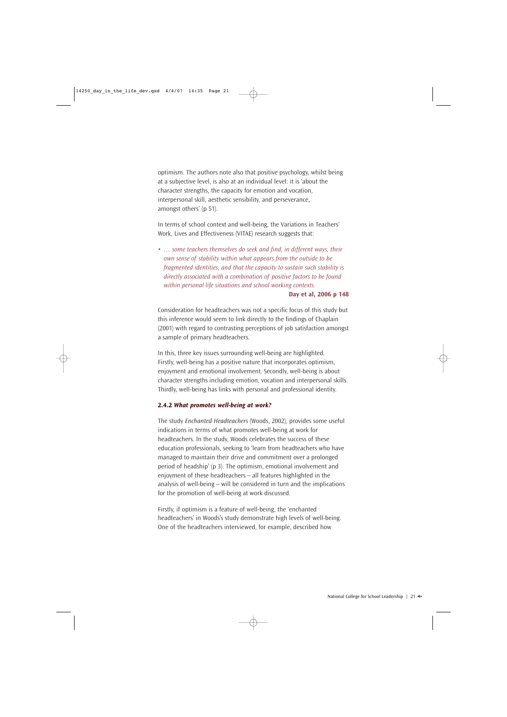optimism. The authors note also that positive psychology, whilst being at a subjective level, is also at an individual level: it is 'about the character strengths, the capacity for emotion and vocation, interpersonal skill, aesthetic sensibility, and perseverance, amongst others' (p 51).

In terms of school context and well-being, the Variations in Teachers' Work, Lives and Effectiveness (VITAE) research suggests that:

• *… some teachers themselves do seek and find, in different ways, their own sense of stability within what appears from the outside to be fragmented identities, and that the capacity to sustain such stability is directly associated with a combination of positive factors to be found within personal life situations and school working contexts.*

**Day et al, 2006 p 148**

Consideration for headteachers was not a specific focus of this study but this inference would seem to link directly to the findings of Chaplain (2001) with regard to contrasting perceptions of job satisfaction amongst a sample of primary headteachers.

In this, three key issues surrounding well-being are highlighted. Firstly, well-being has a positive nature that incorporates optimism, enjoyment and emotional involvement. Secondly, well-being is about character strengths including emotion, vocation and interpersonal skills. Thirdly, well-being has links with personal and professional identity.

#### **2.4.2** *What promotes well-being at work?*

The study *Enchanted Headteachers* (Woods, 2002), provides some useful indications in terms of what promotes well-being at work for headteachers. In the study, Woods celebrates the success of these education professionals, seeking to 'learn from headteachers who have managed to maintain their drive and commitment over a prolonged period of headship' (p 3). The optimism, emotional involvement and enjoyment of these headteachers – all features highlighted in the analysis of well-being – will be considered in turn and the implications for the promotion of well-being at work discussed.

Firstly, if optimism is a feature of well-being, the 'enchanted headteachers' in Woods's study demonstrate high levels of well-being. One of the headteachers interviewed, for example, described how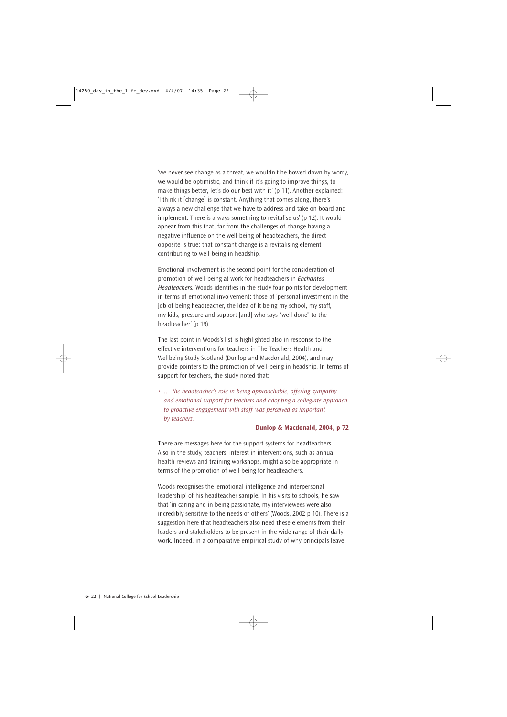'we never see change as a threat, we wouldn't be bowed down by worry, we would be optimistic, and think if it's going to improve things, to make things better, let's do our best with it' (p 11). Another explained: 'I think it [change] is constant. Anything that comes along, there's always a new challenge that we have to address and take on board and implement. There is always something to revitalise us' (p 12). It would appear from this that, far from the challenges of change having a negative influence on the well-being of headteachers, the direct opposite is true: that constant change is a revitalising element contributing to well-being in headship.

Emotional involvement is the second point for the consideration of promotion of well-being at work for headteachers in *Enchanted Headteachers.* Woods identifies in the study four points for development in terms of emotional involvement: those of 'personal investment in the job of being headteacher, the idea of it being my school, my staff, my kids, pressure and support [and] who says "well done" to the headteacher' (p 19).

The last point in Woods's list is highlighted also in response to the effective interventions for teachers in The Teachers Health and Wellbeing Study Scotland (Dunlop and Macdonald, 2004), and may provide pointers to the promotion of well-being in headship. In terms of support for teachers, the study noted that:

• *… the headteacher's role in being approachable, offering sympathy and emotional support for teachers and adopting a collegiate approach to proactive engagement with staff was perceived as important by teachers.*

#### **Dunlop & Macdonald, 2004, p 72**

There are messages here for the support systems for headteachers. Also in the study, teachers' interest in interventions, such as annual health reviews and training workshops, might also be appropriate in terms of the promotion of well-being for headteachers.

Woods recognises the 'emotional intelligence and interpersonal leadership' of his headteacher sample. In his visits to schools, he saw that 'in caring and in being passionate, my interviewees were also incredibly sensitive to the needs of others' (Woods, 2002 p 10). There is a suggestion here that headteachers also need these elements from their leaders and stakeholders to be present in the wide range of their daily work. Indeed, in a comparative empirical study of why principals leave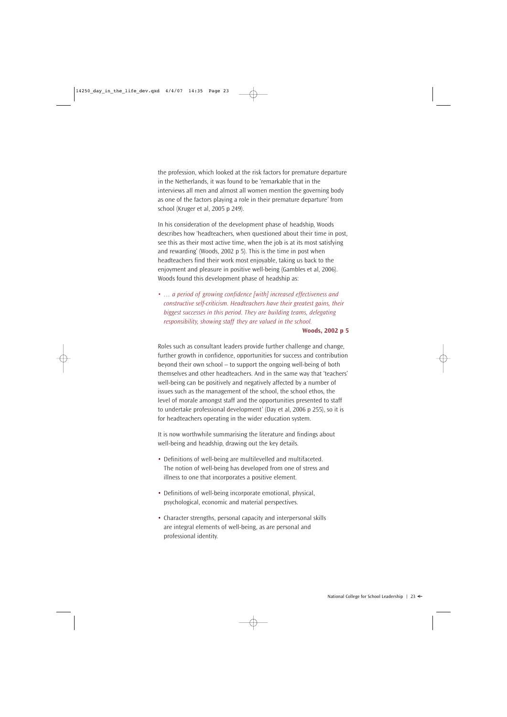the profession, which looked at the risk factors for premature departure in the Netherlands, it was found to be 'remarkable that in the interviews all men and almost all women mention the governing body as one of the factors playing a role in their premature departure' from school (Kruger et al, 2005 p 249).

In his consideration of the development phase of headship, Woods describes how 'headteachers, when questioned about their time in post, see this as their most active time, when the job is at its most satisfying and rewarding' (Woods, 2002 p 5). This is the time in post when headteachers find their work most enjoyable, taking us back to the enjoyment and pleasure in positive well-being (Gambles et al, 2006). Woods found this development phase of headship as:

• *… a period of growing confidence [with] increased effectiveness and constructive self-criticism. Headteachers have their greatest gains, their biggest successes in this period. They are building teams, delegating responsibility, showing staff they are valued in the school.*

#### **Woods, 2002 p 5**

Roles such as consultant leaders provide further challenge and change, further growth in confidence, opportunities for success and contribution beyond their own school – to support the ongoing well-being of both themselves and other headteachers. And in the same way that 'teachers' well-being can be positively and negatively affected by a number of issues such as the management of the school, the school ethos, the level of morale amongst staff and the opportunities presented to staff to undertake professional development' (Day et al, 2006 p 255), so it is for headteachers operating in the wider education system.

It is now worthwhile summarising the literature and findings about well-being and headship, drawing out the key details.

- Definitions of well-being are multilevelled and multifaceted. The notion of well-being has developed from one of stress and illness to one that incorporates a positive element.
- Definitions of well-being incorporate emotional, physical, psychological, economic and material perspectives.
- Character strengths, personal capacity and interpersonal skills are integral elements of well-being, as are personal and professional identity.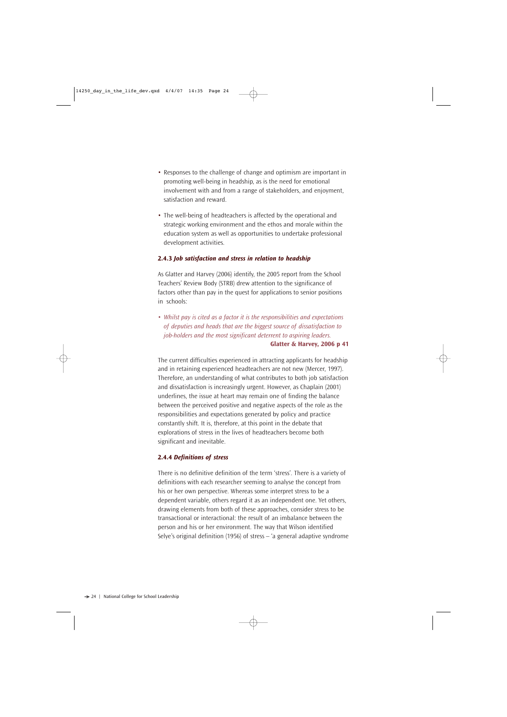- Responses to the challenge of change and optimism are important in promoting well-being in headship, as is the need for emotional involvement with and from a range of stakeholders, and enjoyment, satisfaction and reward.
- The well-being of headteachers is affected by the operational and strategic working environment and the ethos and morale within the education system as well as opportunities to undertake professional development activities.

#### **2.4.3** *Job satisfaction and stress in relation to headship*

As Glatter and Harvey (2006) identify, the 2005 report from the School Teachers' Review Body (STRB) drew attention to the significance of factors other than pay in the quest for applications to senior positions in schools:

• *Whilst pay is cited as a factor it is the responsibilities and expectations of deputies and heads that are the biggest source of dissatisfaction to job-holders and the most significant deterrent to aspiring leaders.* **Glatter & Harvey, 2006 p 41**

The current difficulties experienced in attracting applicants for headship and in retaining experienced headteachers are not new (Mercer, 1997). Therefore, an understanding of what contributes to both job satisfaction and dissatisfaction is increasingly urgent. However, as Chaplain (2001) underlines, the issue at heart may remain one of finding the balance between the perceived positive and negative aspects of the role as the responsibilities and expectations generated by policy and practice constantly shift. It is, therefore, at this point in the debate that explorations of stress in the lives of headteachers become both significant and inevitable.

#### **2.4.4** *Definitions of stress*

There is no definitive definition of the term 'stress'. There is a variety of definitions with each researcher seeming to analyse the concept from his or her own perspective. Whereas some interpret stress to be a dependent variable, others regard it as an independent one. Yet others, drawing elements from both of these approaches, consider stress to be transactional or interactional: the result of an imbalance between the person and his or her environment. The way that Wilson identified Selye's original definition (1956) of stress – 'a general adaptive syndrome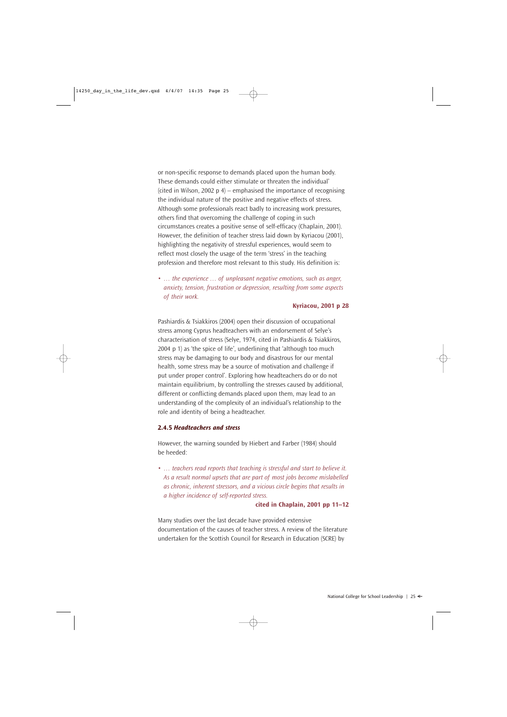or non-specific response to demands placed upon the human body. These demands could either stimulate or threaten the individual' (cited in Wilson, 2002  $p$  4) – emphasised the importance of recognising the individual nature of the positive and negative effects of stress. Although some professionals react badly to increasing work pressures, others find that overcoming the challenge of coping in such circumstances creates a positive sense of self-efficacy (Chaplain, 2001). However, the definition of teacher stress laid down by Kyriacou (2001), highlighting the negativity of stressful experiences, would seem to reflect most closely the usage of the term 'stress' in the teaching profession and therefore most relevant to this study. His definition is:

• *… the experience … of unpleasant negative emotions, such as anger, anxiety, tension, frustration or depression, resulting from some aspects of their work.* 

#### **Kyriacou, 2001 p 28**

Pashiardis & Tsiakkiros (2004) open their discussion of occupational stress among Cyprus headteachers with an endorsement of Selye's characterisation of stress (Selye, 1974, cited in Pashiardis & Tsiakkiros, 2004 p 1) as 'the spice of life', underlining that 'although too much stress may be damaging to our body and disastrous for our mental health, some stress may be a source of motivation and challenge if put under proper control'. Exploring how headteachers do or do not maintain equilibrium, by controlling the stresses caused by additional, different or conflicting demands placed upon them, may lead to an understanding of the complexity of an individual's relationship to the role and identity of being a headteacher.

#### **2.4.5** *Headteachers and stress*

However, the warning sounded by Hiebert and Farber (1984) should be heeded:

• *… teachers read reports that teaching is stressful and start to believe it. As a result normal upsets that are part of most jobs become mislabelled as chronic, inherent stressors, and a vicious circle begins that results in a higher incidence of self-reported stress.* 

#### **cited in Chaplain, 2001 pp 11–12**

Many studies over the last decade have provided extensive documentation of the causes of teacher stress. A review of the literature undertaken for the Scottish Council for Research in Education (SCRE) by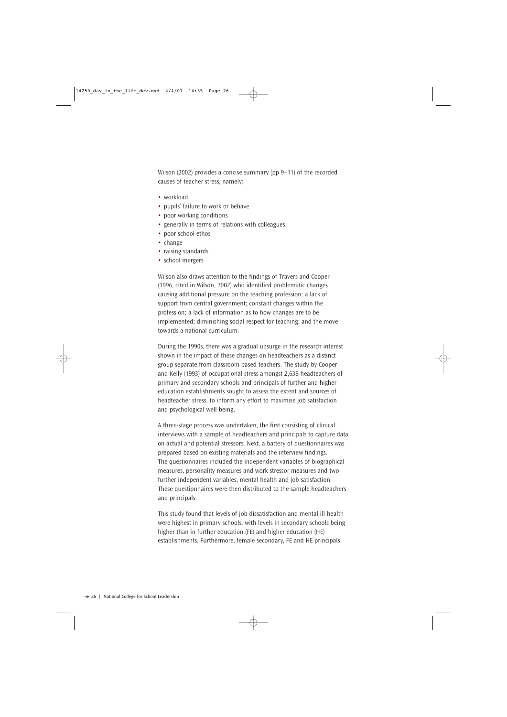Wilson (2002) provides a concise summary (pp 9–11) of the recorded causes of teacher stress, namely:

- workload
- pupils' failure to work or behave
- poor working conditions
- generally in terms of relations with colleagues
- poor school ethos
- change
- raising standards
- school mergers

Wilson also draws attention to the findings of Travers and Cooper (1996, cited in Wilson, 2002) who identified problematic changes causing additional pressure on the teaching profession: a lack of support from central government; constant changes within the profession; a lack of information as to how changes are to be implemented; diminishing social respect for teaching; and the move towards a national curriculum.

During the 1990s, there was a gradual upsurge in the research interest shown in the impact of these changes on headteachers as a distinct group separate from classroom-based teachers. The study by Cooper and Kelly (1993) of occupational stress amongst 2,638 headteachers of primary and secondary schools and principals of further and higher education establishments sought to assess the extent and sources of headteacher stress, to inform any effort to maximise job satisfaction and psychological well-being.

A three-stage process was undertaken, the first consisting of clinical interviews with a sample of headteachers and principals to capture data on actual and potential stressors. Next, a battery of questionnaires was prepared based on existing materials and the interview findings. The questionnaires included the independent variables of biographical measures, personality measures and work stressor measures and two further independent variables, mental health and job satisfaction. These questionnaires were then distributed to the sample headteachers and principals.

This study found that levels of job dissatisfaction and mental ill-health were highest in primary schools, with levels in secondary schools being higher than in further education (FE) and higher education (HE) establishments. Furthermore, female secondary, FE and HE principals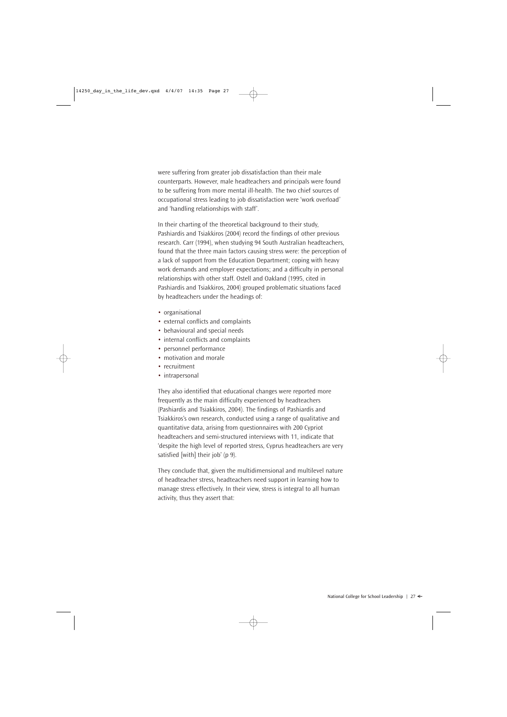were suffering from greater job dissatisfaction than their male counterparts. However, male headteachers and principals were found to be suffering from more mental ill-health. The two chief sources of occupational stress leading to job dissatisfaction were 'work overload' and 'handling relationships with staff'.

In their charting of the theoretical background to their study, Pashiardis and Tsiakkiros (2004) record the findings of other previous research. Carr (1994), when studying 94 South Australian headteachers, found that the three main factors causing stress were: the perception of a lack of support from the Education Department; coping with heavy work demands and employer expectations; and a difficulty in personal relationships with other staff. Ostell and Oakland (1995, cited in Pashiardis and Tsiakkiros, 2004) grouped problematic situations faced by headteachers under the headings of:

- organisational
- external conflicts and complaints
- behavioural and special needs
- internal conflicts and complaints
- personnel performance
- motivation and morale
- recruitment
- intrapersonal

They also identified that educational changes were reported more frequently as the main difficulty experienced by headteachers (Pashiardis and Tsiakkiros, 2004). The findings of Pashiardis and Tsiakkiros's own research, conducted using a range of qualitative and quantitative data, arising from questionnaires with 200 Cypriot headteachers and semi-structured interviews with 11, indicate that 'despite the high level of reported stress, Cyprus headteachers are very satisfied [with] their job' (p 9).

They conclude that, given the multidimensional and multilevel nature of headteacher stress, headteachers need support in learning how to manage stress effectively. In their view, stress is integral to all human activity, thus they assert that: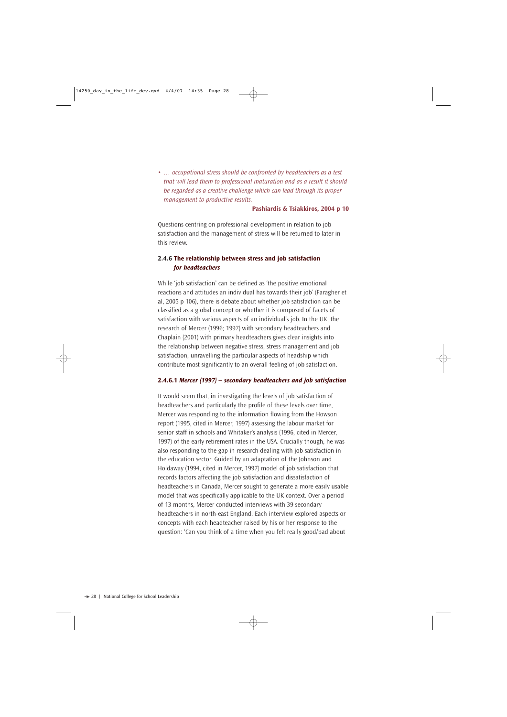• *… occupational stress should be confronted by headteachers as a test that will lead them to professional maturation and as a result it should be regarded as a creative challenge which can lead through its proper management to productive results.* 

#### **Pashiardis & Tsiakkiros, 2004 p 10**

Questions centring on professional development in relation to job satisfaction and the management of stress will be returned to later in this review.

# **2.4.6 The relationship between stress and job satisfaction** *for headteachers*

While 'job satisfaction' can be defined as 'the positive emotional reactions and attitudes an individual has towards their job' (Faragher et al, 2005 p 106), there is debate about whether job satisfaction can be classified as a global concept or whether it is composed of facets of satisfaction with various aspects of an individual's job. In the UK, the research of Mercer (1996; 1997) with secondary headteachers and Chaplain (2001) with primary headteachers gives clear insights into the relationship between negative stress, stress management and job satisfaction, unravelling the particular aspects of headship which contribute most significantly to an overall feeling of job satisfaction.

#### **2.4.6.1** *Mercer (1997) – secondary headteachers and job satisfaction*

It would seem that, in investigating the levels of job satisfaction of headteachers and particularly the profile of these levels over time, Mercer was responding to the information flowing from the Howson report (1995, cited in Mercer, 1997) assessing the labour market for senior staff in schools and Whitaker's analysis (1996, cited in Mercer, 1997) of the early retirement rates in the USA. Crucially though, he was also responding to the gap in research dealing with job satisfaction in the education sector. Guided by an adaptation of the Johnson and Holdaway (1994, cited in Mercer, 1997) model of job satisfaction that records factors affecting the job satisfaction and dissatisfaction of headteachers in Canada, Mercer sought to generate a more easily usable model that was specifically applicable to the UK context. Over a period of 13 months, Mercer conducted interviews with 39 secondary headteachers in north-east England. Each interview explored aspects or concepts with each headteacher raised by his or her response to the question: 'Can you think of a time when you felt really good/bad about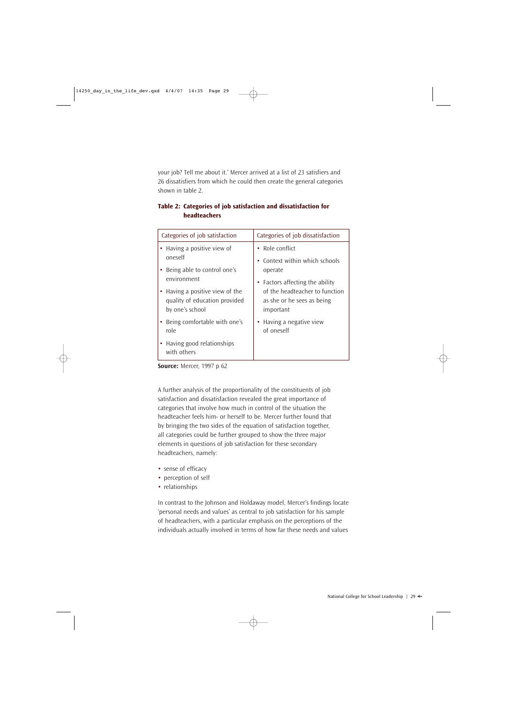your job? Tell me about it.' Mercer arrived at a list of 23 satisfiers and 26 dissatisfiers from which he could then create the general categories shown in table 2.

| Categories of job dissatisfaction |  |
|-----------------------------------|--|
|                                   |  |
| • Role conflict                   |  |
| • Context within which schools    |  |
|                                   |  |
| • Factors affecting the ability   |  |
| of the headteacher to function    |  |
| as she or he sees as being        |  |
|                                   |  |
| • Having a negative view          |  |
|                                   |  |
|                                   |  |
| important                         |  |

# **Table 2: Categories of job satisfaction and dissatisfaction for headteachers**

**Source:** Mercer, 1997 p 62

A further analysis of the proportionality of the constituents of job satisfaction and dissatisfaction revealed the great importance of categories that involve how much in control of the situation the headteacher feels him- or herself to be. Mercer further found that by bringing the two sides of the equation of satisfaction together, all categories could be further grouped to show the three major elements in questions of job satisfaction for these secondary headteachers, namely:

- sense of efficacy
- perception of self
- relationships

In contrast to the Johnson and Holdaway model, Mercer's findings locate 'personal needs and values' as central to job satisfaction for his sample of headteachers, with a particular emphasis on the perceptions of the individuals actually involved in terms of how far these needs and values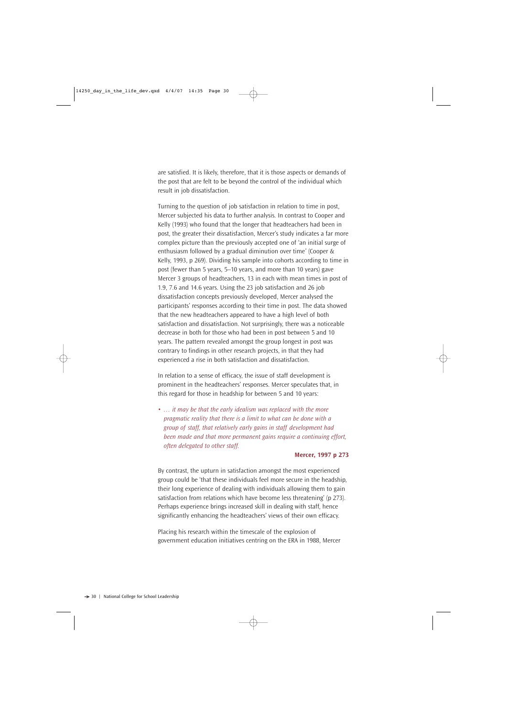are satisfied. It is likely, therefore, that it is those aspects or demands of the post that are felt to be beyond the control of the individual which result in job dissatisfaction.

Turning to the question of job satisfaction in relation to time in post, Mercer subjected his data to further analysis. In contrast to Cooper and Kelly (1993) who found that the longer that headteachers had been in post, the greater their dissatisfaction, Mercer's study indicates a far more complex picture than the previously accepted one of 'an initial surge of enthusiasm followed by a gradual diminution over time' (Cooper & Kelly, 1993, p 269). Dividing his sample into cohorts according to time in post (fewer than 5 years, 5–10 years, and more than 10 years) gave Mercer 3 groups of headteachers, 13 in each with mean times in post of 1.9, 7.6 and 14.6 years. Using the 23 job satisfaction and 26 job dissatisfaction concepts previously developed, Mercer analysed the participants' responses according to their time in post. The data showed that the new headteachers appeared to have a high level of both satisfaction and dissatisfaction. Not surprisingly, there was a noticeable decrease in both for those who had been in post between 5 and 10 years. The pattern revealed amongst the group longest in post was contrary to findings in other research projects, in that they had experienced a rise in both satisfaction and dissatisfaction.

In relation to a sense of efficacy, the issue of staff development is prominent in the headteachers' responses. Mercer speculates that, in this regard for those in headship for between 5 and 10 years:

• *… it may be that the early idealism was replaced with the more pragmatic reality that there is a limit to what can be done with a group of staff, that relatively early gains in staff development had been made and that more permanent gains require a continuing effort, often delegated to other staff.*

#### **Mercer, 1997 p 273**

By contrast, the upturn in satisfaction amongst the most experienced group could be 'that these individuals feel more secure in the headship, their long experience of dealing with individuals allowing them to gain satisfaction from relations which have become less threatening' (p 273). Perhaps experience brings increased skill in dealing with staff, hence significantly enhancing the headteachers' views of their own efficacy.

Placing his research within the timescale of the explosion of government education initiatives centring on the ERA in 1988, Mercer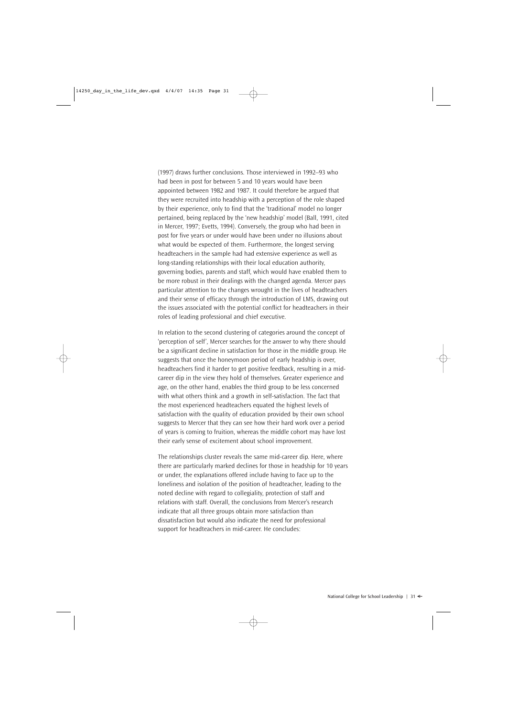(1997) draws further conclusions. Those interviewed in 1992–93 who had been in post for between 5 and 10 years would have been appointed between 1982 and 1987. It could therefore be argued that they were recruited into headship with a perception of the role shaped by their experience, only to find that the 'traditional' model no longer pertained, being replaced by the 'new headship' model (Ball, 1991, cited in Mercer, 1997; Evetts, 1994). Conversely, the group who had been in post for five years or under would have been under no illusions about what would be expected of them. Furthermore, the longest serving headteachers in the sample had had extensive experience as well as long-standing relationships with their local education authority, governing bodies, parents and staff, which would have enabled them to be more robust in their dealings with the changed agenda. Mercer pays particular attention to the changes wrought in the lives of headteachers and their sense of efficacy through the introduction of LMS, drawing out the issues associated with the potential conflict for headteachers in their roles of leading professional and chief executive.

In relation to the second clustering of categories around the concept of 'perception of self', Mercer searches for the answer to why there should be a significant decline in satisfaction for those in the middle group. He suggests that once the honeymoon period of early headship is over, headteachers find it harder to get positive feedback, resulting in a midcareer dip in the view they hold of themselves. Greater experience and age, on the other hand, enables the third group to be less concerned with what others think and a growth in self-satisfaction. The fact that the most experienced headteachers equated the highest levels of satisfaction with the quality of education provided by their own school suggests to Mercer that they can see how their hard work over a period of years is coming to fruition, whereas the middle cohort may have lost their early sense of excitement about school improvement.

The relationships cluster reveals the same mid-career dip. Here, where there are particularly marked declines for those in headship for 10 years or under, the explanations offered include having to face up to the loneliness and isolation of the position of headteacher, leading to the noted decline with regard to collegiality, protection of staff and relations with staff. Overall, the conclusions from Mercer's research indicate that all three groups obtain more satisfaction than dissatisfaction but would also indicate the need for professional support for headteachers in mid-career. He concludes: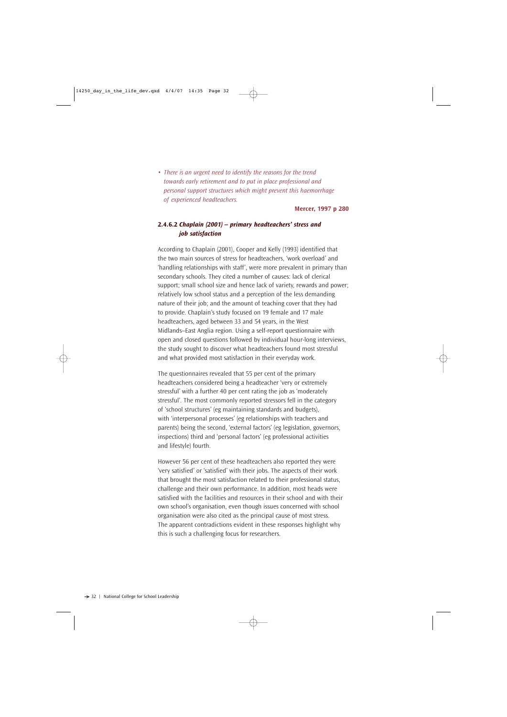• *There is an urgent need to identify the reasons for the trend towards early retirement and to put in place professional and personal support structures which might prevent this haemorrhage of experienced headteachers.*

#### **Mercer, 1997 p 280**

### **2.4.6.2** *Chaplain (2001) – primary headteachers' stress and job satisfaction*

According to Chaplain (2001), Cooper and Kelly (1993) identified that the two main sources of stress for headteachers, 'work overload' and 'handling relationships with staff', were more prevalent in primary than secondary schools. They cited a number of causes: lack of clerical support; small school size and hence lack of variety, rewards and power; relatively low school status and a perception of the less demanding nature of their job; and the amount of teaching cover that they had to provide. Chaplain's study focused on 19 female and 17 male headteachers, aged between 33 and 54 years, in the West Midlands–East Anglia region. Using a self-report questionnaire with open and closed questions followed by individual hour-long interviews, the study sought to discover what headteachers found most stressful and what provided most satisfaction in their everyday work.

The questionnaires revealed that 55 per cent of the primary headteachers considered being a headteacher 'very or extremely stressful' with a further 40 per cent rating the job as 'moderately stressful'. The most commonly reported stressors fell in the category of 'school structures' (eg maintaining standards and budgets), with 'interpersonal processes' (eg relationships with teachers and parents) being the second, 'external factors' (eg legislation, governors, inspections) third and 'personal factors' (eg professional activities and lifestyle) fourth.

However 56 per cent of these headteachers also reported they were 'very satisfied' or 'satisfied' with their jobs. The aspects of their work that brought the most satisfaction related to their professional status, challenge and their own performance. In addition, most heads were satisfied with the facilities and resources in their school and with their own school's organisation, even though issues concerned with school organisation were also cited as the principal cause of most stress. The apparent contradictions evident in these responses highlight why this is such a challenging focus for researchers.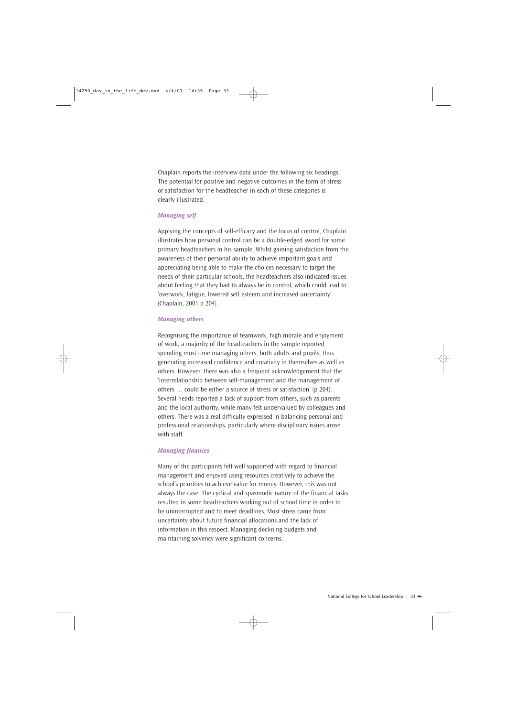Chaplain reports the interview data under the following six headings. The potential for positive and negative outcomes in the form of stress or satisfaction for the headteacher in each of these categories is clearly illustrated.

#### *Managing self*

Applying the concepts of self-efficacy and the locus of control, Chaplain illustrates how personal control can be a double-edged sword for some primary headteachers in his sample. Whilst gaining satisfaction from the awareness of their personal ability to achieve important goals and appreciating being able to make the choices necessary to target the needs of their particular schools, the headteachers also indicated issues about feeling that they had to always be in control, which could lead to 'overwork, fatigue, lowered self esteem and increased uncertainty' (Chaplain, 2001 p 204).

#### *Managing others*

Recognising the importance of teamwork, high morale and enjoyment of work, a majority of the headteachers in the sample reported spending most time managing others, both adults and pupils, thus generating increased confidence and creativity in themselves as well as others. However, there was also a frequent acknowledgement that the 'interrelationship between self-management and the management of others … could be either a source of stress or satisfaction' (p 204). Several heads reported a lack of support from others, such as parents and the local authority, while many felt undervalued by colleagues and others. There was a real difficulty expressed in balancing personal and professional relationships, particularly where disciplinary issues arose with staff.

#### *Managing finances*

Many of the participants felt well supported with regard to financial management and enjoyed using resources creatively to achieve the school's priorities to achieve value for money. However, this was not always the case. The cyclical and spasmodic nature of the financial tasks resulted in some headteachers working out of school time in order to be uninterrupted and to meet deadlines. Most stress came from uncertainty about future financial allocations and the lack of information in this respect. Managing declining budgets and maintaining solvency were significant concerns.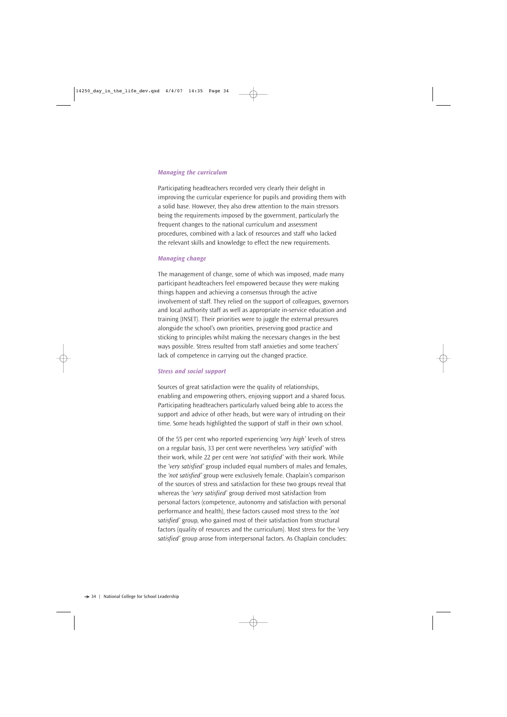#### *Managing the curriculum*

Participating headteachers recorded very clearly their delight in improving the curricular experience for pupils and providing them with a solid base. However, they also drew attention to the main stressors being the requirements imposed by the government, particularly the frequent changes to the national curriculum and assessment procedures, combined with a lack of resources and staff who lacked the relevant skills and knowledge to effect the new requirements.

#### *Managing change*

The management of change, some of which was imposed, made many participant headteachers feel empowered because they were making things happen and achieving a consensus through the active involvement of staff. They relied on the support of colleagues, governors and local authority staff as well as appropriate in-service education and training (INSET). Their priorities were to juggle the external pressures alongside the school's own priorities, preserving good practice and sticking to principles whilst making the necessary changes in the best ways possible. Stress resulted from staff anxieties and some teachers' lack of competence in carrying out the changed practice.

#### *Stress and social support*

Sources of great satisfaction were the quality of relationships, enabling and empowering others, enjoying support and a shared focus. Participating headteachers particularly valued being able to access the support and advice of other heads, but were wary of intruding on their time. Some heads highlighted the support of staff in their own school.

Of the 55 per cent who reported experiencing *'very high'* levels of stress on a regular basis, 33 per cent were nevertheless *'very satisfied'* with their work, while 22 per cent were *'not satisfied'* with their work. While the *'very satisfied'* group included equal numbers of males and females, the *'not satisfied'* group were exclusively female. Chaplain's comparison of the sources of stress and satisfaction for these two groups reveal that whereas the *'very satisfied'* group derived most satisfaction from personal factors (competence, autonomy and satisfaction with personal performance and health), these factors caused most stress to the *'not satisfied'* group, who gained most of their satisfaction from structural factors (quality of resources and the curriculum). Most stress for the *'very satisfied'* group arose from interpersonal factors. As Chaplain concludes: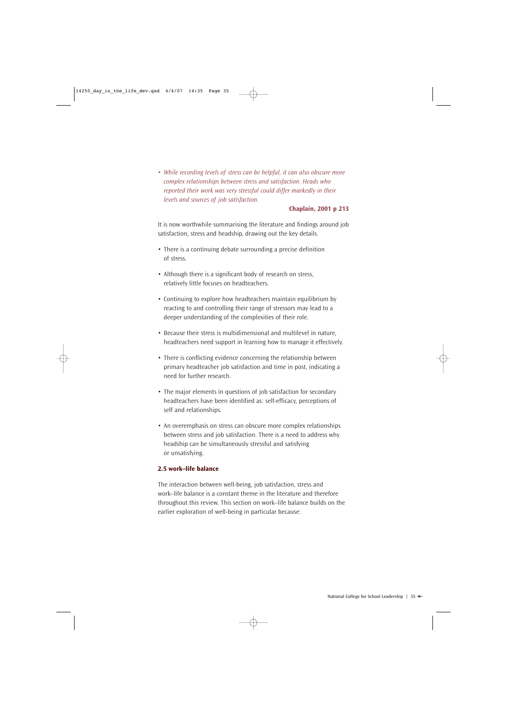• *While recording levels of stress can be helpful, it can also obscure more complex relationships between stress and satisfaction. Heads who reported their work was very stressful could differ markedly in their levels and sources of job satisfaction.* 

#### **Chaplain, 2001 p 213**

It is now worthwhile summarising the literature and findings around job satisfaction, stress and headship, drawing out the key details.

- There is a continuing debate surrounding a precise definition of stress.
- Although there is a significant body of research on stress, relatively little focuses on headteachers.
- Continuing to explore how headteachers maintain equilibrium by reacting to and controlling their range of stressors may lead to a deeper understanding of the complexities of their role.
- Because their stress is multidimensional and multilevel in nature, headteachers need support in learning how to manage it effectively.
- There is conflicting evidence concerning the relationship between primary headteacher job satisfaction and time in post, indicating a need for further research.
- The major elements in questions of job satisfaction for secondary headteachers have been identified as: self-efficacy, perceptions of self and relationships.
- An overemphasis on stress can obscure more complex relationships between stress and job satisfaction. There is a need to address why headship can be simultaneously stressful and satisfying or unsatisfying.

### **2.5 work–life balance**

The interaction between well-being, job satisfaction, stress and work–life balance is a constant theme in the literature and therefore throughout this review. This section on work–life balance builds on the earlier exploration of well-being in particular because: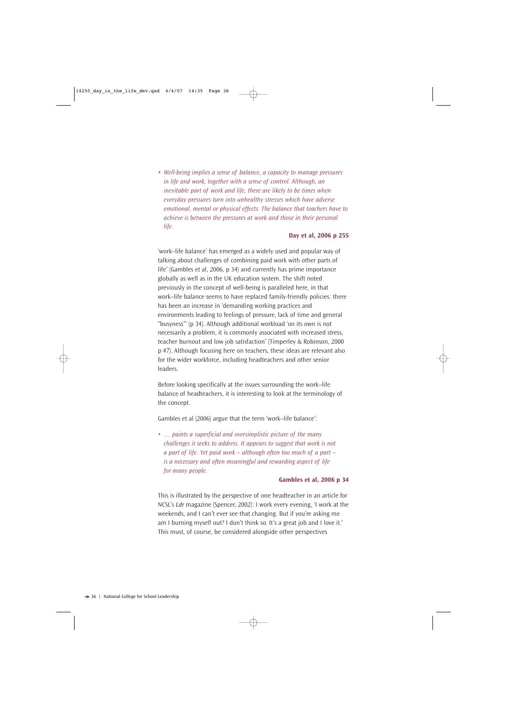• *Well-being implies a sense of balance, a capacity to manage pressures in life and work, together with a sense of control. Although, an inevitable part of work and life, there are likely to be times when everyday pressures turn into unhealthy stresses which have adverse emotional, mental or physical effects. The balance that teachers have to achieve is between the pressures at work and those in their personal life.* 

#### **Day et al, 2006 p 255**

'work–life balance' has emerged as a widely used and popular way of talking about challenges of combining paid work with other parts of life' (Gambles et al, 2006, p 34) and currently has prime importance globally as well as in the UK education system. The shift noted previously in the concept of well-being is paralleled here, in that work–life balance seems to have replaced family-friendly policies: there has been an increase in 'demanding working practices and environments leading to feelings of pressure, lack of time and general "busyness"' (p 34). Although additional workload 'on its own is not necessarily a problem, it is commonly associated with increased stress, teacher burnout and low job satisfaction' (Timperley & Robinson, 2000 p 47). Although focusing here on teachers, these ideas are relevant also for the wider workforce, including headteachers and other senior leaders.

Before looking specifically at the issues surrounding the work–life balance of headteachers, it is interesting to look at the terminology of the concept.

Gambles et al (2006) argue that the term 'work–life balance':

• *… paints a superficial and oversimplistic picture of the many challenges it seeks to address. It appears to suggest that work is not a part of life. Yet paid work – although often too much of a part – is a necessary and often meaningful and rewarding aspect of life for many people.*

#### **Gambles et al, 2006 p 34**

This is illustrated by the perspective of one headteacher in an article for NCSL's *Ldr* magazine (Spencer, 2002): I work every evening, 'I work at the weekends, and I can't ever see that changing. But if you're asking me am I burning myself out? I don't think so. It's a great job and I love it.' This must, of course, be considered alongside other perspectives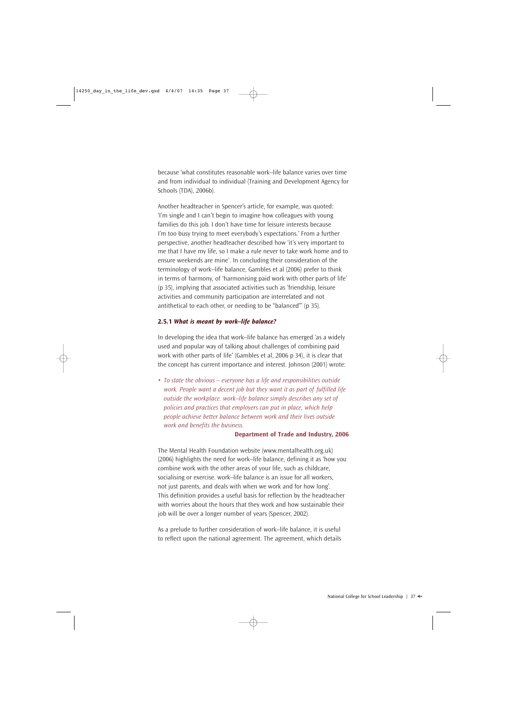because 'what constitutes reasonable work–life balance varies over time and from individual to individual (Training and Development Agency for Schools (TDA), 2006b).

Another headteacher in Spencer's article, for example, was quoted: 'I'm single and I can't begin to imagine how colleagues with young families do this job. I don't have time for leisure interests because I'm too busy trying to meet everybody's expectations.' From a further perspective, another headteacher described how 'it's very important to me that I have my life, so I make a rule never to take work home and to ensure weekends are mine'. In concluding their consideration of the terminology of work–life balance, Gambles et al (2006) prefer to think in terms of harmony, of 'harmonising paid work with other parts of life' (p 35), implying that associated activities such as 'friendship, leisure activities and community participation are interrelated and not antithetical to each other, or needing to be "balanced"' (p 35).

#### **2.5.1** *What is meant by work–life balance?*

In developing the idea that work–life balance has emerged 'as a widely used and popular way of talking about challenges of combining paid work with other parts of life' (Gambles et al, 2006 p 34), it is clear that the concept has current importance and interest. Johnson (2001) wrote:

• *To state the obvious – everyone has a life and responsibilities outside work. People want a decent job but they want it as part of fulfilled life outside the workplace. work–life balance simply describes any set of policies and practices that employers can put in place, which help people achieve better balance between work and their lives outside work and benefits the business.* 

#### **Department of Trade and Industry, 2006**

The Mental Health Foundation website (www.mentalhealth.org.uk) (2006) highlights the need for work–life balance, defining it as 'how you combine work with the other areas of your life, such as childcare, socialising or exercise. work–life balance is an issue for all workers, not just parents, and deals with when we work and for how long'. This definition provides a useful basis for reflection by the headteacher with worries about the hours that they work and how sustainable their job will be over a longer number of years (Spencer, 2002).

As a prelude to further consideration of work–life balance, it is useful to reflect upon the national agreement. The agreement, which details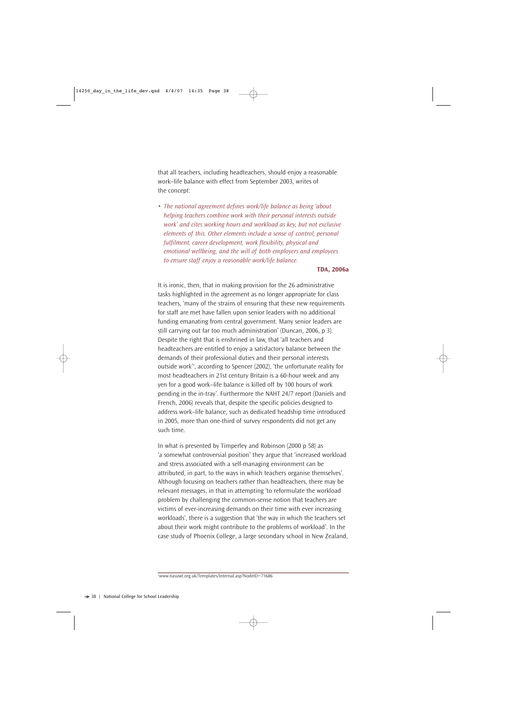that all teachers, including headteachers, should enjoy a reasonable work–life balance with effect from September 2003, writes of the concept:

• *The national agreement defines work/life balance as being 'about helping teachers combine work with their personal interests outside work' and cites working hours and workload as key, but not exclusive elements of this. Other elements include a sense of control, personal fulfilment, career development, work flexibility, physical and emotional wellbeing, and the will of both employers and employees to ensure staff enjoy a reasonable work/life balance.* 

#### **TDA, 2006a**

It is ironic, then, that in making provision for the 26 administrative tasks highlighted in the agreement as no longer appropriate for class teachers, 'many of the strains of ensuring that these new requirements for staff are met have fallen upon senior leaders with no additional funding emanating from central government. Many senior leaders are still carrying out far too much administration' (Duncan, 2006, p 3). Despite the right that is enshrined in law, that 'all teachers and headteachers are entitled to enjoy a satisfactory balance between the demands of their professional duties and their personal interests outside work'3 , according to Spencer (2002), 'the unfortunate reality for most headteachers in 21st century Britain is a 60-hour week and any yen for a good work–life balance is killed off by 100 hours of work pending in the in-tray'. Furthermore the NAHT 24/7 report (Daniels and French, 2006) reveals that, despite the specific policies designed to address work–life balance, such as dedicated headship time introduced in 2005, more than one-third of survey respondents did not get any such time.

In what is presented by Timperley and Robinson (2000 p 58) as 'a somewhat controversial position' they argue that 'increased workload and stress associated with a self-managing environment can be attributed, in part, to the ways in which teachers organise themselves'. Although focusing on teachers rather than headteachers, there may be relevant messages, in that in attempting 'to reformulate the workload problem by challenging the common-sense notion that teachers are victims of ever-increasing demands on their time with ever increasing workloads', there is a suggestion that 'the way in which the teachers set about their work might contribute to the problems of workload'. In the case study of Phoenix College, a large secondary school in New Zealand,

<sup>3</sup> www.nasuwt.org.uk/Templates/Internal.asp?NodeID=71686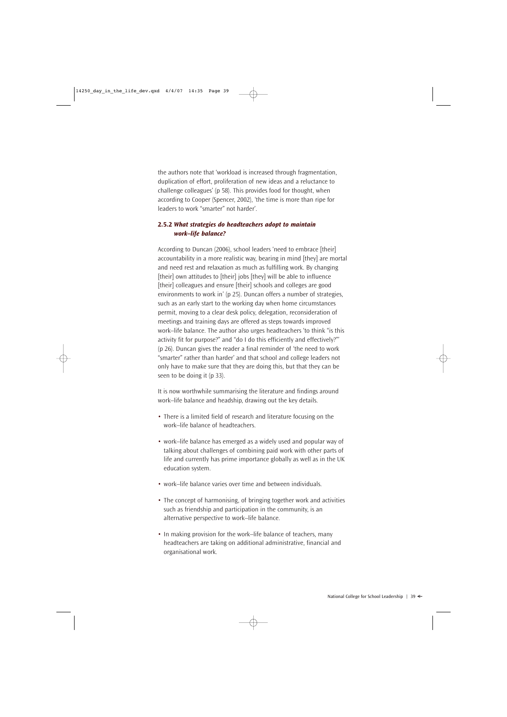the authors note that 'workload is increased through fragmentation, duplication of effort, proliferation of new ideas and a reluctance to challenge colleagues' (p 58). This provides food for thought, when according to Cooper (Spencer, 2002), 'the time is more than ripe for leaders to work "smarter" not harder'.

## **2.5.2** *What strategies do headteachers adopt to maintain work–life balance?*

According to Duncan (2006), school leaders 'need to embrace [their] accountability in a more realistic way, bearing in mind [they] are mortal and need rest and relaxation as much as fulfilling work. By changing [their] own attitudes to [their] jobs [they] will be able to influence [their] colleagues and ensure [their] schools and colleges are good environments to work in' (p 25). Duncan offers a number of strategies, such as an early start to the working day when home circumstances permit, moving to a clear desk policy, delegation, reconsideration of meetings and training days are offered as steps towards improved work–life balance. The author also urges headteachers 'to think "is this activity fit for purpose?" and "do I do this efficiently and effectively?"' (p 26). Duncan gives the reader a final reminder of 'the need to work "smarter" rather than harder' and that school and college leaders not only have to make sure that they are doing this, but that they can be seen to be doing it (p 33).

It is now worthwhile summarising the literature and findings around work–life balance and headship, drawing out the key details.

- There is a limited field of research and literature focusing on the work–life balance of headteachers.
- work–life balance has emerged as a widely used and popular way of talking about challenges of combining paid work with other parts of life and currently has prime importance globally as well as in the UK education system.
- work–life balance varies over time and between individuals.
- The concept of harmonising, of bringing together work and activities such as friendship and participation in the community, is an alternative perspective to work–life balance.
- In making provision for the work–life balance of teachers, many headteachers are taking on additional administrative, financial and organisational work.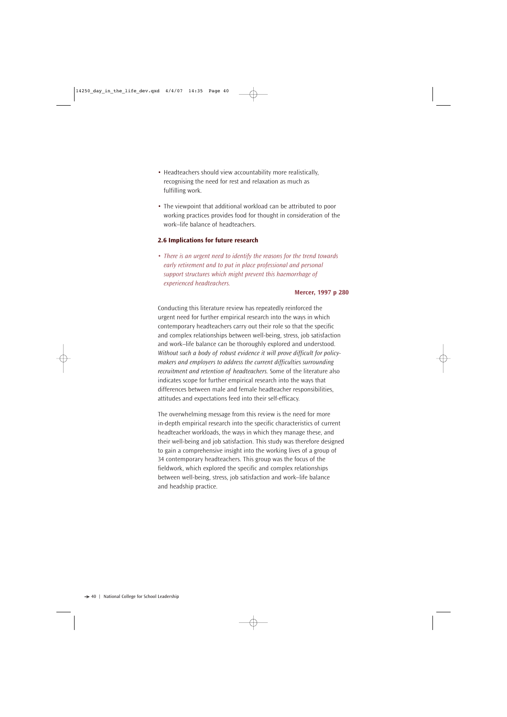- Headteachers should view accountability more realistically, recognising the need for rest and relaxation as much as fulfilling work.
- The viewpoint that additional workload can be attributed to poor working practices provides food for thought in consideration of the work–life balance of headteachers.

## **2.6 Implications for future research**

• *There is an urgent need to identify the reasons for the trend towards early retirement and to put in place professional and personal support structures which might prevent this haemorrhage of experienced headteachers.* 

#### **Mercer, 1997 p 280**

Conducting this literature review has repeatedly reinforced the urgent need for further empirical research into the ways in which contemporary headteachers carry out their role so that the specific and complex relationships between well-being, stress, job satisfaction and work–life balance can be thoroughly explored and understood. *Without such a body of robust evidence it will prove difficult for policymakers and employers to address the current difficulties surrounding recruitment and retention of headteachers.* Some of the literature also indicates scope for further empirical research into the ways that differences between male and female headteacher responsibilities, attitudes and expectations feed into their self-efficacy.

The overwhelming message from this review is the need for more in-depth empirical research into the specific characteristics of current headteacher workloads, the ways in which they manage these, and their well-being and job satisfaction. This study was therefore designed to gain a comprehensive insight into the working lives of a group of 34 contemporary headteachers. This group was the focus of the fieldwork, which explored the specific and complex relationships between well-being, stress, job satisfaction and work–life balance and headship practice.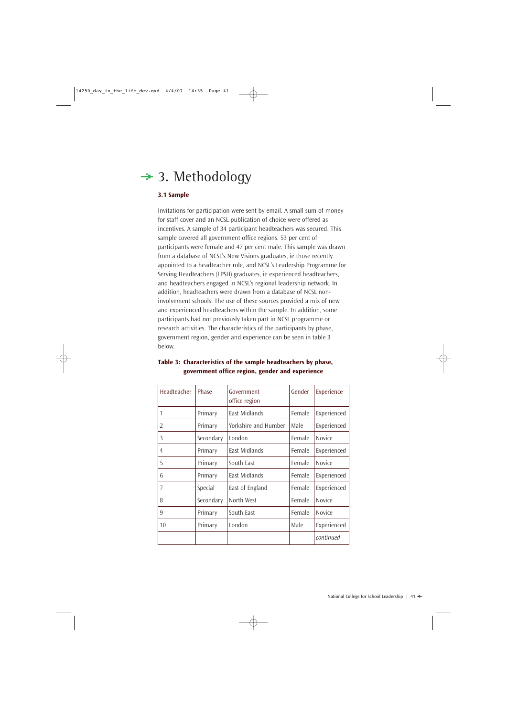# $\div$  3. Methodology

## **3.1 Sample**

Invitations for participation were sent by email. A small sum of money for staff cover and an NCSL publication of choice were offered as incentives. A sample of 34 participant headteachers was secured. This sample covered all government office regions. 53 per cent of participants were female and 47 per cent male. This sample was drawn from a database of NCSL's New Visions graduates, ie those recently appointed to a headteacher role, and NCSL's Leadership Programme for Serving Headteachers (LPSH) graduates, ie experienced headteachers, and headteachers engaged in NCSL's regional leadership network. In addition, headteachers were drawn from a database of NCSL noninvolvement schools. The use of these sources provided a mix of new and experienced headteachers within the sample. In addition, some participants had not previously taken part in NCSL programme or research activities. The characteristics of the participants by phase, government region, gender and experience can be seen in table 3 below.

| Headteacher    | Phase     | Government<br>office region | Gender | Experience    |
|----------------|-----------|-----------------------------|--------|---------------|
| 1              | Primary   | <b>East Midlands</b>        | Female | Experienced   |
| 2              | Primary   | Yorkshire and Humber        | Male   | Experienced   |
| 3              | Secondary | London                      | Female | <b>Novice</b> |
| $\overline{4}$ | Primary   | East Midlands               | Female | Experienced   |
| 5              | Primary   | South East                  | Female | <b>Novice</b> |
| 6              | Primary   | East Midlands               | Female | Experienced   |
| 7              | Special   | East of England             | Female | Experienced   |
| 8              | Secondary | North West                  | Female | Novice        |
| 9              | Primary   | South East                  | Female | Novice        |
| 10             | Primary   | London                      | Male   | Experienced   |
|                |           |                             |        | continued     |

## **Table 3: Characteristics of the sample headteachers by phase, government office region, gender and experience**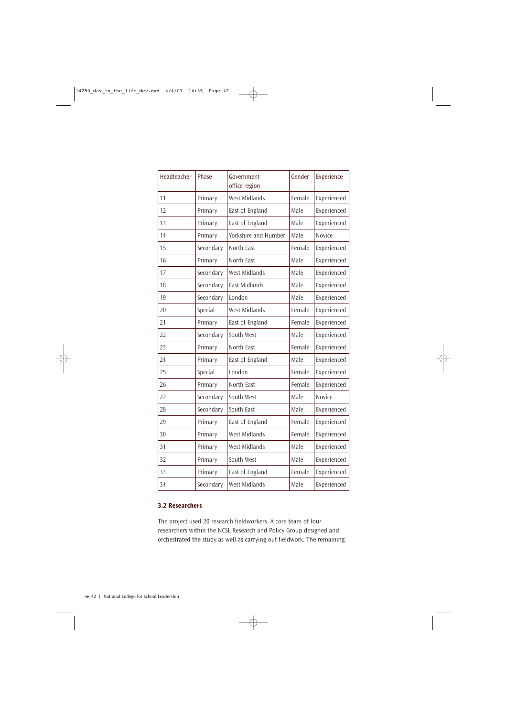| Headteacher | Phase     | Government<br>office region | Gender | Experience  |
|-------------|-----------|-----------------------------|--------|-------------|
| 11          | Primary   | <b>West Midlands</b>        | Female | Experienced |
| 12          | Primary   | East of England             | Male   | Experienced |
| 13          | Primary   | East of England             | Male   | Experienced |
| 14          | Primary   | Yorkshire and Humber        | Male   | Novice      |
| 15          | Secondary | North East                  | Female | Experienced |
| 16          | Primary   | North East                  | Male   | Experienced |
| 17          | Secondary | West Midlands               | Male   | Experienced |
| 18          | Secondary | East Midlands               | Male   | Experienced |
| 19          | Secondary | London                      | Male   | Experienced |
| 20          | Special   | West Midlands               | Female | Experienced |
| 21          | Primary   | East of England             | Female | Experienced |
| 22          | Secondary | South West                  | Male   | Experienced |
| 23          | Primary   | North East                  | Female | Experienced |
| 24          | Primary   | East of England             | Male   | Experienced |
| 25          | Special   | London                      | Female | Experienced |
| 26          | Primary   | North East                  | Female | Experienced |
| 27          | Secondary | South West                  | Male   | Novice      |
| 28          | Secondary | South East                  | Male   | Experienced |
| 29          | Primary   | East of England             | Female | Experienced |
| 30          | Primary   | West Midlands               | Female | Experienced |
| 31          | Primary   | West Midlands               | Male   | Experienced |
| 32          | Primary   | South West                  | Male   | Experienced |
| 33          | Primary   | East of England             | Female | Experienced |
| 34          | Secondary | West Midlands               | Male   | Experienced |

## **3.2 Researchers**

The project used 20 research fieldworkers. A core team of four researchers within the NCSL Research and Policy Group designed and orchestrated the study as well as carrying out fieldwork. The remaining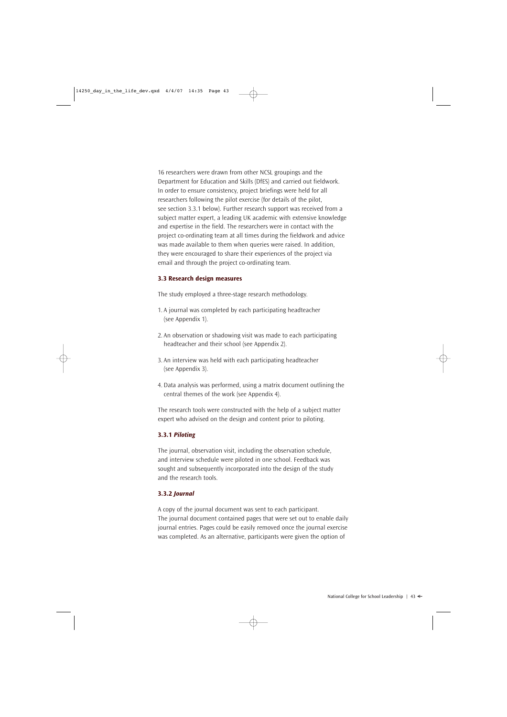16 researchers were drawn from other NCSL groupings and the Department for Education and Skills (DfES) and carried out fieldwork. In order to ensure consistency, project briefings were held for all researchers following the pilot exercise (for details of the pilot, see section 3.3.1 below). Further research support was received from a subject matter expert, a leading UK academic with extensive knowledge and expertise in the field. The researchers were in contact with the project co-ordinating team at all times during the fieldwork and advice was made available to them when queries were raised. In addition, they were encouraged to share their experiences of the project via email and through the project co-ordinating team.

#### **3.3 Research design measures**

The study employed a three-stage research methodology.

- 1. A journal was completed by each participating headteacher (see Appendix 1).
- 2. An observation or shadowing visit was made to each participating headteacher and their school (see Appendix 2).
- 3. An interview was held with each participating headteacher (see Appendix 3).
- 4. Data analysis was performed, using a matrix document outlining the central themes of the work (see Appendix 4).

The research tools were constructed with the help of a subject matter expert who advised on the design and content prior to piloting.

## **3.3.1** *Piloting*

The journal, observation visit, including the observation schedule, and interview schedule were piloted in one school. Feedback was sought and subsequently incorporated into the design of the study and the research tools.

#### **3.3.2** *Journal*

A copy of the journal document was sent to each participant. The journal document contained pages that were set out to enable daily journal entries. Pages could be easily removed once the journal exercise was completed. As an alternative, participants were given the option of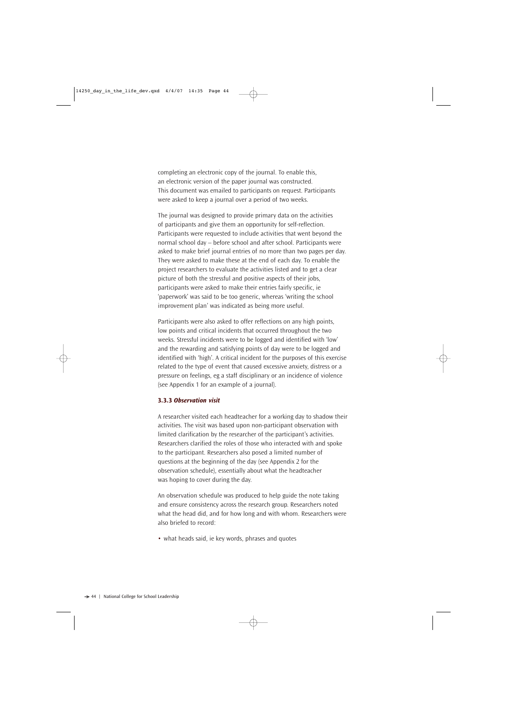completing an electronic copy of the journal. To enable this, an electronic version of the paper journal was constructed. This document was emailed to participants on request. Participants were asked to keep a journal over a period of two weeks.

The journal was designed to provide primary data on the activities of participants and give them an opportunity for self-reflection. Participants were requested to include activities that went beyond the normal school day – before school and after school. Participants were asked to make brief journal entries of no more than two pages per day. They were asked to make these at the end of each day. To enable the project researchers to evaluate the activities listed and to get a clear picture of both the stressful and positive aspects of their jobs, participants were asked to make their entries fairly specific, ie 'paperwork' was said to be too generic, whereas 'writing the school improvement plan' was indicated as being more useful.

Participants were also asked to offer reflections on any high points, low points and critical incidents that occurred throughout the two weeks. Stressful incidents were to be logged and identified with 'low' and the rewarding and satisfying points of day were to be logged and identified with 'high'. A critical incident for the purposes of this exercise related to the type of event that caused excessive anxiety, distress or a pressure on feelings, eg a staff disciplinary or an incidence of violence (see Appendix 1 for an example of a journal).

#### **3.3.3** *Observation visit*

A researcher visited each headteacher for a working day to shadow their activities. The visit was based upon non-participant observation with limited clarification by the researcher of the participant's activities. Researchers clarified the roles of those who interacted with and spoke to the participant. Researchers also posed a limited number of questions at the beginning of the day (see Appendix 2 for the observation schedule), essentially about what the headteacher was hoping to cover during the day.

An observation schedule was produced to help guide the note taking and ensure consistency across the research group. Researchers noted what the head did, and for how long and with whom. Researchers were also briefed to record:

• what heads said, ie key words, phrases and quotes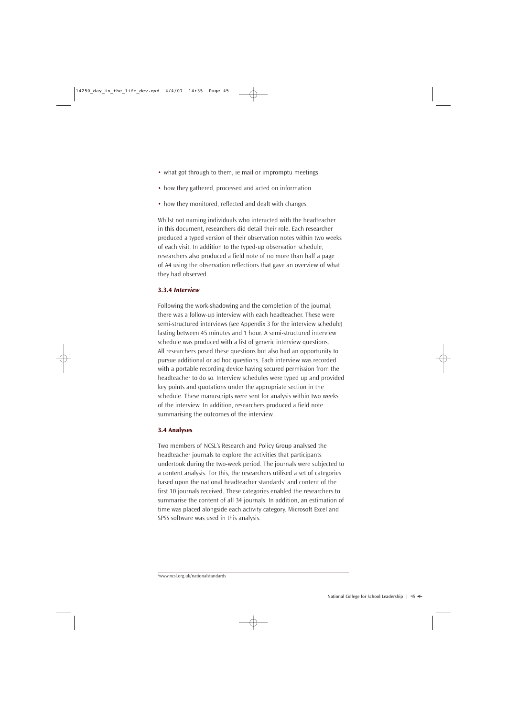- what got through to them, ie mail or impromptu meetings
- how they gathered, processed and acted on information
- how they monitored, reflected and dealt with changes

Whilst not naming individuals who interacted with the headteacher in this document, researchers did detail their role. Each researcher produced a typed version of their observation notes within two weeks of each visit. In addition to the typed-up observation schedule, researchers also produced a field note of no more than half a page of A4 using the observation reflections that gave an overview of what they had observed.

## **3.3.4** *Interview*

Following the work-shadowing and the completion of the journal, there was a follow-up interview with each headteacher. These were semi-structured interviews (see Appendix 3 for the interview schedule) lasting between 45 minutes and 1 hour. A semi-structured interview schedule was produced with a list of generic interview questions. All researchers posed these questions but also had an opportunity to pursue additional or ad hoc questions. Each interview was recorded with a portable recording device having secured permission from the headteacher to do so. Interview schedules were typed up and provided key points and quotations under the appropriate section in the schedule. These manuscripts were sent for analysis within two weeks of the interview. In addition, researchers produced a field note summarising the outcomes of the interview.

## **3.4 Analyses**

Two members of NCSL's Research and Policy Group analysed the headteacher journals to explore the activities that participants undertook during the two-week period. The journals were subjected to a content analysis. For this, the researchers utilised a set of categories based upon the national headteacher standards<sup>4</sup> and content of the first 10 journals received. These categories enabled the researchers to summarise the content of all 34 journals. In addition, an estimation of time was placed alongside each activity category. Microsoft Excel and SPSS software was used in this analysis.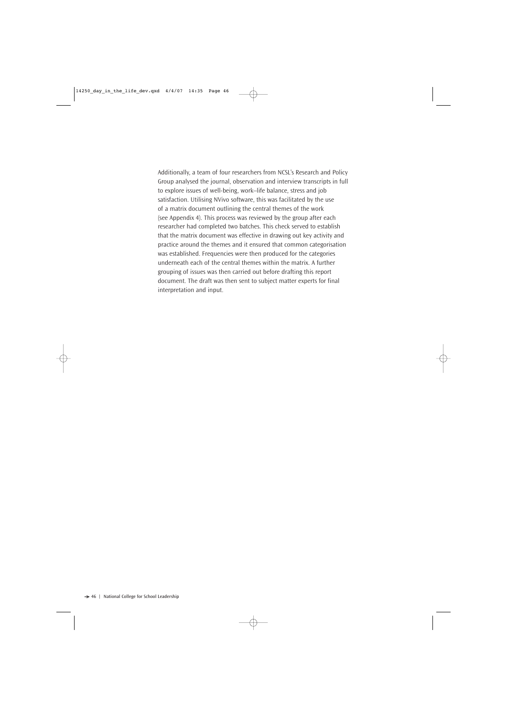Additionally, a team of four researchers from NCSL's Research and Policy Group analysed the journal, observation and interview transcripts in full to explore issues of well-being, work–life balance, stress and job satisfaction. Utilising NVivo software, this was facilitated by the use of a matrix document outlining the central themes of the work (see Appendix 4). This process was reviewed by the group after each researcher had completed two batches. This check served to establish that the matrix document was effective in drawing out key activity and practice around the themes and it ensured that common categorisation was established. Frequencies were then produced for the categories underneath each of the central themes within the matrix. A further grouping of issues was then carried out before drafting this report document. The draft was then sent to subject matter experts for final interpretation and input.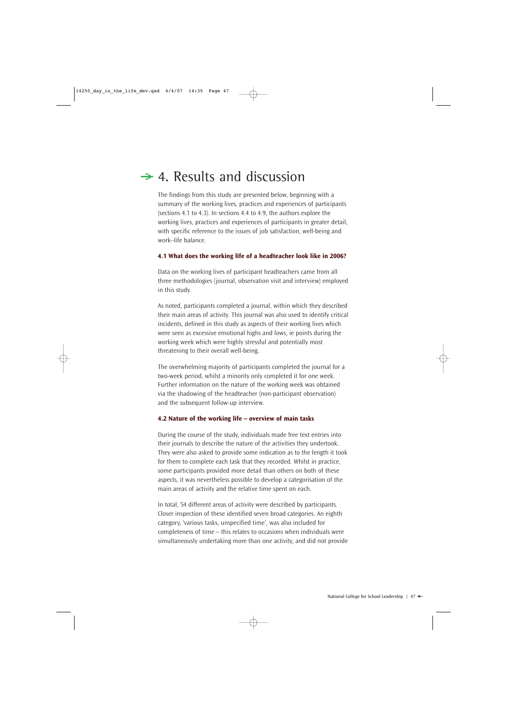## $\div$  4. Results and discussion

The findings from this study are presented below, beginning with a summary of the working lives, practices and experiences of participants (sections 4.1 to 4.3). In sections 4.4 to 4.9, the authors explore the working lives, practices and experiences of participants in greater detail, with specific reference to the issues of job satisfaction, well-being and work–life balance.

## **4.1 What does the working life of a headteacher look like in 2006?**

Data on the working lives of participant headteachers came from all three methodologies (journal, observation visit and interview) employed in this study.

As noted, participants completed a journal, within which they described their main areas of activity. This journal was also used to identify critical incidents, defined in this study as aspects of their working lives which were seen as excessive emotional highs and lows, ie points during the working week which were highly stressful and potentially most threatening to their overall well-being.

The overwhelming majority of participants completed the journal for a two-week period, whilst a minority only completed it for one week. Further information on the nature of the working week was obtained via the shadowing of the headteacher (non-participant observation) and the subsequent follow-up interview.

## **4.2 Nature of the working life – overview of main tasks**

During the course of the study, individuals made free text entries into their journals to describe the nature of the activities they undertook. They were also asked to provide some indication as to the length it took for them to complete each task that they recorded. Whilst in practice, some participants provided more detail than others on both of these aspects, it was nevertheless possible to develop a categorisation of the main areas of activity and the relative time spent on each.

In total, 54 different areas of activity were described by participants. Closer inspection of these identified seven broad categories. An eighth category, 'various tasks, unspecified time', was also included for completeness of time – this relates to occasions when individuals were simultaneously undertaking more than one activity, and did not provide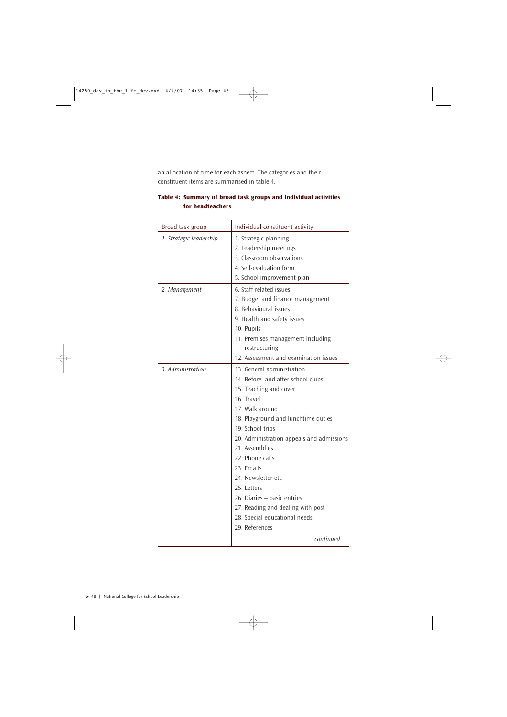an allocation of time for each aspect. The categories and their constituent items are summarised in table 4.

| Broad task group        | Individual constituent activity           |
|-------------------------|-------------------------------------------|
| 1. Strategic leadership | 1. Strategic planning                     |
|                         | 2. Leadership meetings                    |
|                         | 3. Classroom observations                 |
|                         | 4. Self-evaluation form                   |
|                         | 5. School improvement plan                |
| 2. Management           | 6. Staff-related issues                   |
|                         | 7. Budget and finance management          |
|                         | 8. Behavioural issues                     |
|                         | 9. Health and safety issues               |
|                         | 10. Pupils                                |
|                         | 11. Premises management including         |
|                         | restructuring                             |
|                         | 12. Assessment and examination issues     |
| 3. Administration       | 13. General administration                |
|                         | 14. Before- and after-school clubs        |
|                         | 15. Teaching and cover                    |
|                         | 16. Travel                                |
|                         | 17. Walk around                           |
|                         | 18. Playground and lunchtime duties       |
|                         | 19. School trips                          |
|                         | 20. Administration appeals and admissions |
|                         | 21. Assemblies                            |
|                         | 22. Phone calls                           |
|                         | 23. Emails                                |
|                         | 24. Newsletter etc                        |
|                         | 25. Letters                               |
|                         | 26. Diaries - basic entries               |
|                         | 27. Reading and dealing with post         |
|                         | 28. Special educational needs             |
|                         | 29. References                            |
|                         | continued                                 |

## **Table 4: Summary of broad task groups and individual activities for headteachers**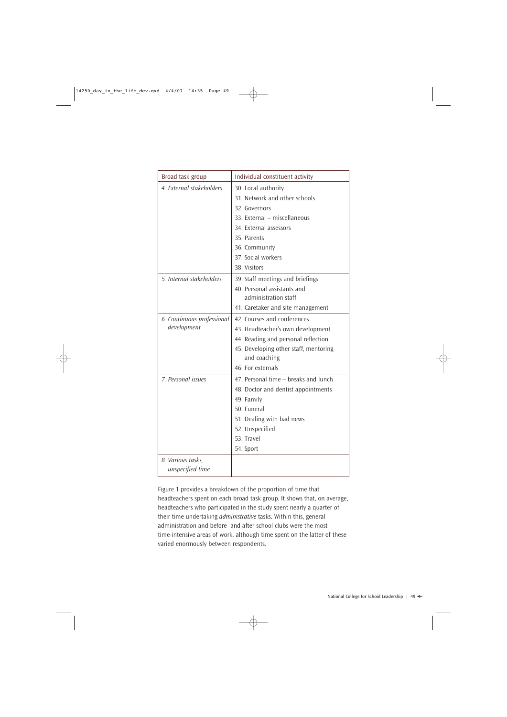| Broad task group           | Individual constituent activity                       |
|----------------------------|-------------------------------------------------------|
| 4. External stakeholders   | 30. Local authority                                   |
|                            | 31. Network and other schools                         |
|                            | 32. Governors                                         |
|                            | 33. External - miscellaneous                          |
|                            | 34. External assessors                                |
|                            | 35. Parents                                           |
|                            | 36. Community                                         |
|                            | 37. Social workers                                    |
|                            | 38. Visitors                                          |
| 5. Internal stakeholders   | 39. Staff meetings and briefings                      |
|                            | 40. Personal assistants and                           |
|                            | administration staff                                  |
|                            | 41. Caretaker and site management                     |
| 6. Continuous professional | 42. Courses and conferences                           |
| development                | 43. Headteacher's own development                     |
|                            | 44. Reading and personal reflection                   |
|                            | 45. Developing other staff, mentoring<br>and coaching |
|                            | 46. For externals                                     |
|                            |                                                       |
| 7. Personal issues         | 47. Personal time - breaks and lunch                  |
|                            | 48. Doctor and dentist appointments                   |
|                            | 49. Family                                            |
|                            | 50. Funeral                                           |
|                            | 51. Dealing with bad news                             |
|                            | 52. Unspecified                                       |
|                            | 53. Travel                                            |
|                            | 54. Sport                                             |
| 8. Various tasks,          |                                                       |
| unspecified time           |                                                       |

Figure 1 provides a breakdown of the proportion of time that headteachers spent on each broad task group. It shows that, on average, headteachers who participated in the study spent nearly a quarter of their time undertaking *administrative* tasks. Within this, general administration and before- and after-school clubs were the most time-intensive areas of work, although time spent on the latter of these varied enormously between respondents.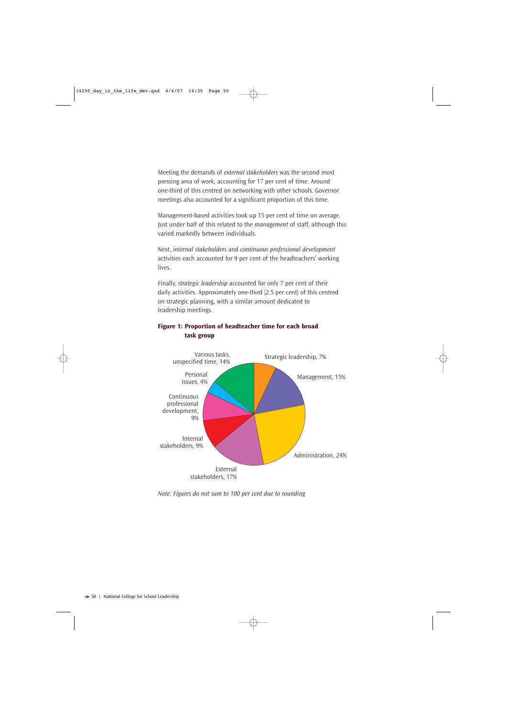Meeting the demands of *external stakeholders* was the second most pressing area of work, accounting for 17 per cent of time. Around one-third of this centred on networking with other schools. Governor meetings also accounted for a significant proportion of this time.

Management-based activities took up 15 per cent of time on average. Just under half of this related to the *management* of staff, although this varied markedly between individuals.

Next, *internal stakeholders* and *continuous professional development* activities each accounted for 9 per cent of the headteachers' working lives.

Finally, *strategic leadership* accounted for only 7 per cent of their daily activities. Approximately one-third (2.5 per cent) of this centred on strategic planning, with a similar amount dedicated to leadership meetings.



## **Figure 1: Proportion of headteacher time for each broad task group**

*Note: Figures do not sum to 100 per cent due to rounding*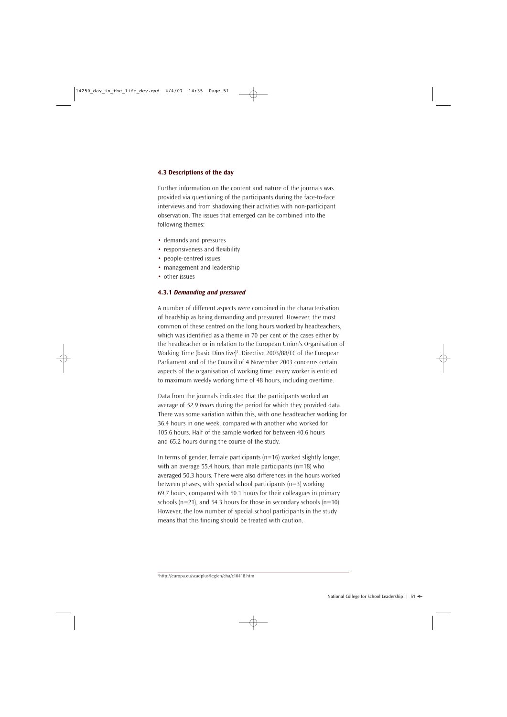## **4.3 Descriptions of the day**

Further information on the content and nature of the journals was provided via questioning of the participants during the face-to-face interviews and from shadowing their activities with non-participant observation. The issues that emerged can be combined into the following themes:

- demands and pressures
- responsiveness and flexibility
- people-centred issues
- management and leadership
- other issues

## **4.3.1** *Demanding and pressured*

A number of different aspects were combined in the characterisation of headship as being demanding and pressured. However, the most common of these centred on the long hours worked by headteachers, which was identified as a theme in 70 per cent of the cases either by the headteacher or in relation to the European Union's Organisation of Working Time (basic Directive)5 . Directive 2003/88/EC of the European Parliament and of the Council of 4 November 2003 concerns certain aspects of the organisation of working time: every worker is entitled to maximum weekly working time of 48 hours, including overtime.

Data from the journals indicated that the participants worked an average of *52.9 hours* during the period for which they provided data. There was some variation within this, with one headteacher working for 36.4 hours in one week, compared with another who worked for 105.6 hours. Half of the sample worked for between 40.6 hours and 65.2 hours during the course of the study.

In terms of gender, female participants ( $n=16$ ) worked slightly longer, with an average 55.4 hours, than male participants ( $n=18$ ) who averaged 50.3 hours. There were also differences in the hours worked between phases, with special school participants (n=3) working 69.7 hours, compared with 50.1 hours for their colleagues in primary schools ( $n=21$ ), and 54.3 hours for those in secondary schools ( $n=10$ ). However, the low number of special school participants in the study means that this finding should be treated with caution.

<sup>5</sup> http://europa.eu/scadplus/leg/en/cha/c10418.htm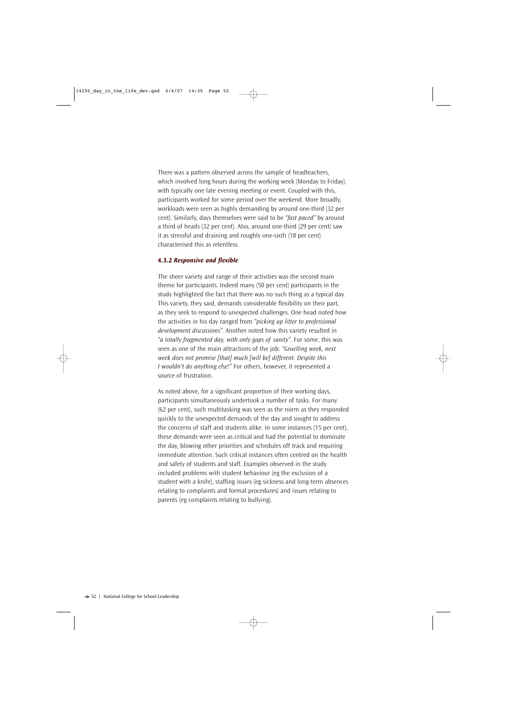There was a pattern observed across the sample of headteachers, which involved long hours during the working week (Monday to Friday), with typically one late evening meeting or event. Coupled with this, participants worked for some period over the weekend. More broadly, workloads were seen as highly demanding by around one-third (32 per cent). Similarly, days themselves were said to be *"fast paced"* by around a third of heads (32 per cent). Also, around one-third (29 per cent) saw it as stressful and draining and roughly one-sixth (18 per cent) characterised this as relentless.

#### **4.3.2** *Responsive and flexible*

The sheer variety and range of their activities was the second main theme for participants. Indeed many (50 per cent) participants in the study highlighted the fact that there was no such thing as a typical day. This variety, they said, demands considerable flexibility on their part, as they seek to respond to unexpected challenges. One head noted how the activities in his day ranged from *"picking up litter to professional development discussions".* Another noted how this variety resulted in *"a totally fragmented day, with only gaps of sanity".* For some, this was seen as one of the main attractions of the job: *"Gruelling week, next week does not promise [that] much [will be] different. Despite this I wouldn't do anything else!"* For others, however, it represented a source of frustration.

As noted above, for a significant proportion of their working days, participants simultaneously undertook a number of tasks. For many (62 per cent), such multitasking was seen as the norm as they responded quickly to the unexpected demands of the day and sought to address the concerns of staff and students alike. In some instances (15 per cent), these demands were seen as critical and had the potential to dominate the day, blowing other priorities and schedules off track and requiring immediate attention. Such critical instances often centred on the health and safety of students and staff. Examples observed in the study included problems with student behaviour (eg the exclusion of a student with a knife), staffing issues (eg sickness and long-term absences relating to complaints and formal procedures) and issues relating to parents (eg complaints relating to bullying).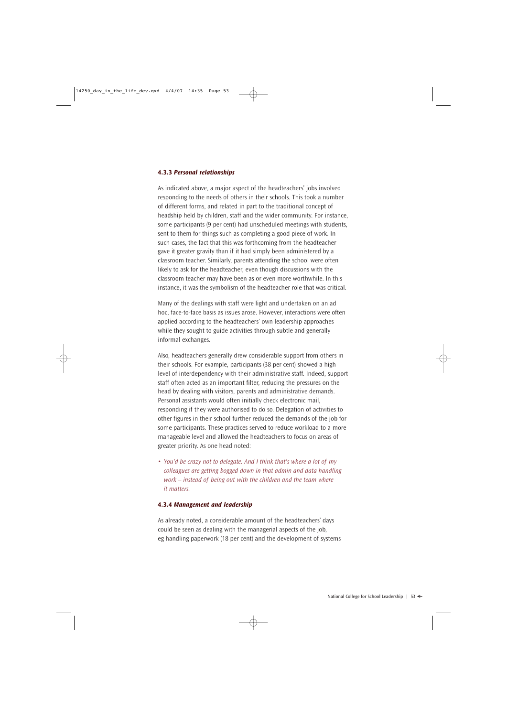#### **4.3.3** *Personal relationships*

As indicated above, a major aspect of the headteachers' jobs involved responding to the needs of others in their schools. This took a number of different forms, and related in part to the traditional concept of headship held by children, staff and the wider community. For instance, some participants (9 per cent) had unscheduled meetings with students, sent to them for things such as completing a good piece of work. In such cases, the fact that this was forthcoming from the headteacher gave it greater gravity than if it had simply been administered by a classroom teacher. Similarly, parents attending the school were often likely to ask for the headteacher, even though discussions with the classroom teacher may have been as or even more worthwhile. In this instance, it was the symbolism of the headteacher role that was critical.

Many of the dealings with staff were light and undertaken on an ad hoc, face-to-face basis as issues arose. However, interactions were often applied according to the headteachers' own leadership approaches while they sought to guide activities through subtle and generally informal exchanges.

Also, headteachers generally drew considerable support from others in their schools. For example, participants (38 per cent) showed a high level of interdependency with their administrative staff. Indeed, support staff often acted as an important filter, reducing the pressures on the head by dealing with visitors, parents and administrative demands. Personal assistants would often initially check electronic mail, responding if they were authorised to do so. Delegation of activities to other figures in their school further reduced the demands of the job for some participants. These practices served to reduce workload to a more manageable level and allowed the headteachers to focus on areas of greater priority. As one head noted:

• *You'd be crazy not to delegate. And I think that's where a lot of my colleagues are getting bogged down in that admin and data handling work – instead of being out with the children and the team where it matters.* 

## **4.3.4** *Management and leadership*

As already noted, a considerable amount of the headteachers' days could be seen as dealing with the managerial aspects of the job, eg handling paperwork (18 per cent) and the development of systems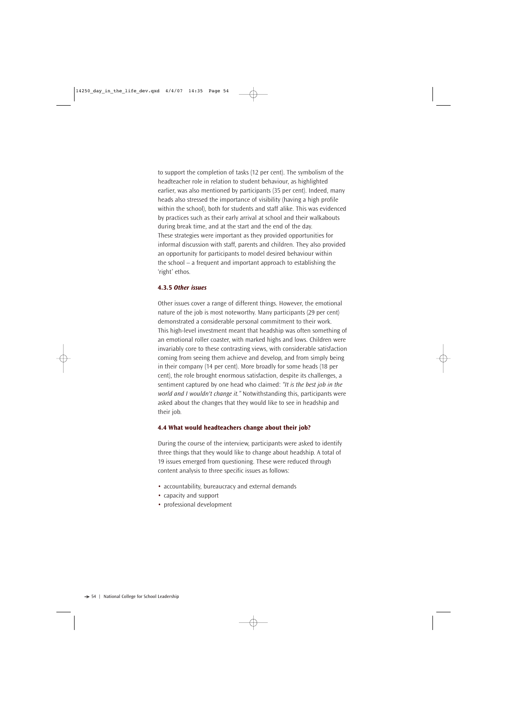to support the completion of tasks (12 per cent). The symbolism of the headteacher role in relation to student behaviour, as highlighted earlier, was also mentioned by participants (35 per cent). Indeed, many heads also stressed the importance of visibility (having a high profile within the school), both for students and staff alike. This was evidenced by practices such as their early arrival at school and their walkabouts during break time, and at the start and the end of the day. These strategies were important as they provided opportunities for informal discussion with staff, parents and children. They also provided an opportunity for participants to model desired behaviour within the school – a frequent and important approach to establishing the 'right' ethos.

#### **4.3.5** *Other issues*

Other issues cover a range of different things. However, the emotional nature of the job is most noteworthy. Many participants (29 per cent) demonstrated a considerable personal commitment to their work. This high-level investment meant that headship was often something of an emotional roller coaster, with marked highs and lows. Children were invariably core to these contrasting views, with considerable satisfaction coming from seeing them achieve and develop, and from simply being in their company (14 per cent). More broadly for some heads (18 per cent), the role brought enormous satisfaction, despite its challenges, a sentiment captured by one head who claimed: *"It is the best job in the world and I wouldn't change it."* Notwithstanding this, participants were asked about the changes that they would like to see in headship and their job.

#### **4.4 What would headteachers change about their job?**

During the course of the interview, participants were asked to identify three things that they would like to change about headship. A total of 19 issues emerged from questioning. These were reduced through content analysis to three specific issues as follows:

- accountability, bureaucracy and external demands
- capacity and support
- professional development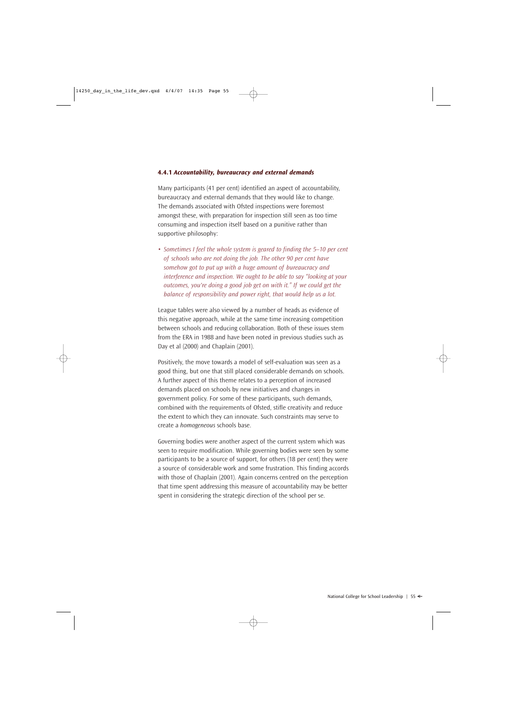#### **4.4.1** *Accountability, bureaucracy and external demands*

Many participants (41 per cent) identified an aspect of accountability, bureaucracy and external demands that they would like to change. The demands associated with Ofsted inspections were foremost amongst these, with preparation for inspection still seen as too time consuming and inspection itself based on a punitive rather than supportive philosophy:

• *Sometimes I feel the whole system is geared to finding the 5–10 per cent of schools who are not doing the job. The other 90 per cent have somehow got to put up with a huge amount of bureaucracy and interference and inspection. We ought to be able to say "looking at your outcomes, you're doing a good job get on with it." If we could get the balance of responsibility and power right, that would help us a lot.* 

League tables were also viewed by a number of heads as evidence of this negative approach, while at the same time increasing competition between schools and reducing collaboration. Both of these issues stem from the ERA in 1988 and have been noted in previous studies such as Day et al (2000) and Chaplain (2001).

Positively, the move towards a model of self-evaluation was seen as a good thing, but one that still placed considerable demands on schools. A further aspect of this theme relates to a perception of increased demands placed on schools by new initiatives and changes in government policy. For some of these participants, such demands, combined with the requirements of Ofsted, stifle creativity and reduce the extent to which they can innovate. Such constraints may serve to create a *homogeneous* schools base.

Governing bodies were another aspect of the current system which was seen to require modification. While governing bodies were seen by some participants to be a source of support, for others (18 per cent) they were a source of considerable work and some frustration. This finding accords with those of Chaplain (2001). Again concerns centred on the perception that time spent addressing this measure of accountability may be better spent in considering the strategic direction of the school per se.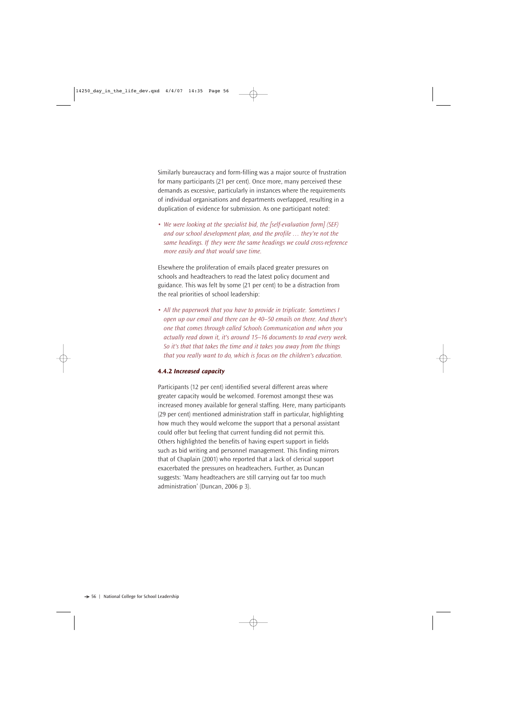Similarly bureaucracy and form-filling was a major source of frustration for many participants (21 per cent). Once more, many perceived these demands as excessive, particularly in instances where the requirements of individual organisations and departments overlapped, resulting in a duplication of evidence for submission. As one participant noted:

• *We were looking at the specialist bid, the [self-evaluation form] (SEF) and our school development plan, and the profile … they're not the same headings. If they were the same headings we could cross-reference more easily and that would save time.* 

Elsewhere the proliferation of emails placed greater pressures on schools and headteachers to read the latest policy document and guidance. This was felt by some (21 per cent) to be a distraction from the real priorities of school leadership:

• *All the paperwork that you have to provide in triplicate. Sometimes I open up our email and there can be 40–50 emails on there. And there's one that comes through called Schools Communication and when you actually read down it, it's around 15–16 documents to read every week. So it's that that takes the time and it takes you away from the things that you really want to do, which is focus on the children's education.* 

## **4.4.2** *Increased capacity*

Participants (12 per cent) identified several different areas where greater capacity would be welcomed. Foremost amongst these was increased money available for general staffing. Here, many participants (29 per cent) mentioned administration staff in particular, highlighting how much they would welcome the support that a personal assistant could offer but feeling that current funding did not permit this. Others highlighted the benefits of having expert support in fields such as bid writing and personnel management. This finding mirrors that of Chaplain (2001) who reported that a lack of clerical support exacerbated the pressures on headteachers. Further, as Duncan suggests: 'Many headteachers are still carrying out far too much administration' (Duncan, 2006 p 3).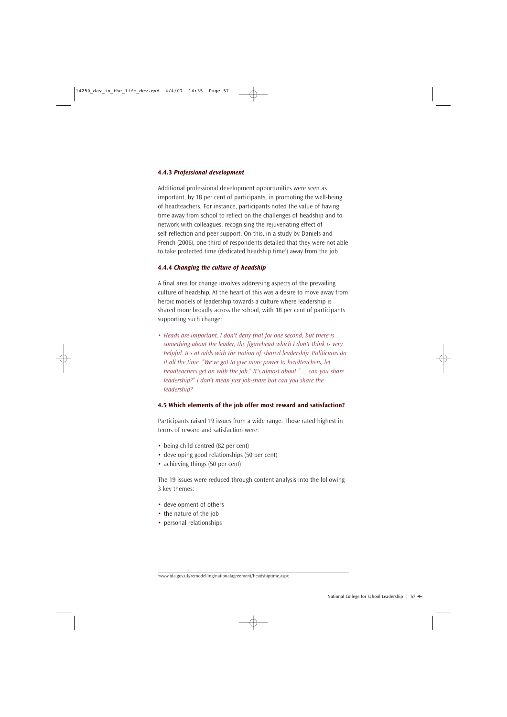## **4.4.3** *Professional development*

Additional professional development opportunities were seen as important, by 18 per cent of participants, in promoting the well-being of headteachers. For instance, participants noted the value of having time away from school to reflect on the challenges of headship and to network with colleagues, recognising the rejuvenating effect of self-reflection and peer support. On this, in a study by Daniels and French (2006), one-third of respondents detailed that they were not able to take protected time (dedicated headship time<sup>6</sup>) away from the job.

## **4.4.4** *Changing the culture of headship*

A final area for change involves addressing aspects of the prevailing culture of headship. At the heart of this was a desire to move away from heroic models of leadership towards a culture where leadership is shared more broadly across the school, with 18 per cent of participants supporting such change:

• *Heads are important, I don't deny that for one second, but there is something about the leader, the figurehead which I don't think is very helpful. It's at odds with the notion of shared leadership. Politicians do it all the time. "We've got to give more power to headteachers, let headteachers get on with the job." It's almost about "… can you share leadership?" I don't mean just job-share but can you share the leadership?*

## **4.5 Which elements of the job offer most reward and satisfaction?**

Participants raised 19 issues from a wide range. Those rated highest in terms of reward and satisfaction were:

- being child centred (82 per cent)
- developing good relationships (50 per cent)
- achieving things (50 per cent)

The 19 issues were reduced through content analysis into the following 3 key themes:

- development of others
- the nature of the job
- personal relationships

<sup>6</sup> www.tda.gov.uk/remodelling/nationalagreement/headshiptime.aspx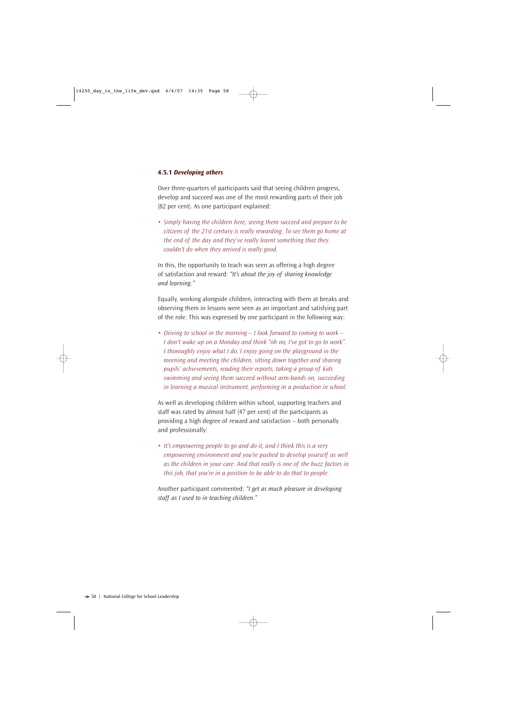## **4.5.1** *Developing others*

Over three-quarters of participants said that seeing children progress, develop and succeed was one of the most rewarding parts of their job (82 per cent). As one participant explained:

• *Simply having the children here, seeing them succeed and prepare to be citizens of the 21st century is really rewarding. To see them go home at the end of the day and they've really learnt something that they couldn't do when they arrived is really good.*

In this, the opportunity to teach was seen as offering a high degree of satisfaction and reward: *"It's about the joy of sharing knowledge and learning."*

Equally, working alongside children, interacting with them at breaks and observing them in lessons were seen as an important and satisfying part of the role. This was expressed by one participant in the following way:

• *Driving to school in the morning – I look forward to coming to work – I don't wake up on a Monday and think "oh no, I've got to go to work". I thoroughly enjoy what I do. I enjoy going on the playground in the morning and meeting the children, sitting down together and sharing pupils' achievements, reading their reports, taking a group of kids swimming and seeing them succeed without arm-bands on, succeeding in learning a musical instrument, performing in a production in school.*

As well as developing children within school, supporting teachers and staff was rated by almost half (47 per cent) of the participants as providing a high degree of reward and satisfaction – both personally and professionally:

• *It's empowering people to go and do it, and I think this is a very empowering environment and you're pushed to develop yourself as well as the children in your care. And that really is one of the buzz factors in this job, that you're in a position to be able to do that to people.*

Another participant commented: *"I get as much pleasure in developing staff as I used to in teaching children."*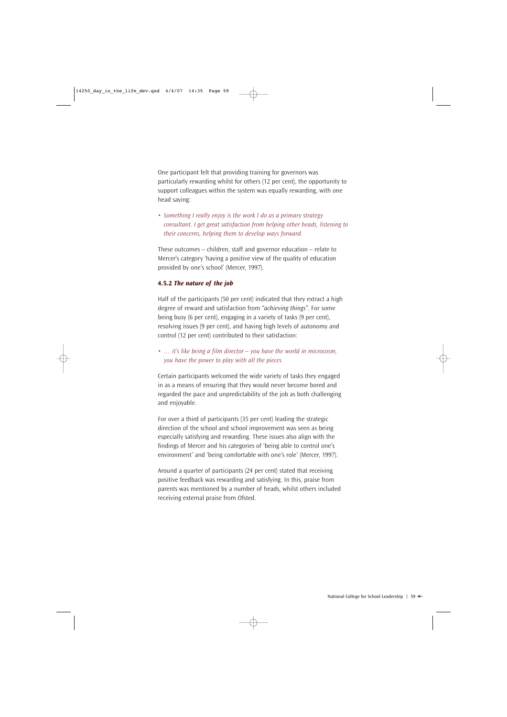One participant felt that providing training for governors was particularly rewarding whilst for others (12 per cent), the opportunity to support colleagues within the system was equally rewarding, with one head saying:

• *Something I really enjoy is the work I do as a primary strategy consultant. I get great satisfaction from helping other heads, listening to their concerns, helping them to develop ways forward.*

These outcomes – children, staff and governor education – relate to Mercer's category 'having a positive view of the quality of education provided by one's school' (Mercer, 1997).

## **4.5.2** *The nature of the job*

Half of the participants (50 per cent) indicated that they extract a high degree of reward and satisfaction from *"achieving things"*. For some being busy (6 per cent), engaging in a variety of tasks (9 per cent), resolving issues (9 per cent), and having high levels of autonomy and control (12 per cent) contributed to their satisfaction:

• *… it's like being a film director – you have the world in microcosm, you have the power to play with all the pieces.*

Certain participants welcomed the wide variety of tasks they engaged in as a means of ensuring that they would never become bored and regarded the pace and unpredictability of the job as both challenging and enjoyable.

For over a third of participants (35 per cent) leading the strategic direction of the school and school improvement was seen as being especially satisfying and rewarding. These issues also align with the findings of Mercer and his categories of 'being able to control one's environment' and 'being comfortable with one's role' (Mercer, 1997).

Around a quarter of participants (24 per cent) stated that receiving positive feedback was rewarding and satisfying. In this, praise from parents was mentioned by a number of heads, whilst others included receiving external praise from Ofsted.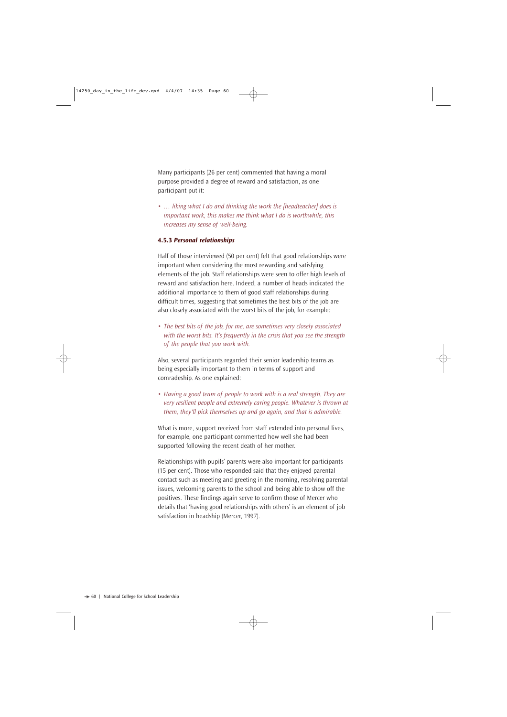Many participants (26 per cent) commented that having a moral purpose provided a degree of reward and satisfaction, as one participant put it:

• *… liking what I do and thinking the work the [headteacher] does is important work, this makes me think what I do is worthwhile, this increases my sense of well-being.*

## **4.5.3** *Personal relationships*

Half of those interviewed (50 per cent) felt that good relationships were important when considering the most rewarding and satisfying elements of the job. Staff relationships were seen to offer high levels of reward and satisfaction here. Indeed, a number of heads indicated the additional importance to them of good staff relationships during difficult times, suggesting that sometimes the best bits of the job are also closely associated with the worst bits of the job, for example:

• *The best bits of the job, for me, are sometimes very closely associated with the worst bits. It's frequently in the crisis that you see the strength of the people that you work with.*

Also, several participants regarded their senior leadership teams as being especially important to them in terms of support and comradeship. As one explained:

• *Having a good team of people to work with is a real strength. They are very resilient people and extremely caring people. Whatever is thrown at them, they'll pick themselves up and go again, and that is admirable.*

What is more, support received from staff extended into personal lives, for example, one participant commented how well she had been supported following the recent death of her mother.

Relationships with pupils' parents were also important for participants (15 per cent). Those who responded said that they enjoyed parental contact such as meeting and greeting in the morning, resolving parental issues, welcoming parents to the school and being able to show off the positives. These findings again serve to confirm those of Mercer who details that 'having good relationships with others' is an element of job satisfaction in headship (Mercer, 1997).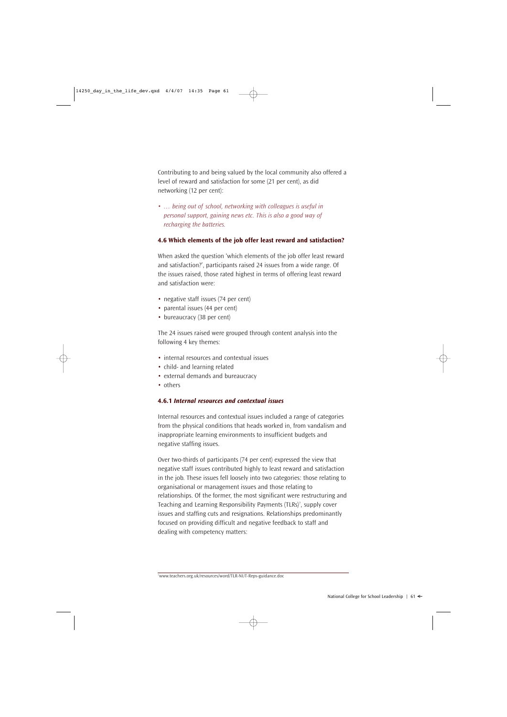Contributing to and being valued by the local community also offered a level of reward and satisfaction for some (21 per cent), as did networking (12 per cent):

• *… being out of school, networking with colleagues is useful in personal support, gaining news etc. This is also a good way of recharging the batteries.* 

## **4.6 Which elements of the job offer least reward and satisfaction?**

When asked the question 'which elements of the job offer least reward and satisfaction?', participants raised 24 issues from a wide range. Of the issues raised, those rated highest in terms of offering least reward and satisfaction were:

- negative staff issues (74 per cent)
- parental issues (44 per cent)
- bureaucracy (38 per cent)

The 24 issues raised were grouped through content analysis into the following 4 key themes:

- internal resources and contextual issues
- child- and learning related
- external demands and bureaucracy
- others

## **4.6.1** *Internal resources and contextual issues*

Internal resources and contextual issues included a range of categories from the physical conditions that heads worked in, from vandalism and inappropriate learning environments to insufficient budgets and negative staffing issues.

Over two-thirds of participants (74 per cent) expressed the view that negative staff issues contributed highly to least reward and satisfaction in the job. These issues fell loosely into two categories: those relating to organisational or management issues and those relating to relationships. Of the former, the most significant were restructuring and Teaching and Learning Responsibility Payments (TLRs)<sup>7</sup>, supply cover issues and staffing cuts and resignations. Relationships predominantly focused on providing difficult and negative feedback to staff and dealing with competency matters:

<sup>7</sup> www.teachers.org.uk/resources/word/TLR-NUT-Reps-guidance.doc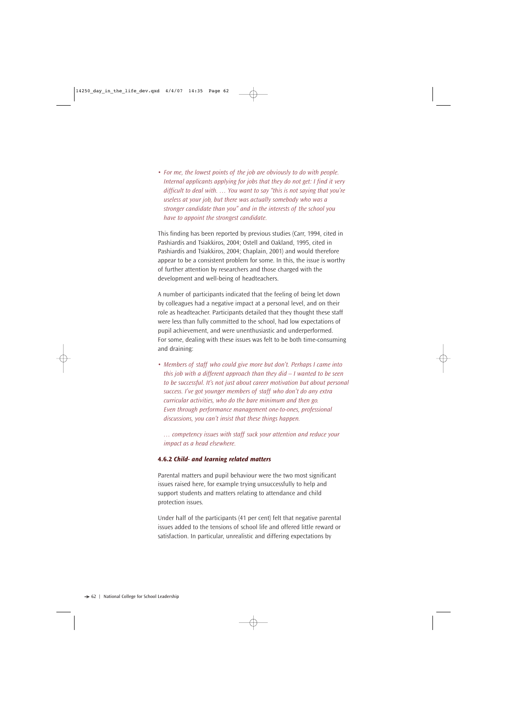• *For me, the lowest points of the job are obviously to do with people. Internal applicants applying for jobs that they do not get: I find it very difficult to deal with. … You want to say "this is not saying that you're useless at your job, but there was actually somebody who was a stronger candidate than you" and in the interests of the school you have to appoint the strongest candidate.*

This finding has been reported by previous studies (Carr, 1994, cited in Pashiardis and Tsiakkiros, 2004; Ostell and Oakland, 1995, cited in Pashiardis and Tsiakkiros, 2004; Chaplain, 2001) and would therefore appear to be a consistent problem for some. In this, the issue is worthy of further attention by researchers and those charged with the development and well-being of headteachers.

A number of participants indicated that the feeling of being let down by colleagues had a negative impact at a personal level, and on their role as headteacher. Participants detailed that they thought these staff were less than fully committed to the school, had low expectations of pupil achievement, and were unenthusiastic and underperformed. For some, dealing with these issues was felt to be both time-consuming and draining:

• *Members of staff who could give more but don't. Perhaps I came into this job with a different approach than they did – I wanted to be seen to be successful. It's not just about career motivation but about personal success. I've got younger members of staff who don't do any extra curricular activities, who do the bare minimum and then go. Even through performance management one-to-ones, professional discussions, you can't insist that these things happen.*

*… competency issues with staff suck your attention and reduce your impact as a head elsewhere.*

## **4.6.2** *Child- and learning related matters*

Parental matters and pupil behaviour were the two most significant issues raised here, for example trying unsuccessfully to help and support students and matters relating to attendance and child protection issues.

Under half of the participants (41 per cent) felt that negative parental issues added to the tensions of school life and offered little reward or satisfaction. In particular, unrealistic and differing expectations by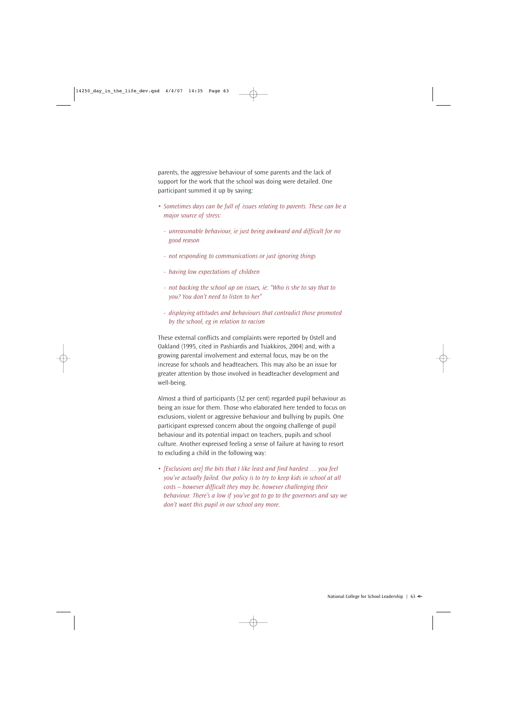parents, the aggressive behaviour of some parents and the lack of support for the work that the school was doing were detailed. One participant summed it up by saying:

- *Sometimes days can be full of issues relating to parents. These can be a major source of stress:*
	- *unreasonable behaviour, ie just being awkward and difficult for no good reason*
	- *not responding to communications or just ignoring things*
	- *having low expectations of children*
	- *not backing the school up on issues, ie: "Who is she to say that to you? You don't need to listen to her"*
	- *displaying attitudes and behaviours that contradict those promoted by the school, eg in relation to racism*

These external conflicts and complaints were reported by Ostell and Oakland (1995, cited in Pashiardis and Tsiakkiros, 2004) and, with a growing parental involvement and external focus, may be on the increase for schools and headteachers. This may also be an issue for greater attention by those involved in headteacher development and well-being.

Almost a third of participants (32 per cent) regarded pupil behaviour as being an issue for them. Those who elaborated here tended to focus on exclusions, violent or aggressive behaviour and bullying by pupils. One participant expressed concern about the ongoing challenge of pupil behaviour and its potential impact on teachers, pupils and school culture. Another expressed feeling a sense of failure at having to resort to excluding a child in the following way:

• *[Exclusions are] the bits that I like least and find hardest … you feel you've actually failed. Our policy is to try to keep kids in school at all costs – however difficult they may be, however challenging their behaviour. There's a low if you've got to go to the governors and say we don't want this pupil in our school any more.*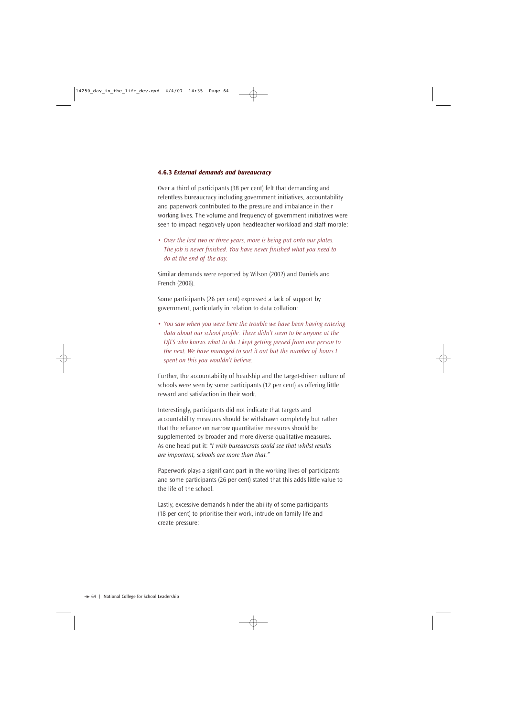#### **4.6.3** *External demands and bureaucracy*

Over a third of participants (38 per cent) felt that demanding and relentless bureaucracy including government initiatives, accountability and paperwork contributed to the pressure and imbalance in their working lives. The volume and frequency of government initiatives were seen to impact negatively upon headteacher workload and staff morale:

• *Over the last two or three years, more is being put onto our plates. The job is never finished. You have never finished what you need to do at the end of the day.*

Similar demands were reported by Wilson (2002) and Daniels and French (2006).

Some participants (26 per cent) expressed a lack of support by government, particularly in relation to data collation:

• *You saw when you were here the trouble we have been having entering data about our school profile. There didn't seem to be anyone at the DfES who knows what to do. I kept getting passed from one person to the next. We have managed to sort it out but the number of hours I spent on this you wouldn't believe.*

Further, the accountability of headship and the target-driven culture of schools were seen by some participants (12 per cent) as offering little reward and satisfaction in their work.

Interestingly, participants did not indicate that targets and accountability measures should be withdrawn completely but rather that the reliance on narrow quantitative measures should be supplemented by broader and more diverse qualitative measures. As one head put it: *"I wish bureaucrats could see that whilst results are important, schools are more than that."*

Paperwork plays a significant part in the working lives of participants and some participants (26 per cent) stated that this adds little value to the life of the school.

Lastly, excessive demands hinder the ability of some participants (18 per cent) to prioritise their work, intrude on family life and create pressure: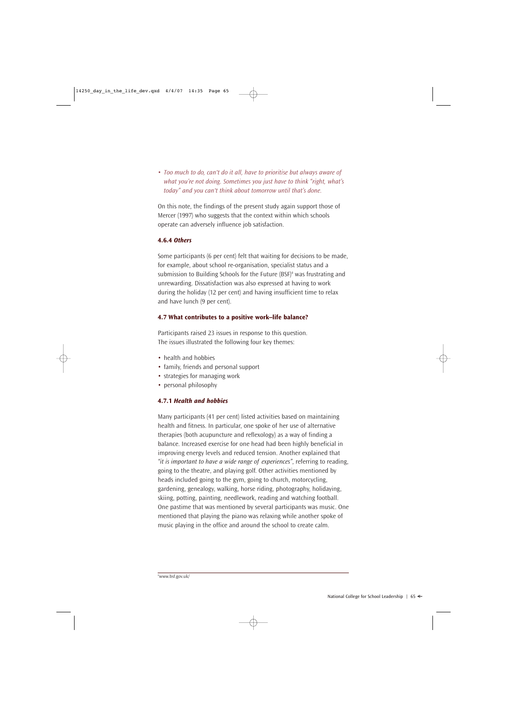• *Too much to do, can't do it all, have to prioritise but always aware of what you're not doing. Sometimes you just have to think "right, what's today" and you can't think about tomorrow until that's done.*

On this note, the findings of the present study again support those of Mercer (1997) who suggests that the context within which schools operate can adversely influence job satisfaction.

## **4.6.4** *Others*

Some participants (6 per cent) felt that waiting for decisions to be made, for example, about school re-organisation, specialist status and a submission to Building Schools for the Future  $(BSF)^8$  was frustrating and unrewarding. Dissatisfaction was also expressed at having to work during the holiday (12 per cent) and having insufficient time to relax and have lunch (9 per cent).

## **4.7 What contributes to a positive work–life balance?**

Participants raised 23 issues in response to this question. The issues illustrated the following four key themes:

- health and hobbies
- family, friends and personal support
- strategies for managing work
- personal philosophy

## **4.7.1** *Health and hobbies*

Many participants (41 per cent) listed activities based on maintaining health and fitness. In particular, one spoke of her use of alternative therapies (both acupuncture and reflexology) as a way of finding a balance. Increased exercise for one head had been highly beneficial in improving energy levels and reduced tension. Another explained that *"it is important to have a wide range of experiences"*, referring to reading, going to the theatre, and playing golf. Other activities mentioned by heads included going to the gym, going to church, motorcycling, gardening, genealogy, walking, horse riding, photography, holidaying, skiing, potting, painting, needlework, reading and watching football. One pastime that was mentioned by several participants was music. One mentioned that playing the piano was relaxing while another spoke of music playing in the office and around the school to create calm.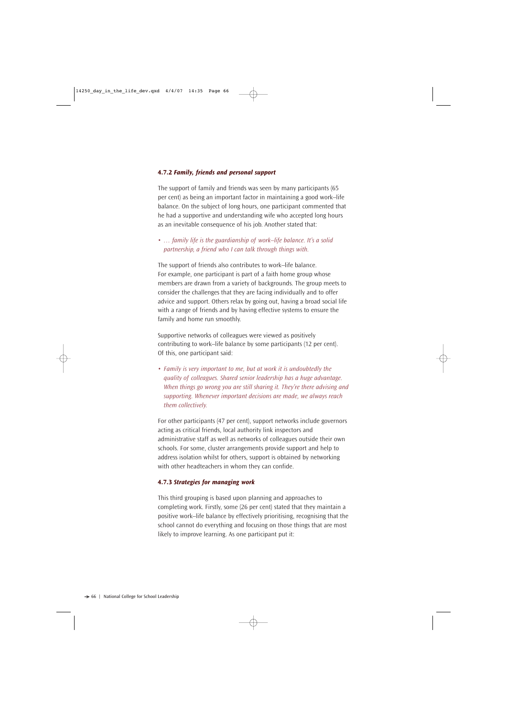## **4.7.2** *Family, friends and personal support*

The support of family and friends was seen by many participants (65 per cent) as being an important factor in maintaining a good work–life balance. On the subject of long hours, one participant commented that he had a supportive and understanding wife who accepted long hours as an inevitable consequence of his job. Another stated that:

• *… family life is the guardianship of work–life balance. It's a solid partnership, a friend who I can talk through things with.*

The support of friends also contributes to work–life balance. For example, one participant is part of a faith home group whose members are drawn from a variety of backgrounds. The group meets to consider the challenges that they are facing individually and to offer advice and support. Others relax by going out, having a broad social life with a range of friends and by having effective systems to ensure the family and home run smoothly.

Supportive networks of colleagues were viewed as positively contributing to work–life balance by some participants (12 per cent). Of this, one participant said:

• *Family is very important to me, but at work it is undoubtedly the quality of colleagues. Shared senior leadership has a huge advantage. When things go wrong you are still sharing it. They're there advising and supporting. Whenever important decisions are made, we always reach them collectively.*

For other participants (47 per cent), support networks include governors acting as critical friends, local authority link inspectors and administrative staff as well as networks of colleagues outside their own schools. For some, cluster arrangements provide support and help to address isolation whilst for others, support is obtained by networking with other headteachers in whom they can confide.

## **4.7.3** *Strategies for managing work*

This third grouping is based upon planning and approaches to completing work. Firstly, some (26 per cent) stated that they maintain a positive work–life balance by effectively prioritising, recognising that the school cannot do everything and focusing on those things that are most likely to improve learning. As one participant put it: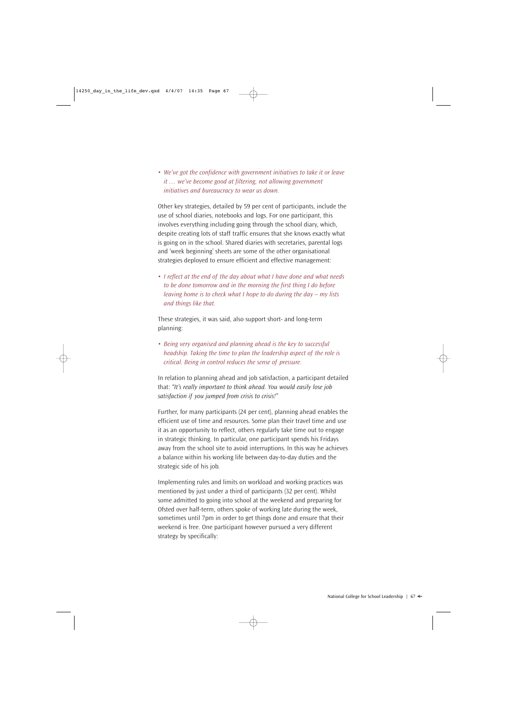• *We've got the confidence with government initiatives to take it or leave it … we've become good at filtering, not allowing government initiatives and bureaucracy to wear us down.*

Other key strategies, detailed by 59 per cent of participants, include the use of school diaries, notebooks and logs. For one participant, this involves everything including going through the school diary, which, despite creating lots of staff traffic ensures that she knows exactly what is going on in the school. Shared diaries with secretaries, parental logs and 'week beginning' sheets are some of the other organisational strategies deployed to ensure efficient and effective management:

• *I reflect at the end of the day about what I have done and what needs to be done tomorrow and in the morning the first thing I do before leaving home is to check what I hope to do during the day – my lists and things like that.*

These strategies, it was said, also support short- and long-term planning:

• *Being very organised and planning ahead is the key to successful headship. Taking the time to plan the leadership aspect of the role is critical. Being in control reduces the sense of pressure.*

In relation to planning ahead and job satisfaction, a participant detailed that: *"It's really important to think ahead. You would easily lose job satisfaction if you jumped from crisis to crisis!"*

Further, for many participants (24 per cent), planning ahead enables the efficient use of time and resources. Some plan their travel time and use it as an opportunity to reflect, others regularly take time out to engage in strategic thinking. In particular, one participant spends his Fridays away from the school site to avoid interruptions. In this way he achieves a balance within his working life between day-to-day duties and the strategic side of his job.

Implementing rules and limits on workload and working practices was mentioned by just under a third of participants (32 per cent). Whilst some admitted to going into school at the weekend and preparing for Ofsted over half-term, others spoke of working late during the week, sometimes until 7pm in order to get things done and ensure that their weekend is free. One participant however pursued a very different strategy by specifically: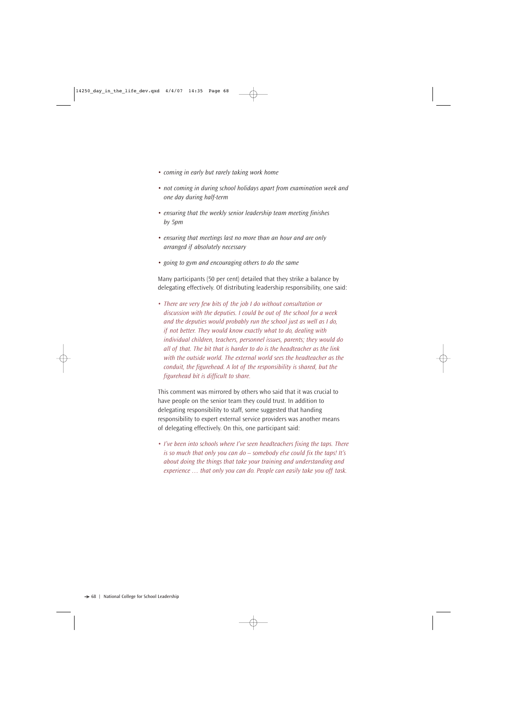- *• coming in early but rarely taking work home*
- *• not coming in during school holidays apart from examination week and one day during half-term*
- *• ensuring that the weekly senior leadership team meeting finishes by 5pm*
- *• ensuring that meetings last no more than an hour and are only arranged if absolutely necessary*
- *• going to gym and encouraging others to do the same*

Many participants (50 per cent) detailed that they strike a balance by delegating effectively. Of distributing leadership responsibility, one said:

• *There are very few bits of the job I do without consultation or discussion with the deputies. I could be out of the school for a week and the deputies would probably run the school just as well as I do, if not better. They would know exactly what to do, dealing with individual children, teachers, personnel issues, parents; they would do all of that. The bit that is harder to do is the headteacher as the link with the outside world. The external world sees the headteacher as the conduit, the figurehead. A lot of the responsibility is shared, but the figurehead bit is difficult to share.*

This comment was mirrored by others who said that it was crucial to have people on the senior team they could trust. In addition to delegating responsibility to staff, some suggested that handing responsibility to expert external service providers was another means of delegating effectively. On this, one participant said:

*• I've been into schools where I've seen headteachers fixing the taps. There is so much that only you can do – somebody else could fix the taps! It's about doing the things that take your training and understanding and experience … that only you can do. People can easily take you off task.*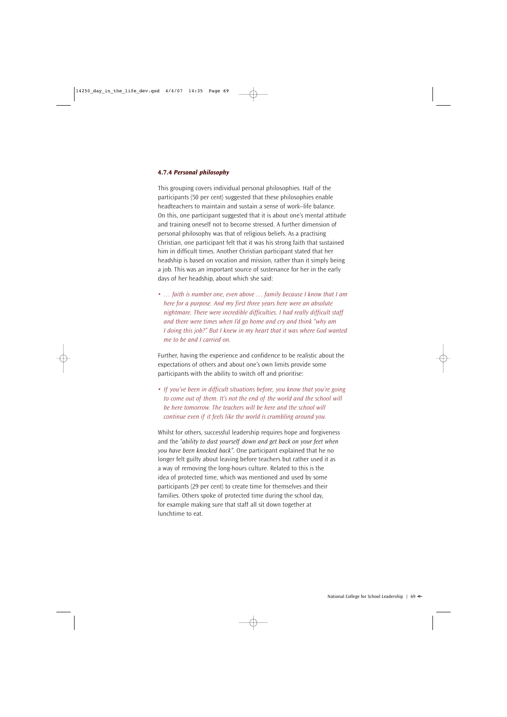#### **4.7.4** *Personal philosophy*

This grouping covers individual personal philosophies. Half of the participants (50 per cent) suggested that these philosophies enable headteachers to maintain and sustain a sense of work–life balance. On this, one participant suggested that it is about one's mental attitude and training oneself not to become stressed. A further dimension of personal philosophy was that of religious beliefs. As a practising Christian, one participant felt that it was his strong faith that sustained him in difficult times. Another Christian participant stated that her headship is based on vocation and mission, rather than it simply being a job. This was an important source of sustenance for her in the early days of her headship, about which she said:

• *… faith is number one, even above … family because I know that I am here for a purpose. And my first three years here were an absolute nightmare. There were incredible difficulties. I had really difficult staff and there were times when I'd go home and cry and think "why am I doing this job?" But I knew in my heart that it was where God wanted me to be and I carried on.* 

Further, having the experience and confidence to be realistic about the expectations of others and about one's own limits provide some participants with the ability to switch off and prioritise:

• *If you've been in difficult situations before, you know that you're going to come out of them. It's not the end of the world and the school will be here tomorrow. The teachers will be here and the school will continue even if it feels like the world is crumbling around you.*

Whilst for others, successful leadership requires hope and forgiveness and the *"ability to dust yourself down and get back on your feet when you have been knocked back"*. One participant explained that he no longer felt guilty about leaving before teachers but rather used it as a way of removing the long-hours culture. Related to this is the idea of protected time, which was mentioned and used by some participants (29 per cent) to create time for themselves and their families. Others spoke of protected time during the school day, for example making sure that staff all sit down together at lunchtime to eat.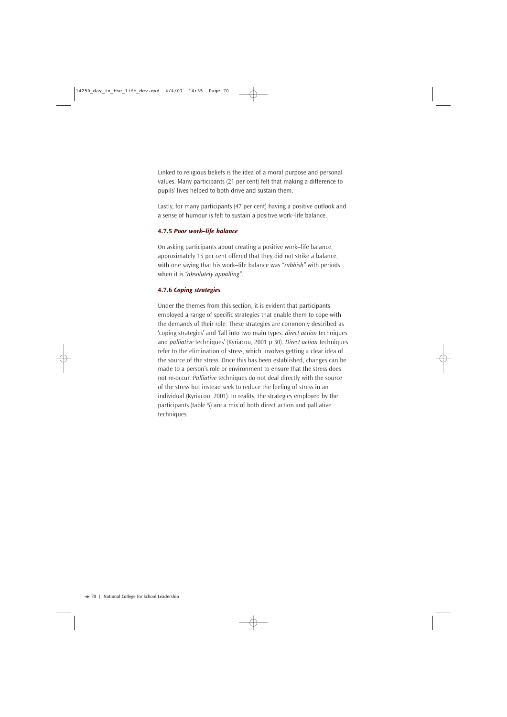Linked to religious beliefs is the idea of a moral purpose and personal values. Many participants (21 per cent) felt that making a difference to pupils' lives helped to both drive and sustain them.

Lastly, for many participants (47 per cent) having a positive outlook and a sense of humour is felt to sustain a positive work–life balance.

#### **4.7.5** *Poor work–life balance*

On asking participants about creating a positive work–life balance, approximately 15 per cent offered that they did not strike a balance, with one saying that his work–life balance was *"rubbish"* with periods when it is *"absolutely appalling"*.

## **4.7.6** *Coping strategies*

Under the themes from this section, it is evident that participants employed a range of specific strategies that enable them to cope with the demands of their role. These strategies are commonly described as 'coping strategies' and 'fall into two main types: *direct action* techniques and *palliative* techniques' (Kyriacou, 2001 p 30). *Direct action* techniques refer to the elimination of stress, which involves getting a clear idea of the source of the stress. Once this has been established, changes can be made to a person's role or environment to ensure that the stress does not re-occur. *Palliative* techniques do not deal directly with the source of the stress but instead seek to reduce the feeling of stress in an individual (Kyriacou, 2001). In reality, the strategies employed by the participants (table 5) are a mix of both direct action and palliative techniques.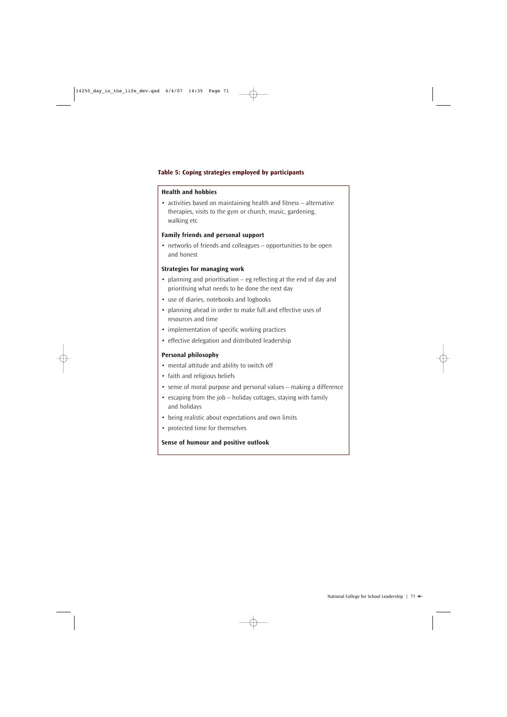## **Table 5: Coping strategies employed by participants**

## **Health and hobbies**

• activities based on maintaining health and fitness – alternative therapies, visits to the gym or church, music, gardening, walking etc

## **Family friends and personal support**

• networks of friends and colleagues – opportunities to be open and honest

## **Strategies for managing work**

- planning and prioritisation eg reflecting at the end of day and prioritising what needs to be done the next day
- use of diaries, notebooks and logbooks
- planning ahead in order to make full and effective uses of resources and time
- implementation of specific working practices
- effective delegation and distributed leadership

## **Personal philosophy**

- mental attitude and ability to switch off
- faith and religious beliefs
- sense of moral purpose and personal values making a difference
- escaping from the job holiday cottages, staying with family and holidays
- being realistic about expectations and own limits
- protected time for themselves

## **Sense of humour and positive outlook**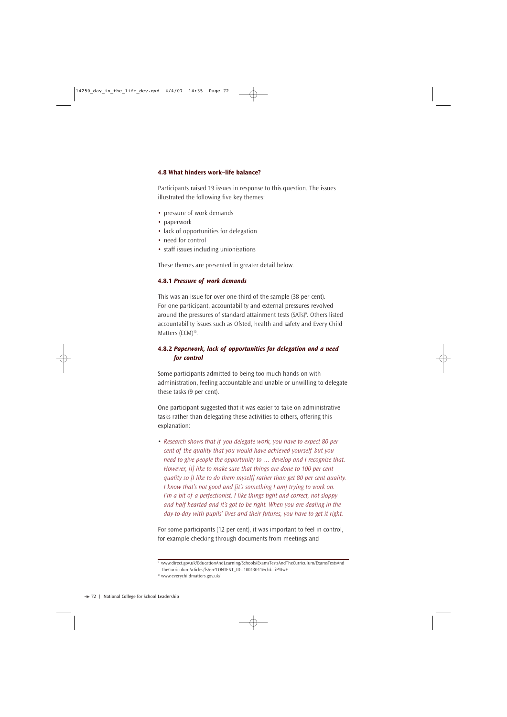## **4.8 What hinders work–life balance?**

Participants raised 19 issues in response to this question. The issues illustrated the following five key themes:

- pressure of work demands
- paperwork
- lack of opportunities for delegation
- need for control
- staff issues including unionisations

These themes are presented in greater detail below.

## **4.8.1** *Pressure of work demands*

This was an issue for over one-third of the sample (38 per cent). For one participant, accountability and external pressures revolved around the pressures of standard attainment tests (SATs)<sup>9</sup>. Others listed accountability issues such as Ofsted, health and safety and Every Child Matters (ECM)<sup>10</sup>.

## **4.8.2** *Paperwork, lack of opportunities for delegation and a need for control*

Some participants admitted to being too much hands-on with administration, feeling accountable and unable or unwilling to delegate these tasks (9 per cent).

One participant suggested that it was easier to take on administrative tasks rather than delegating these activities to others, offering this explanation:

• *Research shows that if you delegate work, you have to expect 80 per cent of the quality that you would have achieved yourself but you need to give people the opportunity to … develop and I recognise that. However, [I] like to make sure that things are done to 100 per cent quality so [I like to do them myself] rather than get 80 per cent quality. I know that's not good and [it's something I am] trying to work on. I'm a bit of a perfectionist, I like things tight and correct, not sloppy and half-hearted and it's got to be right. When you are dealing in the day-to-day with pupils' lives and their futures, you have to get it right.* 

For some participants (12 per cent), it was important to feel in control, for example checking through documents from meetings and

<sup>9</sup> www.direct.gov.uk/EducationAndLearning/Schools/ExamsTestsAndTheCurriculum/ExamsTestsAnd

TheCurriculumArticles/fs/en?CONTENT\_ID=10013041&chk=iP4twF

<sup>10</sup> www.everychildmatters.gov.uk/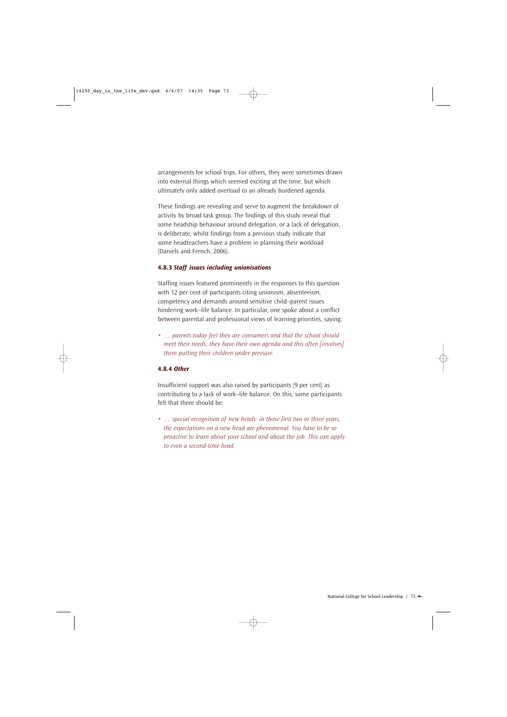arrangements for school trips. For others, they were sometimes drawn into external things which seemed exciting at the time, but which ultimately only added overload to an already burdened agenda.

These findings are revealing and serve to augment the breakdown of activity by broad task group. The findings of this study reveal that some headship behaviour around delegation, or a lack of delegation, is deliberate, whilst findings from a previous study indicate that some headteachers have a problem in planning their workload (Daniels and French, 2006).

#### **4.8.3** *Staff issues including unionisations*

Staffing issues featured prominently in the responses to this question with 12 per cent of participants citing unionism, absenteeism, competency and demands around sensitive child–parent issues hindering work–life balance. In particular, one spoke about a conflict between parental and professional views of learning priorities, saying:

*• … parents today feel they are consumers and that the school should meet their needs; they have their own agenda and this often [involves] them putting their children under pressure.*

#### **4.8.4** *Other*

Insufficient support was also raised by participants (9 per cent) as contributing to a lack of work–life balance. On this, some participants felt that there should be:

*• … special recognition of new heads: in those first two or three years, the expectations on a new head are phenomenal. You have to be so proactive to learn about your school and about the job. This can apply to even a second-time head.*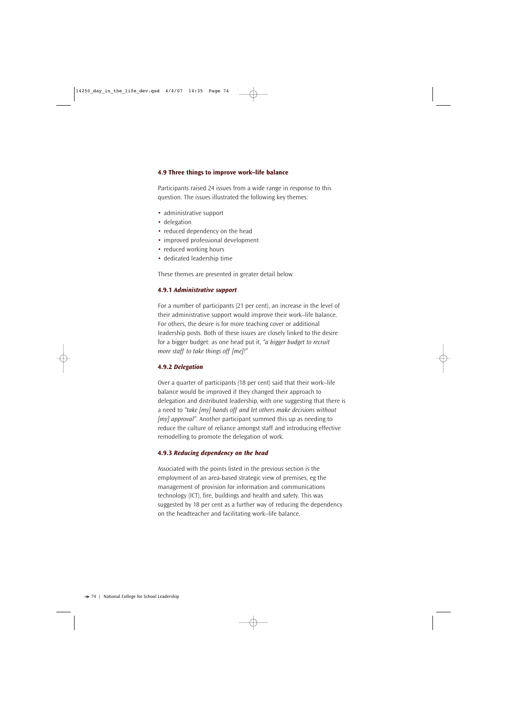#### **4.9 Three things to improve work–life balance**

Participants raised 24 issues from a wide range in response to this question. The issues illustrated the following key themes:

- administrative support
- delegation
- reduced dependency on the head
- improved professional development
- reduced working hours
- dedicated leadership time

These themes are presented in greater detail below.

#### **4.9.1** *Administrative support*

For a number of participants (21 per cent), an increase in the level of their administrative support would improve their work–life balance. For others, the desire is for more teaching cover or additional leadership posts. Both of these issues are closely linked to the desire for a bigger budget: as one head put it, *"a bigger budget to recruit more staff to take things off [me]!"*

#### **4.9.2** *Delegation*

Over a quarter of participants (18 per cent) said that their work–life balance would be improved if they changed their approach to delegation and distributed leadership, with one suggesting that there is a need to *"take [my] hands off and let others make decisions without [my] approval"*. Another participant summed this up as needing to reduce the culture of reliance amongst staff and introducing effective remodelling to promote the delegation of work.

#### **4.9.3** *Reducing dependency on the head*

Associated with the points listed in the previous section is the employment of an area-based strategic view of premises, eg the management of provision for information and communications technology (ICT), fire, buildings and health and safety. This was suggested by 18 per cent as a further way of reducing the dependency on the headteacher and facilitating work–life balance.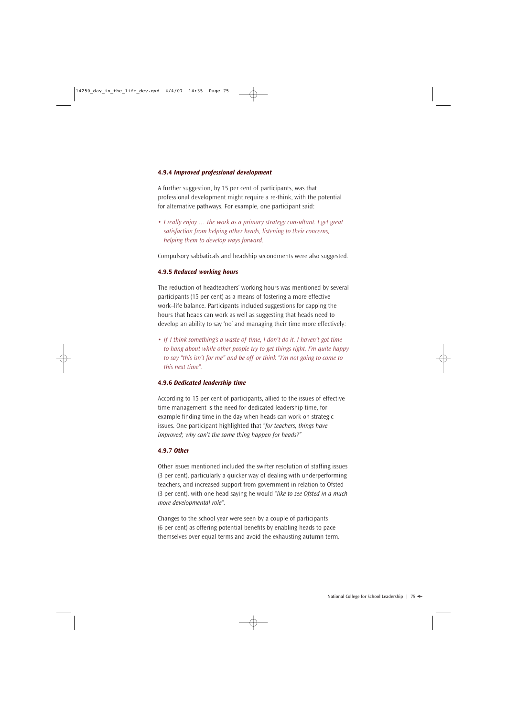#### **4.9.4** *Improved professional development*

A further suggestion, by 15 per cent of participants, was that professional development might require a re-think, with the potential for alternative pathways. For example, one participant said:

*• I really enjoy … the work as a primary strategy consultant. I get great satisfaction from helping other heads, listening to their concerns, helping them to develop ways forward.*

Compulsory sabbaticals and headship secondments were also suggested.

#### **4.9.5** *Reduced working hours*

The reduction of headteachers' working hours was mentioned by several participants (15 per cent) as a means of fostering a more effective work–life balance. Participants included suggestions for capping the hours that heads can work as well as suggesting that heads need to develop an ability to say 'no' and managing their time more effectively:

*• If I think something's a waste of time, I don't do it. I haven't got time to hang about while other people try to get things right. I'm quite happy to say "this isn't for me" and be off or think "I'm not going to come to this next time".* 

#### **4.9.6** *Dedicated leadership time*

According to 15 per cent of participants, allied to the issues of effective time management is the need for dedicated leadership time, for example finding time in the day when heads can work on strategic issues. One participant highlighted that *"for teachers, things have improved; why can't the same thing happen for heads?"*

#### **4.9.7** *Other*

Other issues mentioned included the swifter resolution of staffing issues (3 per cent), particularly a quicker way of dealing with underperforming teachers, and increased support from government in relation to Ofsted (3 per cent), with one head saying he would *"like to see Ofsted in a much more developmental role".* 

Changes to the school year were seen by a couple of participants (6 per cent) as offering potential benefits by enabling heads to pace themselves over equal terms and avoid the exhausting autumn term.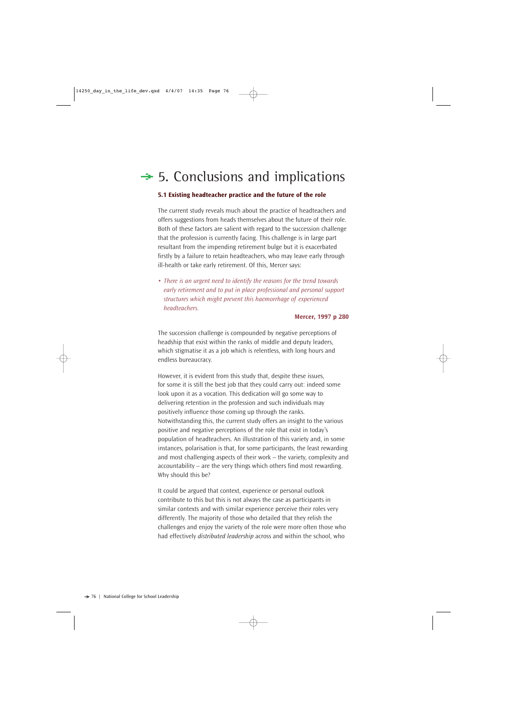# $\div$  5. Conclusions and implications

#### **5.1 Existing headteacher practice and the future of the role**

The current study reveals much about the practice of headteachers and offers suggestions from heads themselves about the future of their role. Both of these factors are salient with regard to the succession challenge that the profession is currently facing. This challenge is in large part resultant from the impending retirement bulge but it is exacerbated firstly by a failure to retain headteachers, who may leave early through ill-health or take early retirement. Of this, Mercer says:

*• There is an urgent need to identify the reasons for the trend towards early retirement and to put in place professional and personal support structures which might prevent this haemorrhage of experienced headteachers.* 

#### **Mercer, 1997 p 280**

The succession challenge is compounded by negative perceptions of headship that exist within the ranks of middle and deputy leaders, which stigmatise it as a job which is relentless, with long hours and endless bureaucracy.

However, it is evident from this study that, despite these issues, for some it is still the best job that they could carry out: indeed some look upon it as a vocation. This dedication will go some way to delivering retention in the profession and such individuals may positively influence those coming up through the ranks. Notwithstanding this, the current study offers an insight to the various positive and negative perceptions of the role that exist in today's population of headteachers. An illustration of this variety and, in some instances, polarisation is that, for some participants, the least rewarding and most challenging aspects of their work – the variety, complexity and accountability – are the very things which others find most rewarding. Why should this be?

It could be argued that context, experience or personal outlook contribute to this but this is not always the case as participants in similar contexts and with similar experience perceive their roles very differently. The majority of those who detailed that they relish the challenges and enjoy the variety of the role were more often those who had effectively *distributed leadership* across and within the school, who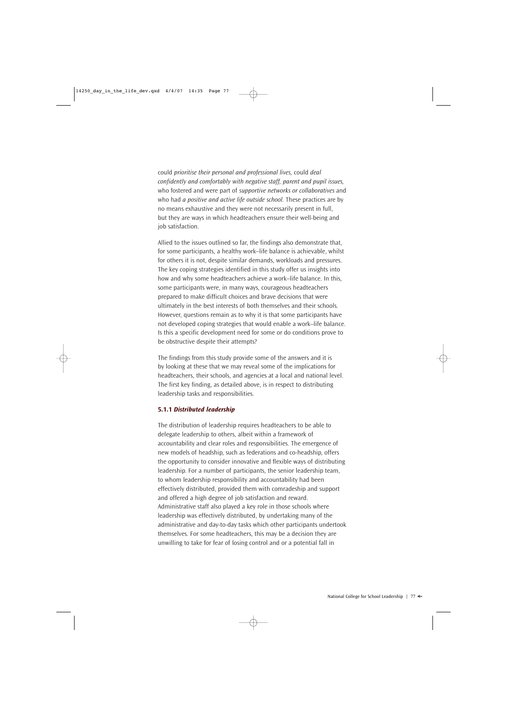could *prioritise their personal and professional lives,* could *deal confidently and comfortably with negative staff, parent and pupil issues,* who fostered and were part of *supportive networks or collaboratives* and who had *a positive and active life outside school*. These practices are by no means exhaustive and they were not necessarily present in full, but they are ways in which headteachers ensure their well-being and job satisfaction.

Allied to the issues outlined so far, the findings also demonstrate that, for some participants, a healthy work–life balance is achievable, whilst for others it is not, despite similar demands, workloads and pressures. The key coping strategies identified in this study offer us insights into how and why some headteachers achieve a work–life balance. In this, some participants were, in many ways, courageous headteachers prepared to make difficult choices and brave decisions that were ultimately in the best interests of both themselves and their schools. However, questions remain as to why it is that some participants have not developed coping strategies that would enable a work–life balance. Is this a specific development need for some or do conditions prove to be obstructive despite their attempts?

The findings from this study provide some of the answers and it is by looking at these that we may reveal some of the implications for headteachers, their schools, and agencies at a local and national level. The first key finding, as detailed above, is in respect to distributing leadership tasks and responsibilities.

#### **5.1.1** *Distributed leadership*

The distribution of leadership requires headteachers to be able to delegate leadership to others, albeit within a framework of accountability and clear roles and responsibilities. The emergence of new models of headship, such as federations and co-headship, offers the opportunity to consider innovative and flexible ways of distributing leadership. For a number of participants, the senior leadership team, to whom leadership responsibility and accountability had been effectively distributed, provided them with comradeship and support and offered a high degree of job satisfaction and reward. Administrative staff also played a key role in those schools where leadership was effectively distributed, by undertaking many of the administrative and day-to-day tasks which other participants undertook themselves. For some headteachers, this may be a decision they are unwilling to take for fear of losing control and or a potential fall in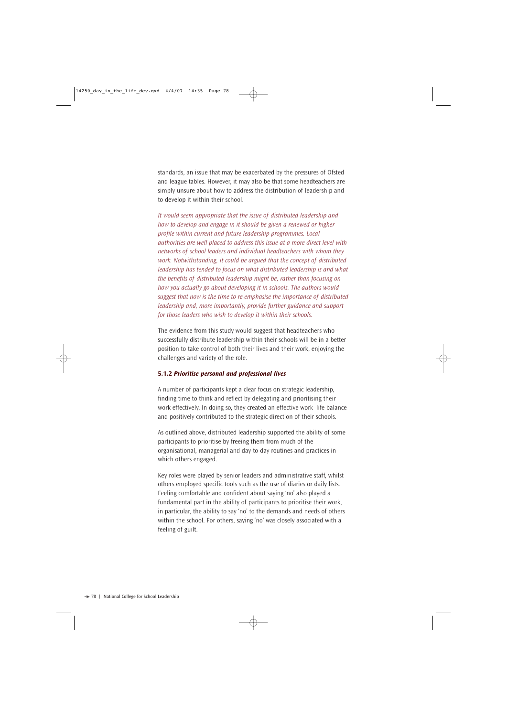standards, an issue that may be exacerbated by the pressures of Ofsted and league tables. However, it may also be that some headteachers are simply unsure about how to address the distribution of leadership and to develop it within their school.

*It would seem appropriate that the issue of distributed leadership and how to develop and engage in it should be given a renewed or higher profile within current and future leadership programmes. Local authorities are well placed to address this issue at a more direct level with networks of school leaders and individual headteachers with whom they work. Notwithstanding, it could be argued that the concept of distributed leadership has tended to focus on what distributed leadership is and what the benefits of distributed leadership might be, rather than focusing on how you actually go about developing it in schools. The authors would suggest that now is the time to re-emphasise the importance of distributed leadership and, more importantly, provide further guidance and support for those leaders who wish to develop it within their schools.*

The evidence from this study would suggest that headteachers who successfully distribute leadership within their schools will be in a better position to take control of both their lives and their work, enjoying the challenges and variety of the role.

#### **5.1.2** *Prioritise personal and professional lives*

A number of participants kept a clear focus on strategic leadership, finding time to think and reflect by delegating and prioritising their work effectively. In doing so, they created an effective work–life balance and positively contributed to the strategic direction of their schools.

As outlined above, distributed leadership supported the ability of some participants to prioritise by freeing them from much of the organisational, managerial and day-to-day routines and practices in which others engaged.

Key roles were played by senior leaders and administrative staff, whilst others employed specific tools such as the use of diaries or daily lists. Feeling comfortable and confident about saying 'no' also played a fundamental part in the ability of participants to prioritise their work, in particular, the ability to say 'no' to the demands and needs of others within the school. For others, saying 'no' was closely associated with a feeling of guilt.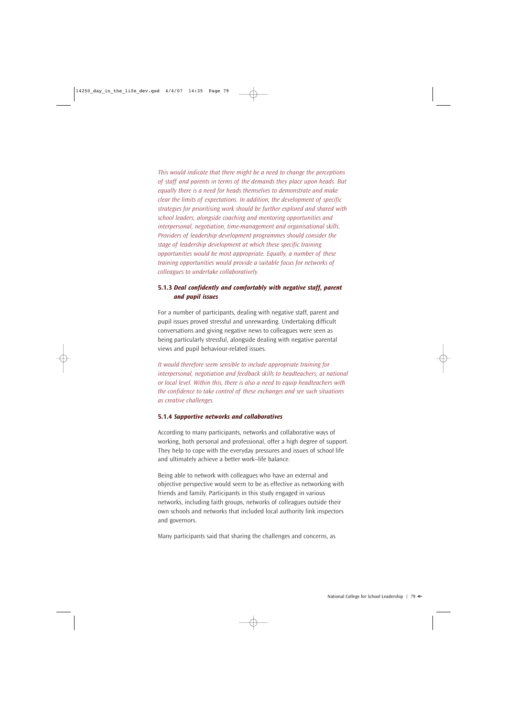*This would indicate that there might be a need to change the perceptions of staff and parents in terms of the demands they place upon heads. But equally there is a need for heads themselves to demonstrate and make clear the limits of expectations. In addition, the development of specific strategies for prioritising work should be further explored and shared with school leaders, alongside coaching and mentoring opportunities and interpersonal, negotiation, time-management and organisational skills. Providers of leadership development programmes should consider the stage of leadership development at which these specific training opportunities would be most appropriate. Equally, a number of these training opportunities would provide a suitable focus for networks of colleagues to undertake collaboratively.*

#### **5.1.3** *Deal confidently and comfortably with negative staff, parent and pupil issues*

For a number of participants, dealing with negative staff, parent and pupil issues proved stressful and unrewarding. Undertaking difficult conversations and giving negative news to colleagues were seen as being particularly stressful, alongside dealing with negative parental views and pupil behaviour-related issues.

*It would therefore seem sensible to include appropriate training for interpersonal, negotiation and feedback skills to headteachers, at national or local level. Within this, there is also a need to equip headteachers with the confidence to take control of these exchanges and see such situations as creative challenges.* 

#### **5.1.4** *Supportive networks and collaboratives*

According to many participants, networks and collaborative ways of working, both personal and professional, offer a high degree of support. They help to cope with the everyday pressures and issues of school life and ultimately achieve a better work–life balance.

Being able to network with colleagues who have an external and objective perspective would seem to be as effective as networking with friends and family. Participants in this study engaged in various networks, including faith groups, networks of colleagues outside their own schools and networks that included local authority link inspectors and governors.

Many participants said that sharing the challenges and concerns, as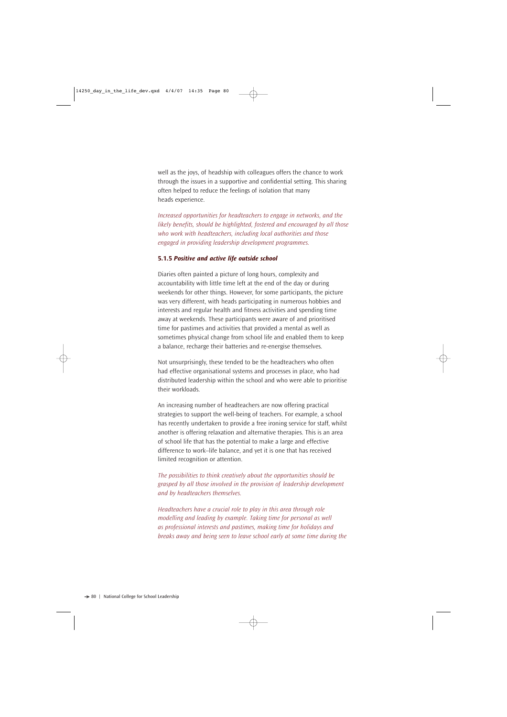well as the joys, of headship with colleagues offers the chance to work through the issues in a supportive and confidential setting. This sharing often helped to reduce the feelings of isolation that many heads experience.

*Increased opportunities for headteachers to engage in networks, and the likely benefits, should be highlighted, fostered and encouraged by all those who work with headteachers, including local authorities and those engaged in providing leadership development programmes.* 

#### **5.1.5** *Positive and active life outside school*

Diaries often painted a picture of long hours, complexity and accountability with little time left at the end of the day or during weekends for other things. However, for some participants, the picture was very different, with heads participating in numerous hobbies and interests and regular health and fitness activities and spending time away at weekends. These participants were aware of and prioritised time for pastimes and activities that provided a mental as well as sometimes physical change from school life and enabled them to keep a balance, recharge their batteries and re-energise themselves.

Not unsurprisingly, these tended to be the headteachers who often had effective organisational systems and processes in place, who had distributed leadership within the school and who were able to prioritise their workloads.

An increasing number of headteachers are now offering practical strategies to support the well-being of teachers. For example, a school has recently undertaken to provide a free ironing service for staff, whilst another is offering relaxation and alternative therapies. This is an area of school life that has the potential to make a large and effective difference to work–life balance, and yet it is one that has received limited recognition or attention.

*The possibilities to think creatively about the opportunities should be grasped by all those involved in the provision of leadership development and by headteachers themselves.* 

*Headteachers have a crucial role to play in this area through role modelling and leading by example. Taking time for personal as well as professional interests and pastimes, making time for holidays and breaks away and being seen to leave school early at some time during the*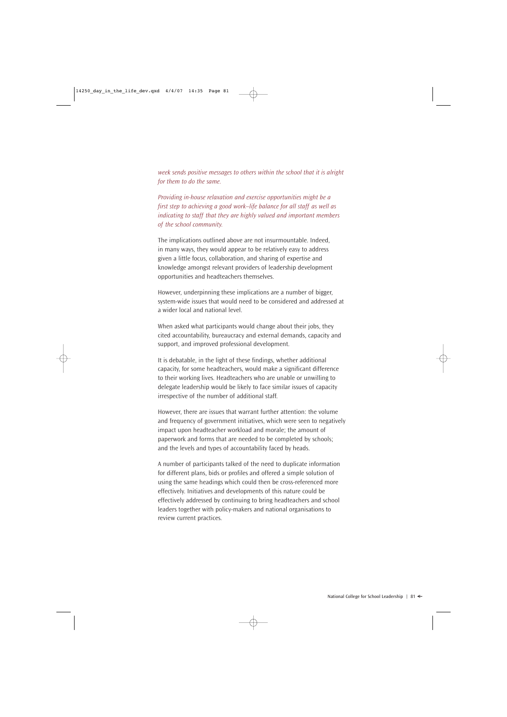*week sends positive messages to others within the school that it is alright for them to do the same.*

*Providing in-house relaxation and exercise opportunities might be a first step to achieving a good work–life balance for all staff as well as indicating to staff that they are highly valued and important members of the school community.* 

The implications outlined above are not insurmountable. Indeed, in many ways, they would appear to be relatively easy to address given a little focus, collaboration, and sharing of expertise and knowledge amongst relevant providers of leadership development opportunities and headteachers themselves.

However, underpinning these implications are a number of bigger, system-wide issues that would need to be considered and addressed at a wider local and national level.

When asked what participants would change about their jobs, they cited accountability, bureaucracy and external demands, capacity and support, and improved professional development.

It is debatable, in the light of these findings, whether additional capacity, for some headteachers, would make a significant difference to their working lives. Headteachers who are unable or unwilling to delegate leadership would be likely to face similar issues of capacity irrespective of the number of additional staff.

However, there are issues that warrant further attention: the volume and frequency of government initiatives, which were seen to negatively impact upon headteacher workload and morale; the amount of paperwork and forms that are needed to be completed by schools; and the levels and types of accountability faced by heads.

A number of participants talked of the need to duplicate information for different plans, bids or profiles and offered a simple solution of using the same headings which could then be cross-referenced more effectively. Initiatives and developments of this nature could be effectively addressed by continuing to bring headteachers and school leaders together with policy-makers and national organisations to review current practices.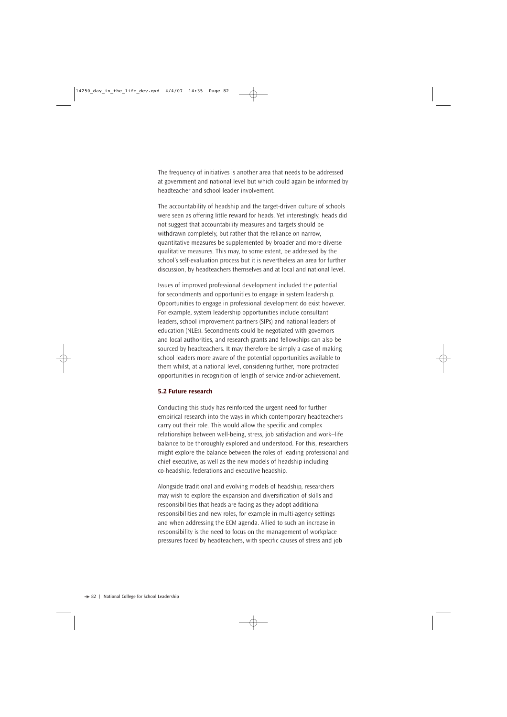The frequency of initiatives is another area that needs to be addressed at government and national level but which could again be informed by headteacher and school leader involvement.

The accountability of headship and the target-driven culture of schools were seen as offering little reward for heads. Yet interestingly, heads did not suggest that accountability measures and targets should be withdrawn completely, but rather that the reliance on narrow, quantitative measures be supplemented by broader and more diverse qualitative measures. This may, to some extent, be addressed by the school's self-evaluation process but it is nevertheless an area for further discussion, by headteachers themselves and at local and national level.

Issues of improved professional development included the potential for secondments and opportunities to engage in system leadership. Opportunities to engage in professional development do exist however. For example, system leadership opportunities include consultant leaders, school improvement partners (SIPs) and national leaders of education (NLEs). Secondments could be negotiated with governors and local authorities, and research grants and fellowships can also be sourced by headteachers. It may therefore be simply a case of making school leaders more aware of the potential opportunities available to them whilst, at a national level, considering further, more protracted opportunities in recognition of length of service and/or achievement.

#### **5.2 Future research**

Conducting this study has reinforced the urgent need for further empirical research into the ways in which contemporary headteachers carry out their role. This would allow the specific and complex relationships between well-being, stress, job satisfaction and work–life balance to be thoroughly explored and understood. For this, researchers might explore the balance between the roles of leading professional and chief executive, as well as the new models of headship including co-headship, federations and executive headship.

Alongside traditional and evolving models of headship, researchers may wish to explore the expansion and diversification of skills and responsibilities that heads are facing as they adopt additional responsibilities and new roles, for example in multi-agency settings and when addressing the ECM agenda. Allied to such an increase in responsibility is the need to focus on the management of workplace pressures faced by headteachers, with specific causes of stress and job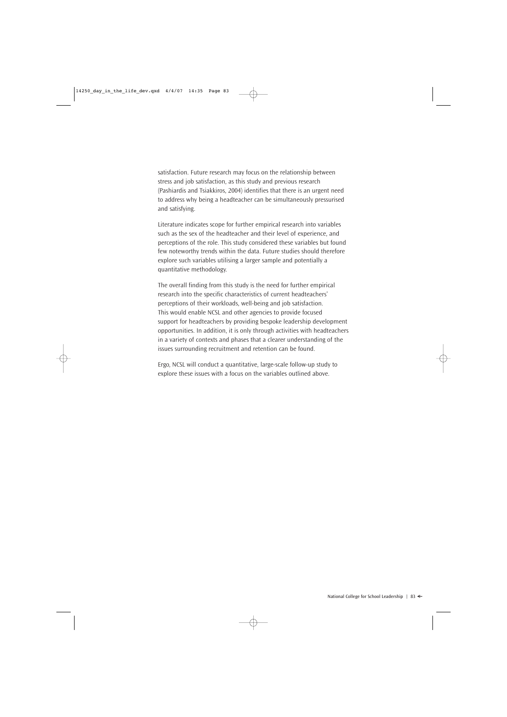satisfaction. Future research may focus on the relationship between stress and job satisfaction, as this study and previous research (Pashiardis and Tsiakkiros, 2004) identifies that there is an urgent need to address why being a headteacher can be simultaneously pressurised and satisfying.

Literature indicates scope for further empirical research into variables such as the sex of the headteacher and their level of experience, and perceptions of the role. This study considered these variables but found few noteworthy trends within the data. Future studies should therefore explore such variables utilising a larger sample and potentially a quantitative methodology.

The overall finding from this study is the need for further empirical research into the specific characteristics of current headteachers' perceptions of their workloads, well-being and job satisfaction. This would enable NCSL and other agencies to provide focused support for headteachers by providing bespoke leadership development opportunities. In addition, it is only through activities with headteachers in a variety of contexts and phases that a clearer understanding of the issues surrounding recruitment and retention can be found.

Ergo, NCSL will conduct a quantitative, large-scale follow-up study to explore these issues with a focus on the variables outlined above.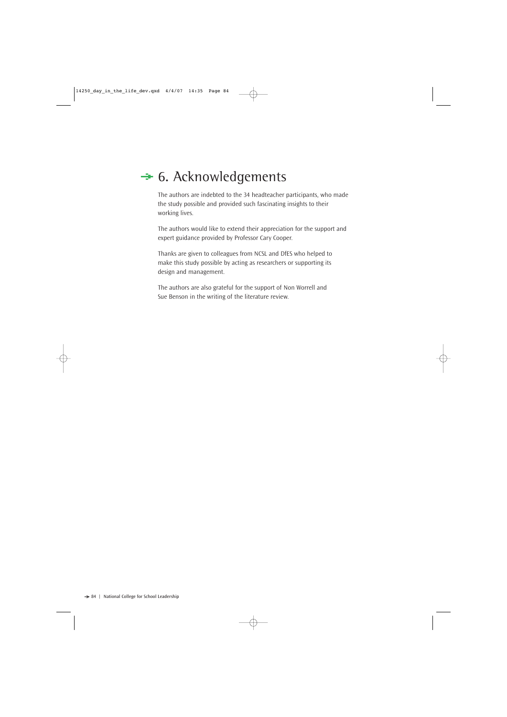# $\div$  **6. Acknowledgements**

The authors are indebted to the 34 headteacher participants, who made the study possible and provided such fascinating insights to their working lives.

The authors would like to extend their appreciation for the support and expert guidance provided by Professor Cary Cooper.

Thanks are given to colleagues from NCSL and DfES who helped to make this study possible by acting as researchers or supporting its design and management.

The authors are also grateful for the support of Non Worrell and Sue Benson in the writing of the literature review.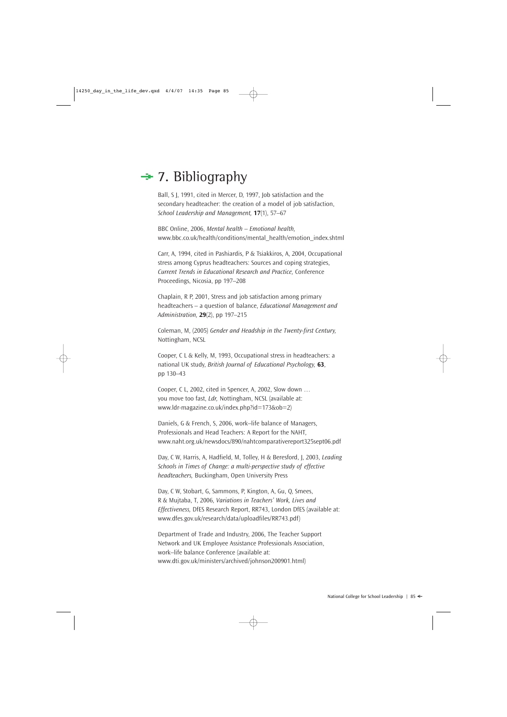# $\div$  7. Bibliography

Ball, S J, 1991, cited in Mercer, D, 1997, Job satisfaction and the secondary headteacher: the creation of a model of job satisfaction, *School Leadership and Management,* **17**(1), 57–67

BBC Online, 2006, *Mental health – Emotional health,* www.bbc.co.uk/health/conditions/mental\_health/emotion\_index.shtml

Carr, A, 1994, cited in Pashiardis, P & Tsiakkiros, A, 2004, Occupational stress among Cyprus headteachers: Sources and coping strategies, *Current Trends in Educational Research and Practice,* Conference Proceedings, Nicosia, pp 197–208

Chaplain, R P, 2001, Stress and job satisfaction among primary headteachers – a question of balance, *Educational Management and Administration,* **29**(2), pp 197–215

Coleman, M, (2005) *Gender and Headship in the Twenty-first Century,* Nottingham, NCSL

Cooper, C L & Kelly, M, 1993, Occupational stress in headteachers: a national UK study, *British Journal of Educational Psychology,* **63**, pp 130–43

Cooper, C L, 2002, cited in Spencer, A, 2002, Slow down … you move too fast, *Ldr,* Nottingham, NCSL (available at: www.ldr-magazine.co.uk/index.php?id=173&ob=2)

Daniels, G & French, S, 2006, work–life balance of Managers, Professionals and Head Teachers: A Report for the NAHT, www.naht.org.uk/newsdocs/890/nahtcomparativereport325sept06.pdf

Day, C W, Harris, A, Hadfield, M, Tolley, H & Beresford, J, 2003, *Leading Schools in Times of Change: a multi-perspective study of effective headteachers,* Buckingham, Open University Press

Day, C W, Stobart, G, Sammons, P, Kington, A, Gu, Q, Smees, R & Mujtaba, T, 2006, *Variations in Teachers' Work, Lives and Effectiveness,* DfES Research Report, RR743, London DfES (available at: www.dfes.gov.uk/research/data/uploadfiles/RR743.pdf)

Department of Trade and Industry, 2006, The Teacher Support Network and UK Employee Assistance Professionals Association, work–life balance Conference (available at: www.dti.gov.uk/ministers/archived/johnson200901.html)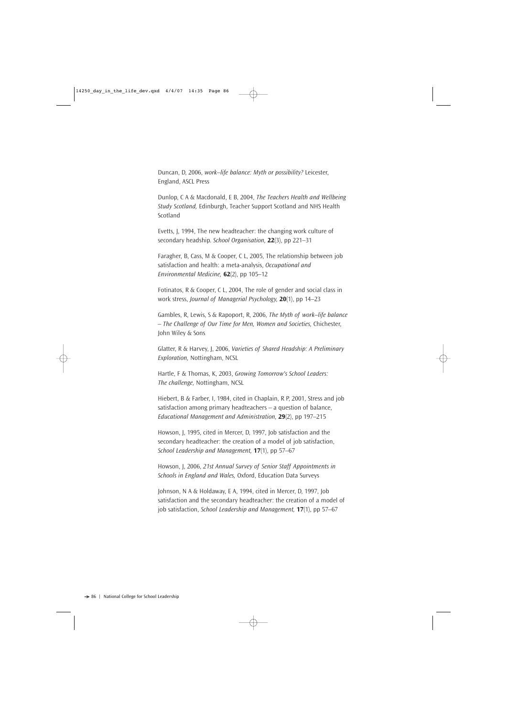Duncan, D, 2006, *work–life balance: Myth or possibility?* Leicester, England, ASCL Press

Dunlop, C A & Macdonald, E B, 2004, *The Teachers Health and Wellbeing Study Scotland,* Edinburgh, Teacher Support Scotland and NHS Health Scotland

Evetts, J, 1994, The new headteacher: the changing work culture of secondary headship. *School Organisation,* **22**(3), pp 221–31

Faragher, B, Cass, M & Cooper, C L, 2005, The relationship between job satisfaction and health: a meta-analysis, *Occupational and Environmental Medicine,* **62**(2), pp 105–12

Fotinatos, R & Cooper, C L, 2004, The role of gender and social class in work stress, *Journal of Managerial Psychology,* **20**(1), pp 14–23

Gambles, R, Lewis, S & Rapoport, R, 2006, *The Myth of work–life balance – The Challenge of Our Time for Men, Women and Societies,* Chichester, John Wiley & Sons

Glatter, R & Harvey, J, 2006, *Varieties of Shared Headship: A Preliminary Exploration,* Nottingham, NCSL

Hartle, F & Thomas, K, 2003, *Growing Tomorrow's School Leaders: The challenge,* Nottingham, NCSL

Hiebert, B & Farber, I, 1984, cited in Chaplain, R P, 2001, Stress and job satisfaction among primary headteachers – a question of balance, *Educational Management and Administration,* **29**(2), pp 197–215

Howson, J, 1995, cited in Mercer, D, 1997, Job satisfaction and the secondary headteacher: the creation of a model of job satisfaction, *School Leadership and Management,* **17**(1), pp 57–67

Howson, J, 2006, *21st Annual Survey of Senior Staff Appointments in Schools in England and Wales,* Oxford, Education Data Surveys

Johnson, N A & Holdaway, E A, 1994, cited in Mercer, D, 1997, Job satisfaction and the secondary headteacher: the creation of a model of job satisfaction, *School Leadership and Management,* **17**(1), pp 57–67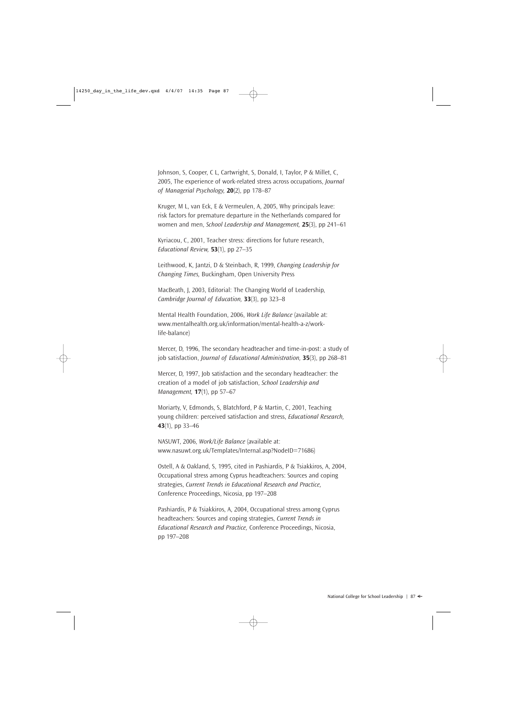Johnson, S, Cooper, C L, Cartwright, S, Donald, I, Taylor, P & Millet, C, 2005, The experience of work-related stress across occupations, *Journal of Managerial Psychology,* **20**(2), pp 178–87

Kruger, M L, van Eck, E & Vermeulen, A, 2005, Why principals leave: risk factors for premature departure in the Netherlands compared for women and men, *School Leadership and Management,* **25**(3), pp 241–61

Kyriacou, C, 2001, Teacher stress: directions for future research, *Educational Review,* **53**(1), pp 27–35

Leithwood, K, Jantzi, D & Steinbach, R, 1999, *Changing Leadership for Changing Times,* Buckingham, Open University Press

MacBeath, J, 2003, Editorial: The Changing World of Leadership, *Cambridge Journal of Education,* **33**(3), pp 323–8

Mental Health Foundation, 2006, *Work Life Balance* (available at: www.mentalhealth.org.uk/information/mental-health-a-z/worklife-balance)

Mercer, D, 1996, The secondary headteacher and time-in-post: a study of job satisfaction, *Journal of Educational Administration,* **35**(3), pp 268–81

Mercer, D, 1997, Job satisfaction and the secondary headteacher: the creation of a model of job satisfaction, *School Leadership and Management,* **17**(1), pp 57–67

Moriarty, V, Edmonds, S, Blatchford, P & Martin, C, 2001, Teaching young children: perceived satisfaction and stress, *Educational Research,* **43**(1), pp 33–46

NASUWT, 2006, *Work/Life Balance* (available at: www.nasuwt.org.uk/Templates/Internal.asp?NodeID=71686)

Ostell, A & Oakland, S, 1995, cited in Pashiardis, P & Tsiakkiros, A, 2004, Occupational stress among Cyprus headteachers: Sources and coping strategies, *Current Trends in Educational Research and Practice,* Conference Proceedings, Nicosia, pp 197–208

Pashiardis, P & Tsiakkiros, A, 2004, Occupational stress among Cyprus headteachers: Sources and coping strategies, *Current Trends in Educational Research and Practice,* Conference Proceedings, Nicosia, pp 197–208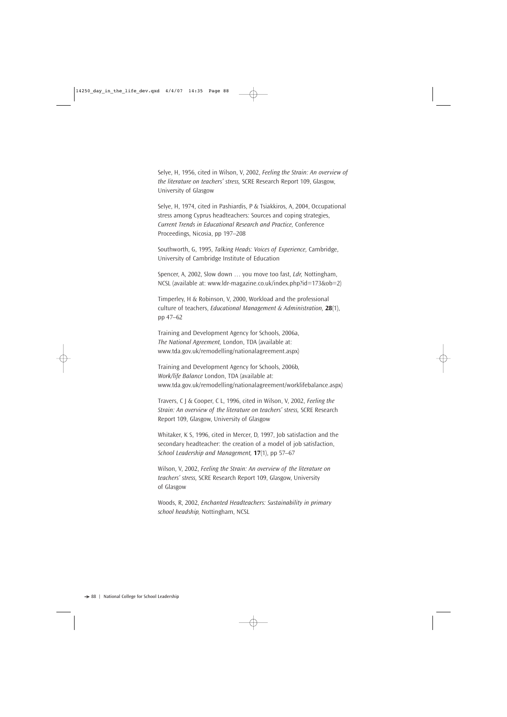Selye, H, 1956, cited in Wilson, V, 2002, *Feeling the Strain: An overview of the literature on teachers' stress,* SCRE Research Report 109, Glasgow, University of Glasgow

Selye, H, 1974, cited in Pashiardis, P & Tsiakkiros, A, 2004, Occupational stress among Cyprus headteachers: Sources and coping strategies, *Current Trends in Educational Research and Practice,* Conference Proceedings, Nicosia, pp 197–208

Southworth, G, 1995, *Talking Heads: Voices of Experience,* Cambridge, University of Cambridge Institute of Education

Spencer, A, 2002, Slow down … you move too fast, *Ldr,* Nottingham, NCSL (available at: www.ldr-magazine.co.uk/index.php?id=173&ob=2)

Timperley, H & Robinson, V, 2000, Workload and the professional culture of teachers, *Educational Management & Administration,* **28**(1), pp 47–62

Training and Development Agency for Schools, 2006a, *The National Agreement,* London, TDA (available at: www.tda.gov.uk/remodelling/nationalagreement.aspx)

Training and Development Agency for Schools, 2006b, *Work/life Balance* London, TDA (available at: www.tda.gov.uk/remodelling/nationalagreement/worklifebalance.aspx)

Travers, C J & Cooper, C L, 1996, cited in Wilson, V, 2002, *Feeling the Strain: An overview of the literature on teachers' stress,* SCRE Research Report 109, Glasgow, University of Glasgow

Whitaker, K S, 1996, cited in Mercer, D, 1997, Job satisfaction and the secondary headteacher: the creation of a model of job satisfaction, *School Leadership and Management,* **17**(1), pp 57–67

Wilson, V, 2002, *Feeling the Strain: An overview of the literature on teachers' stress,* SCRE Research Report 109, Glasgow, University of Glasgow

Woods, R, 2002, *Enchanted Headteachers: Sustainability in primary school headship,* Nottingham, NCSL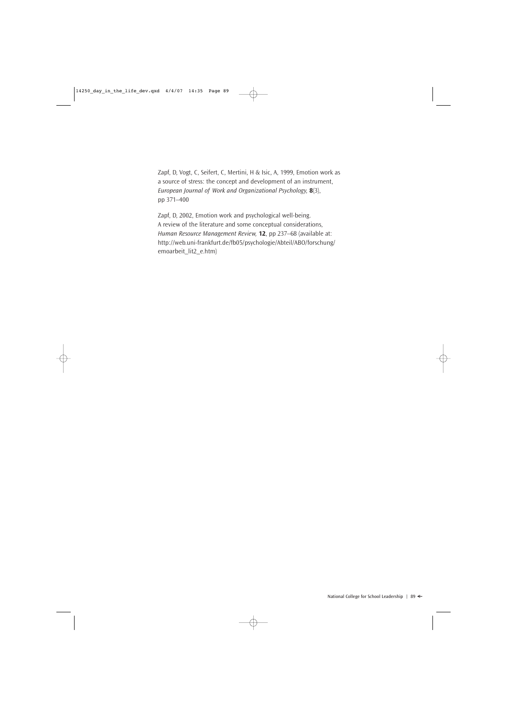Zapf, D, Vogt, C, Seifert, C, Mertini, H & Isic, A, 1999, Emotion work as a source of stress: the concept and development of an instrument, *European Journal of Work and Organizational Psychology,* **8**(3), pp 371–400

Zapf, D, 2002, Emotion work and psychological well-being. A review of the literature and some conceptual considerations, *Human Resource Management Review,* **12**, pp 237–68 (available at: http://web.uni-frankfurt.de/fb05/psychologie/Abteil/ABO/forschung/ emoarbeit\_lit2\_e.htm)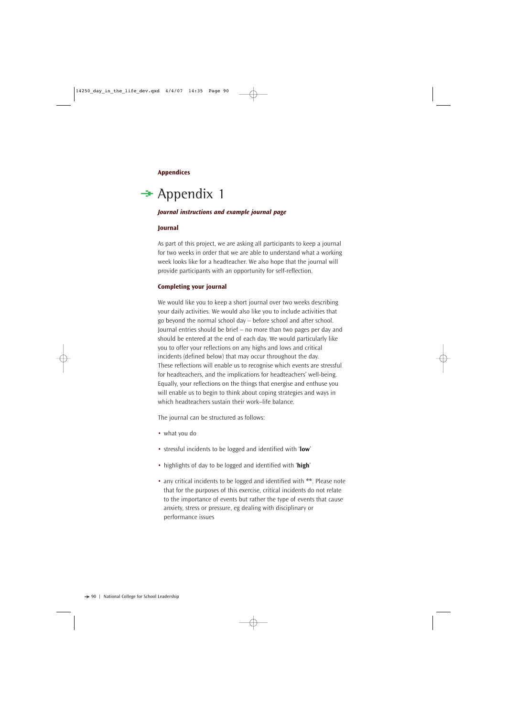#### **Appendices**

### $\rightarrow$  Appendix 1

#### *Journal instructions and example journal page*

#### **Journal**

As part of this project, we are asking all participants to keep a journal for two weeks in order that we are able to understand what a working week looks like for a headteacher. We also hope that the journal will provide participants with an opportunity for self-reflection.

#### **Completing your journal**

We would like you to keep a short journal over two weeks describing your daily activities. We would also like you to include activities that go beyond the normal school day – before school and after school. Journal entries should be brief – no more than two pages per day and should be entered at the end of each day. We would particularly like you to offer your reflections on any highs and lows and critical incidents (defined below) that may occur throughout the day. These reflections will enable us to recognise which events are stressful for headteachers, and the implications for headteachers' well-being. Equally, your reflections on the things that energise and enthuse you will enable us to begin to think about coping strategies and ways in which headteachers sustain their work–life balance.

The journal can be structured as follows:

- what you do
- stressful incidents to be logged and identified with '**low**'
- highlights of day to be logged and identified with '**high**'
- any critical incidents to be logged and identified with **\*\***. Please note that for the purposes of this exercise, critical incidents do not relate to the importance of events but rather the type of events that cause anxiety, stress or pressure, eg dealing with disciplinary or performance issues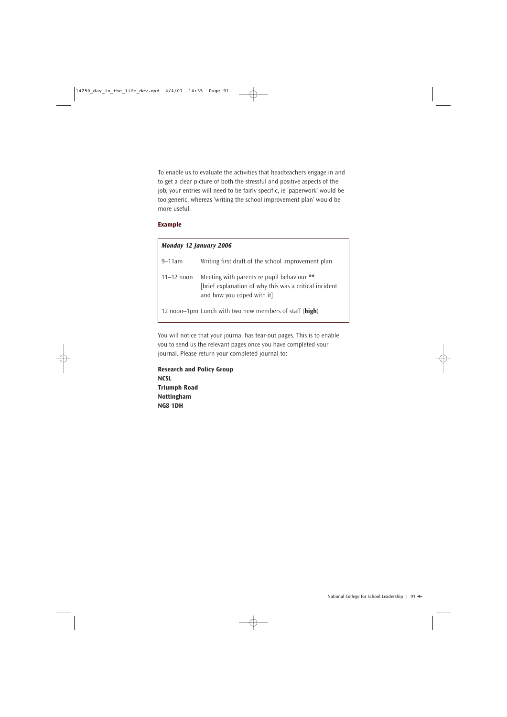To enable us to evaluate the activities that headteachers engage in and to get a clear picture of both the stressful and positive aspects of the job, your entries will need to be fairly specific, ie 'paperwork' would be too generic, whereas 'writing the school improvement plan' would be more useful.

#### **Example**

| <b>Monday 12 January 2006</b> |                                                                                                                                    |
|-------------------------------|------------------------------------------------------------------------------------------------------------------------------------|
| $9 - 11$ am                   | Writing first draft of the school improvement plan                                                                                 |
| $11 - 12$ noon                | Meeting with parents re pupil behaviour **<br>[brief explanation of why this was a critical incident<br>and how you coped with it] |
|                               | 12 noon–1pm Lunch with two new members of staff (high)                                                                             |

You will notice that your journal has tear-out pages. This is to enable you to send us the relevant pages once you have completed your journal. Please return your completed journal to:

**Research and Policy Group NCSL Triumph Road Nottingham NG8 1DH**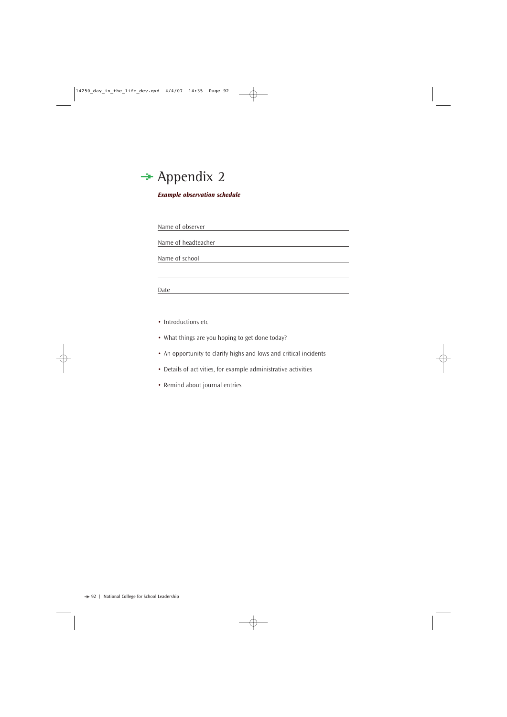

#### *Example observation schedule*

Name of observer

Name of headteacher

Name of school

Date

- Introductions etc
- What things are you hoping to get done today?
- An opportunity to clarify highs and lows and critical incidents
- Details of activities, for example administrative activities
- Remind about journal entries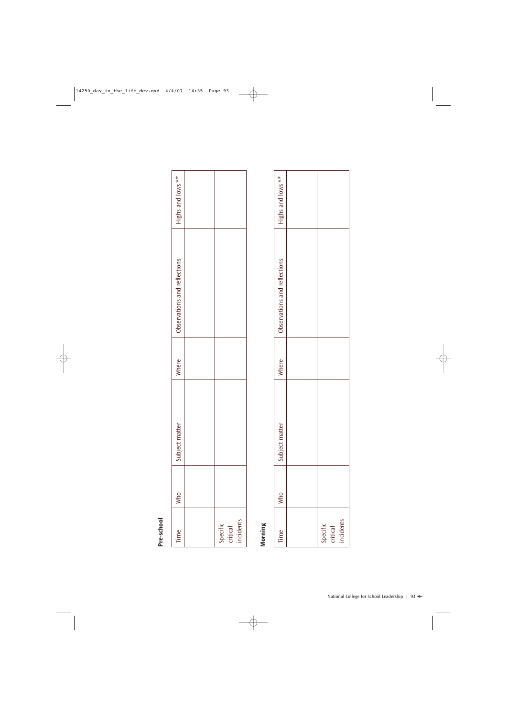| Time                              | Who | atter<br>jubject m | Where | Observations and reflections | Highs and lows ** |
|-----------------------------------|-----|--------------------|-------|------------------------------|-------------------|
|                                   |     |                    |       |                              |                   |
| Specific<br>critical<br>incidents |     |                    |       |                              |                   |
|                                   |     |                    |       |                              |                   |
|                                   |     |                    |       |                              |                   |

# **Morning**

| Time                              | Who | latter<br>subject m. | Where | Observations and reflections | Highs and lows ** |
|-----------------------------------|-----|----------------------|-------|------------------------------|-------------------|
|                                   |     |                      |       |                              |                   |
| Specific<br>critical<br>incidents |     |                      |       |                              |                   |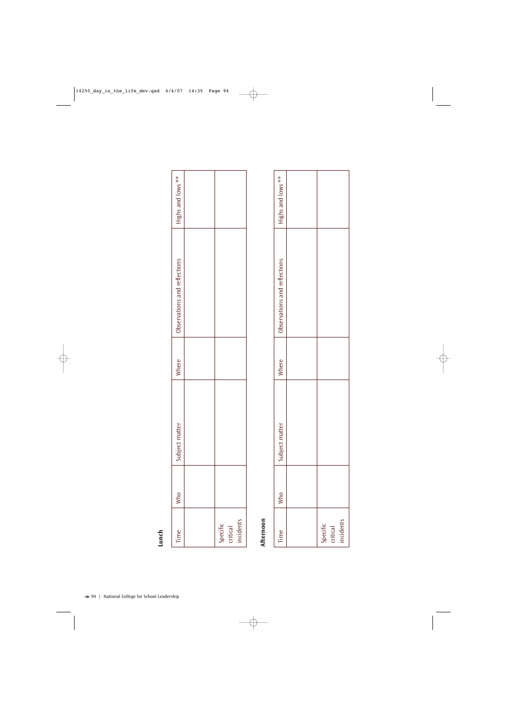| Highs and lows **            |                                        |                                   |
|------------------------------|----------------------------------------|-----------------------------------|
| Observations and reflections |                                        |                                   |
| Where                        |                                        |                                   |
| Subject matter               |                                        |                                   |
| Who                          |                                        |                                   |
| Time                         |                                        | Specific<br>critical<br>incidents |
|                              |                                        |                                   |
|                              | National College for School Leadership |                                   |

# Afternoon **Afternoon**

| Time                              | $\cdot$ Who | latter<br>subject m | Where | Observations and reflections | Highs and lows ** |
|-----------------------------------|-------------|---------------------|-------|------------------------------|-------------------|
|                                   |             |                     |       |                              |                   |
| Specific<br>critical<br>incidents |             |                     |       |                              |                   |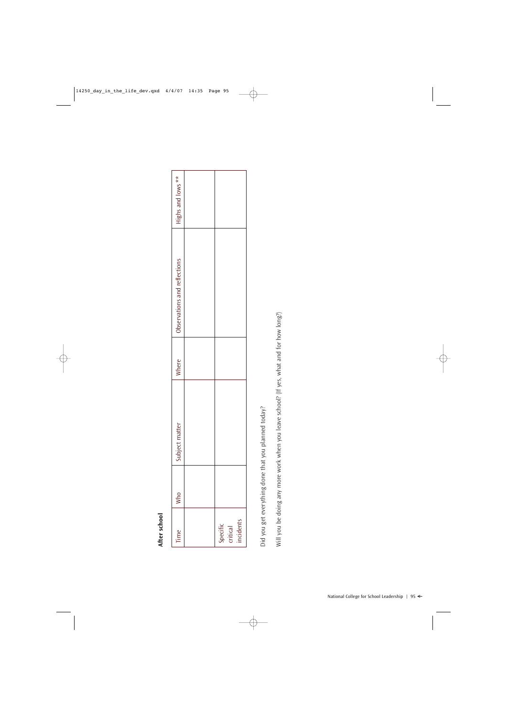# After school **After school**

| Time                              | Who | Subject matter | Where | Observations and reflections | Highs and lows ** |
|-----------------------------------|-----|----------------|-------|------------------------------|-------------------|
|                                   |     |                |       |                              |                   |
| Specific<br>critical<br>incidents |     |                |       |                              |                   |
|                                   |     |                |       |                              |                   |
|                                   |     |                |       |                              |                   |
|                                   |     |                |       |                              |                   |

Did you get everything done that you planned today? Did you get everything done that you planned today?

Will you be doing any more work when you leave school? (If yes, what and for how long?) Will you be doing any more work when you leave school? (If yes, what and for how long?)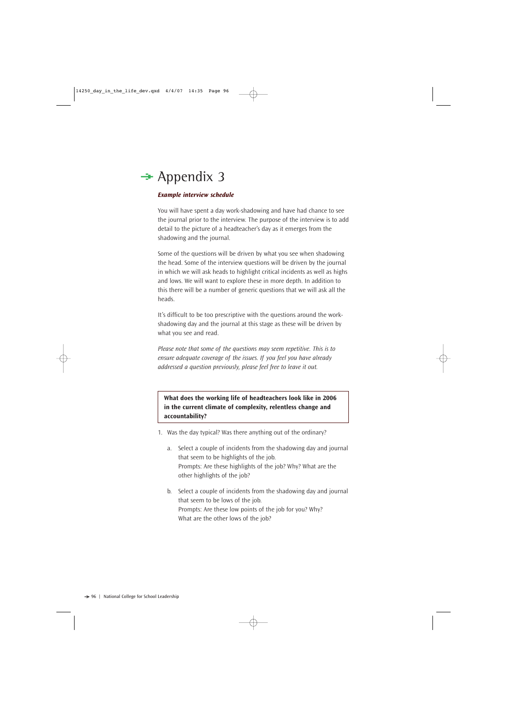# $\rightarrow$  Appendix 3

#### *Example interview schedule*

You will have spent a day work-shadowing and have had chance to see the journal prior to the interview. The purpose of the interview is to add detail to the picture of a headteacher's day as it emerges from the shadowing and the journal.

Some of the questions will be driven by what you see when shadowing the head. Some of the interview questions will be driven by the journal in which we will ask heads to highlight critical incidents as well as highs and lows. We will want to explore these in more depth. In addition to this there will be a number of generic questions that we will ask all the heads.

It's difficult to be too prescriptive with the questions around the workshadowing day and the journal at this stage as these will be driven by what you see and read.

*Please note that some of the questions may seem repetitive. This is to ensure adequate coverage of the issues. If you feel you have already addressed a question previously, please feel free to leave it out.*

**What does the working life of headteachers look like in 2006 in the current climate of complexity, relentless change and accountability?**

- 1. Was the day typical? Was there anything out of the ordinary?
	- a. Select a couple of incidents from the shadowing day and journal that seem to be highlights of the job. Prompts: Are these highlights of the job? Why? What are the other highlights of the job?
	- b. Select a couple of incidents from the shadowing day and journal that seem to be lows of the job. Prompts: Are these low points of the job for you? Why? What are the other lows of the job?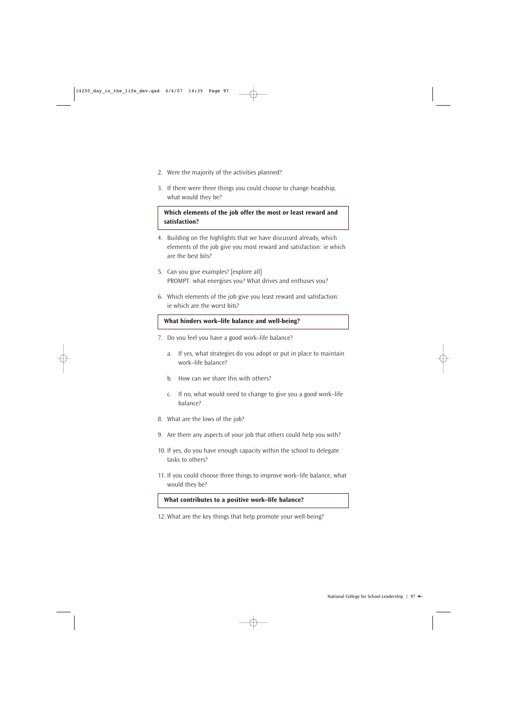- 2. Were the majority of the activities planned?
- 3. If there were three things you could choose to change headship, what would they be?

#### **Which elements of the job offer the most or least reward and satisfaction?**

- 4. Building on the highlights that we have discussed already, which elements of the job give you most reward and satisfaction: ie which are the best bits?
- 5. Can you give examples? [explore all] PROMPT: what energises you? What drives and enthuses you?
- 6. Which elements of the job give you least reward and satisfaction: ie which are the worst bits?

#### **What hinders work–life balance and well-being?**

- 7. Do you feel you have a good work–life balance?
	- a. If yes, what strategies do you adopt or put in place to maintain work–life balance?
	- b. How can we share this with others?
	- c. If no, what would need to change to give you a good work–life balance?
- 8. What are the lows of the job?
- 9. Are there any aspects of your job that others could help you with?
- 10. If yes, do you have enough capacity within the school to delegate tasks to others?
- 11. If you could choose three things to improve work–life balance, what would they be?

#### **What contributes to a positive work–life balance?**

12. What are the key things that help promote your well-being?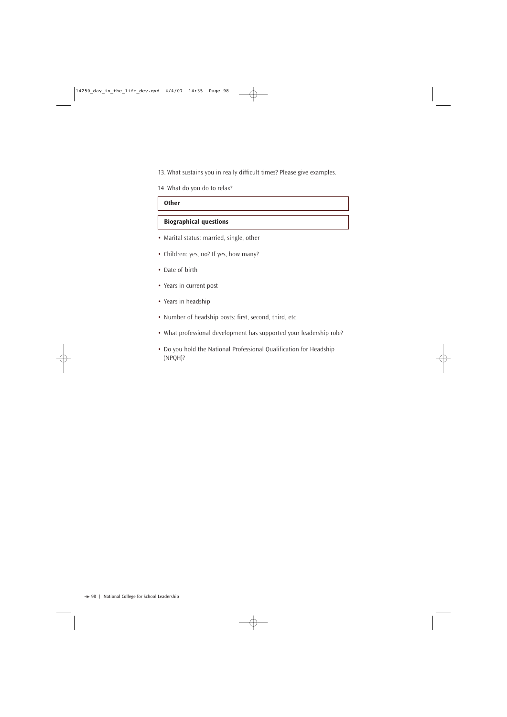13. What sustains you in really difficult times? Please give examples.

14. What do you do to relax?

#### **Other**

#### **Biographical questions**

- Marital status: married, single, other
- Children: yes, no? If yes, how many?
- Date of birth
- Years in current post
- Years in headship
- Number of headship posts: first, second, third, etc
- What professional development has supported your leadership role?
- Do you hold the National Professional Qualification for Headship (NPQH)?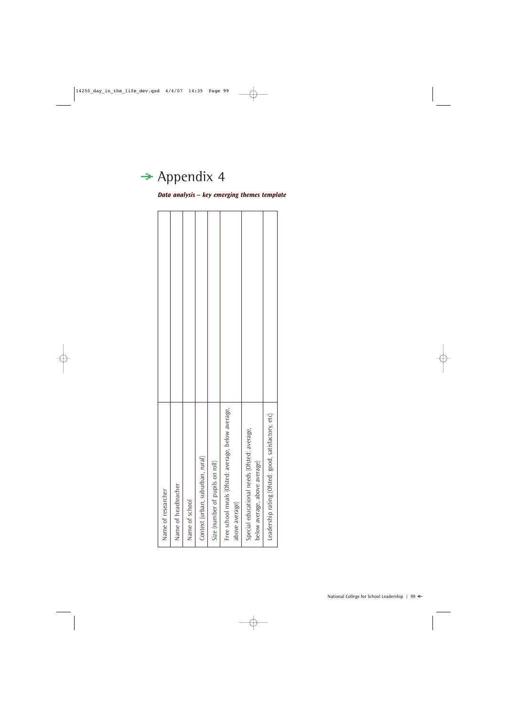# $\rightarrow$  Appendix 4

*Data analysis – key emerging themes template*

| Name of researcher | Name of headteacher | Name of school | Context (urban, suburban, rural) | on roll)<br>Size (number of pupils | Free school meals (Ofsted: average, below average,<br>above average) | Special educational needs (Ofsted: average,<br>below average, above average) | Leadership rating (Ofsted: good, satisfactory, etc) |  |
|--------------------|---------------------|----------------|----------------------------------|------------------------------------|----------------------------------------------------------------------|------------------------------------------------------------------------------|-----------------------------------------------------|--|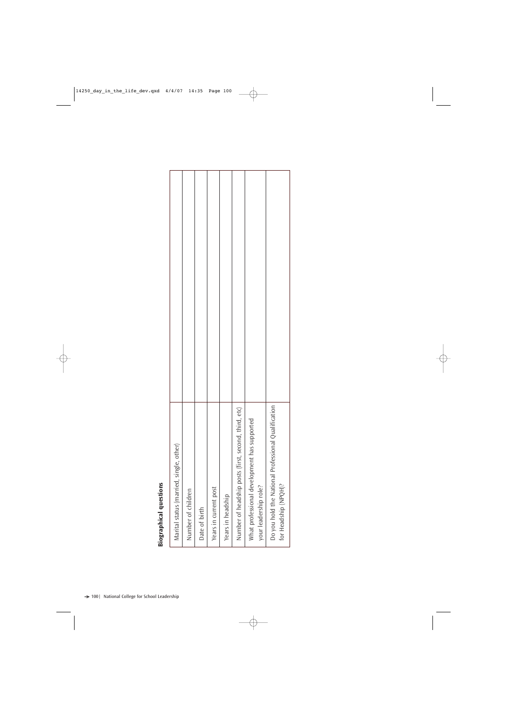# **Biographical questions**

|                               |                                         |                    |               |                       |                   | Number of headship posts (first, second, third, etc) |                                             | Do you hold the National Professional Qualification |
|-------------------------------|-----------------------------------------|--------------------|---------------|-----------------------|-------------------|------------------------------------------------------|---------------------------------------------|-----------------------------------------------------|
|                               | Marital status (married, single, other) |                    |               |                       |                   |                                                      | What professional development has supported |                                                     |
| <b>Biographical questions</b> |                                         | Number of children | Date of birth | Years in current post | Years in headship |                                                      | your leadership role?                       | for Headship (NPQH)?                                |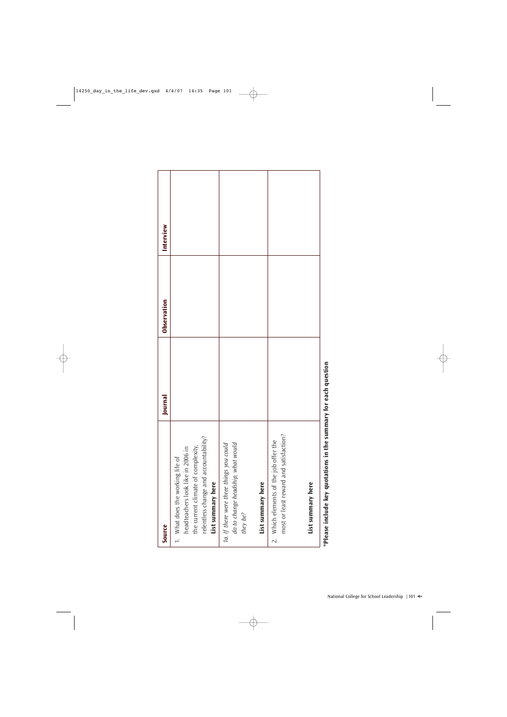| Source                                                                                                                                                                    | Journal                   | Observation | Interview |
|---------------------------------------------------------------------------------------------------------------------------------------------------------------------------|---------------------------|-------------|-----------|
| relentless change and accountability?<br>the current climate of complexity,<br>headteachers look like in 2006 in<br>1. What does the working life of<br>List summary here |                           |             |           |
| do to change headship, what would<br>1a. If there were three things you could<br>List summary here<br>they be?                                                            |                           |             |           |
| most or least reward and satisfaction?<br>2. Which elements of the job offer the<br>List summary here                                                                     |                           |             |           |
| *Please include key quotations in the s                                                                                                                                   | summary for each question |             |           |

each dheann **\*Please include key quotations in the summary for each question** ē summary un un cunning key quo **IIIICIDIUS** Piease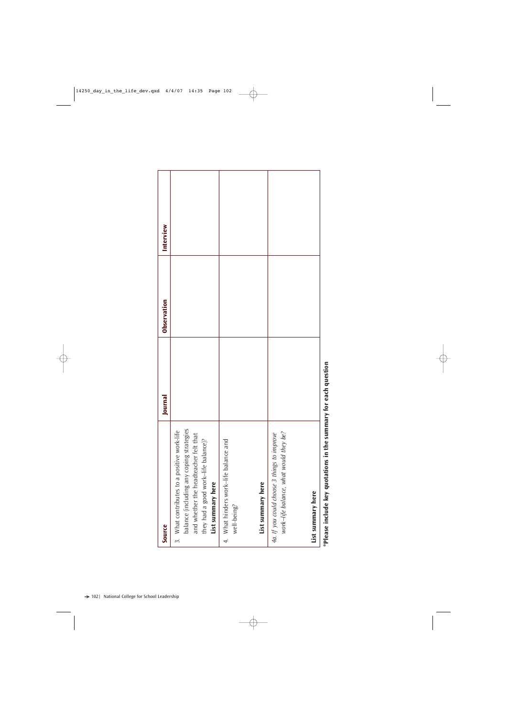| Source                                                                                                                                                                                                           | Journal | Observation | Interview |
|------------------------------------------------------------------------------------------------------------------------------------------------------------------------------------------------------------------|---------|-------------|-----------|
| What contributes to a positive work-life<br>balance (including any coping strategies<br>and whether the headteacher felt that<br>they had a good work-life balance)?<br>List summary here<br>$\ddot{\mathrm{c}}$ |         |             |           |
| 4. What hinders work-life balance and<br>List summary here<br>well-being?                                                                                                                                        |         |             |           |
| work-life balance, what would they be?<br>4a. If you could choose 3 things to improve<br>List summary here                                                                                                       |         |             |           |

each question **\*Please include key quotations in the summary for each question** Please include key quotations in the summary for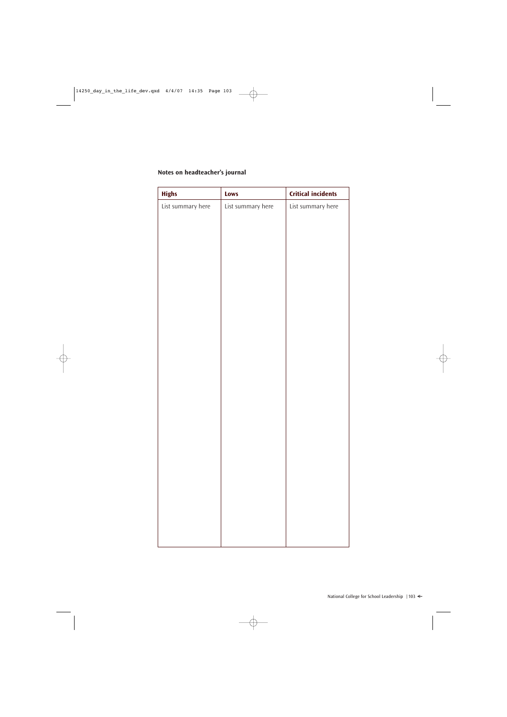#### **Notes on headteacher's journal**

| <b>Highs</b>      | Lows              | <b>Critical incidents</b> |
|-------------------|-------------------|---------------------------|
| List summary here | List summary here | List summary here         |
|                   |                   |                           |
|                   |                   |                           |
|                   |                   |                           |
|                   |                   |                           |
|                   |                   |                           |
|                   |                   |                           |
|                   |                   |                           |
|                   |                   |                           |
|                   |                   |                           |
|                   |                   |                           |
|                   |                   |                           |
|                   |                   |                           |
|                   |                   |                           |
|                   |                   |                           |
|                   |                   |                           |
|                   |                   |                           |
|                   |                   |                           |
|                   |                   |                           |
|                   |                   |                           |
|                   |                   |                           |
|                   |                   |                           |
|                   |                   |                           |
|                   |                   |                           |
|                   |                   |                           |
|                   |                   |                           |
|                   |                   |                           |